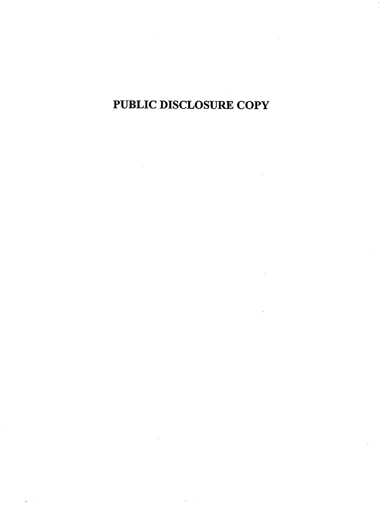# PUBLIC DISCLOSURE COPY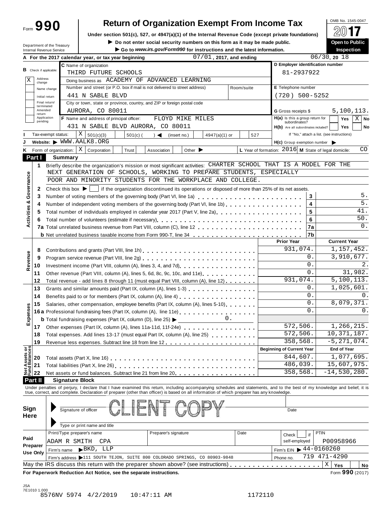Form **990**

# **Return of Organization Exempt From Income Tax**

**Under section 501(c), 527, or 4947(a)(1)** of the Internal Revenue Code (except private foundations) **A** → **Do not enter social security numbers on this form as it may be made public.** 

Department of the Treasury

 $\blacktriangleright$  Do not enter social security numbers on this form as it may be made public. Go to www.irs.gov/Form990 for instructions and the latest information

|                                 |                               | $\overline{07/01}$ , 2017, and ending<br>A For the 2017 calendar year, or tax year beginning                                                                               |                                                        |            | 06/30, 2018                                |
|---------------------------------|-------------------------------|----------------------------------------------------------------------------------------------------------------------------------------------------------------------------|--------------------------------------------------------|------------|--------------------------------------------|
|                                 |                               | C Name of organization                                                                                                                                                     |                                                        |            | D Employer identification number           |
|                                 | <b>B</b> Check if applicable: | THIRD FUTURE SCHOOLS                                                                                                                                                       |                                                        | 81-2937922 |                                            |
| Χ                               | Address<br>change             | Doing business as ACADEMY OF ADVANCED LEARNING                                                                                                                             |                                                        |            |                                            |
|                                 |                               | Number and street (or P.O. box if mail is not delivered to street address)<br>Room/suite<br>Name change                                                                    | E Telephone number                                     |            |                                            |
|                                 |                               | 441 N SABLE BLVD<br>Initial return                                                                                                                                         | $(720)$ 500-5252                                       |            |                                            |
|                                 |                               | Final return/<br>City or town, state or province, country, and ZIP or foreign postal code                                                                                  |                                                        |            |                                            |
|                                 | terminated<br>Amended         | AURORA, CO 80011                                                                                                                                                           | <b>G</b> Gross receipts \$                             |            | 5, 100, 113.                               |
|                                 | return                        | Application<br>F Name and address of principal officer:<br>FLOYD MIKE MILES                                                                                                | $H(a)$ is this a group return for                      |            | $X \mid$ No<br>Yes                         |
|                                 | pending                       | 431 N SABLE BLVD AURORA, CO 80011                                                                                                                                          | subordinates?<br>H(b) Are all subordinates included?   |            | Yes<br>No                                  |
|                                 |                               | X<br>Tax-exempt status:<br>501(c)(3)<br>$501(c)$ (<br>$4947(a)(1)$ or<br>527<br>$) \triangleleft$ (insert no.)                                                             |                                                        |            | If "No," attach a list. (see instructions) |
|                                 |                               | Website: WWW.AALK8.ORG                                                                                                                                                     | $H(c)$ Group exemption number $\triangleright$         |            |                                            |
| ĸ                               |                               | $X \vert$ Corporation<br>Form of organization:<br>Other $\blacktriangleright$<br>Trust<br>Association                                                                      | L Year of formation: $2016$ M State of legal domicile: |            | CO                                         |
|                                 | Part I                        | <b>Summary</b>                                                                                                                                                             |                                                        |            |                                            |
|                                 | 1.                            | Briefly describe the organization's mission or most significant activities: CHARTER SCHOOL THAT IS A MODEL FOR THE                                                         |                                                        |            |                                            |
|                                 |                               | NEXT GENERATION OF SCHOOLS, WORKING TO PREPARE STUDENTS, ESPECIALLY                                                                                                        |                                                        |            |                                            |
|                                 |                               | POOR AND MINORITY STUDENTS FOR THE WORKPLACE AND COLLEGE.                                                                                                                  |                                                        |            |                                            |
|                                 |                               |                                                                                                                                                                            |                                                        |            |                                            |
|                                 | $\mathbf{2}$                  | Check this box $\blacktriangleright$  <br>if the organization discontinued its operations or disposed of more than 25% of its net assets.                                  |                                                        |            | 5.                                         |
| Activities & Governance         | 3                             |                                                                                                                                                                            |                                                        | 3          | $\overline{5}$ .                           |
|                                 | 4                             | Number of independent voting members of the governing body (Part VI, line 1b)                                                                                              |                                                        | 4          | 41.                                        |
|                                 | 5                             |                                                                                                                                                                            |                                                        | 5          | 50.                                        |
|                                 | 6                             |                                                                                                                                                                            |                                                        | 6          | 0.                                         |
|                                 |                               |                                                                                                                                                                            |                                                        | 7a         |                                            |
|                                 |                               | <b>b</b> Net unrelated business taxable income from Form 990-T, line 34                                                                                                    | <b>Prior Year</b>                                      | 7b         | <b>Current Year</b>                        |
|                                 |                               |                                                                                                                                                                            |                                                        |            |                                            |
|                                 | 8                             | Contributions and grants (Part VIII, line 1h)                                                                                                                              |                                                        | 931,074.   | 1,157,452.                                 |
|                                 | 9                             |                                                                                                                                                                            |                                                        | 0.         | 3,910,677.                                 |
| Revenue                         | 10                            | Investment income (Part VIII, column (A), lines 3, 4, and 7d)<br>x, and 7d)                                                                                                |                                                        | 0.         | 2.                                         |
|                                 | 11                            |                                                                                                                                                                            |                                                        | 0.         | 31,982.                                    |
|                                 | 12                            | Total revenue - add lines 8 through 11 (must equal Part VIII, column (A), line 12)                                                                                         |                                                        | 931,074.   | 5,100,113.                                 |
|                                 | 13                            | Grants and similar amounts paid (Part IX, column (A), lines 1-3)                                                                                                           |                                                        | 0.         | 1,025,601.                                 |
|                                 | 14                            | Benefits paid to or for members (Part IX, column (A), line 4)                                                                                                              |                                                        | 0.         | 0.                                         |
|                                 | 15                            | Salaries, other compensation, employee benefits (Part IX, column (A), lines 5-10).                                                                                         |                                                        | 0.         | 8,079,371.                                 |
| Expenses                        |                               | 16a Professional fundraising fees (Part IX, column (A), line 11e)                                                                                                          |                                                        | 0.         | 0.                                         |
|                                 |                               | 0.<br><b>b</b> Total fundraising expenses (Part IX, column (D), line 25) $\blacktriangleright$                                                                             |                                                        |            |                                            |
|                                 |                               | 17 Other expenses (Part IX, column (A), lines 11a-11d, 11f-24e)                                                                                                            |                                                        | 572,506.   | 1,266,215.                                 |
|                                 | 18                            | Total expenses. Add lines 13-17 (must equal Part IX, column (A), line 25)                                                                                                  |                                                        | 572,506.   | $\overline{10}$ , 371, 187.                |
|                                 | 19                            | Revenue less expenses. Subtract line 18 from line 12.                                                                                                                      |                                                        | 358,568.   | $-5, 271, 074.$                            |
|                                 |                               |                                                                                                                                                                            | <b>Beginning of Current Year</b>                       |            | <b>End of Year</b>                         |
|                                 | 20                            | Total assets (Part X, line 16) Contained the Containing Total assets (Part X, line 16)                                                                                     |                                                        | 844,607.   | 1,077,695.                                 |
| Net Assets or<br>Fund Balances  | 21                            | Total liabilities (Part X, line 26)                                                                                                                                        |                                                        | 486,039.   | 15,607,975.                                |
|                                 | 22                            | Net assets or fund balances. Subtract line 21 from line 20                                                                                                                 |                                                        | 358,568.   | $-14,530,280.$                             |
|                                 |                               | <b>Signature Block</b>                                                                                                                                                     |                                                        |            |                                            |
|                                 |                               |                                                                                                                                                                            |                                                        |            |                                            |
|                                 |                               | Under penalties of perjury, I declare that I have examined this return, including accompanying schedules and statements, and to the best of my knowledge and belief, it is |                                                        |            |                                            |
|                                 |                               | true, correct, and complete. Declaration of preparer (other than officer) is based on all information of which preparer has any knowledge.                                 |                                                        |            |                                            |
|                                 |                               |                                                                                                                                                                            |                                                        |            |                                            |
|                                 |                               | Signature of officer                                                                                                                                                       | Date                                                   |            |                                            |
|                                 |                               |                                                                                                                                                                            |                                                        |            |                                            |
|                                 |                               | Type or print name and title                                                                                                                                               |                                                        |            |                                            |
|                                 |                               | Print/Type preparer's name<br>Preparer's signature<br>Date                                                                                                                 | Check                                                  | if         | <b>PTIN</b>                                |
|                                 |                               | ADAM R SMITH<br>CPA                                                                                                                                                        | self-employed                                          |            | P00958966                                  |
|                                 | Preparer                      |                                                                                                                                                                            |                                                        |            |                                            |
| Part II<br>Sign<br>Here<br>Paid | <b>Use Only</b>               | $\blacktriangleright$ BKD, LLP<br>Firm's name                                                                                                                              |                                                        |            | Firm's EIN $\triangleright$ 44-0160260     |
|                                 |                               | Firm's address 111 SOUTH TEJON, SUITE 800 COLORADO SPRINGS, CO 80903-9848<br>May the IRS discuss this return with the preparer shown above? (see instructions)             | Phone no.                                              |            | 719 471-4290<br>Χ<br>Yes<br>No             |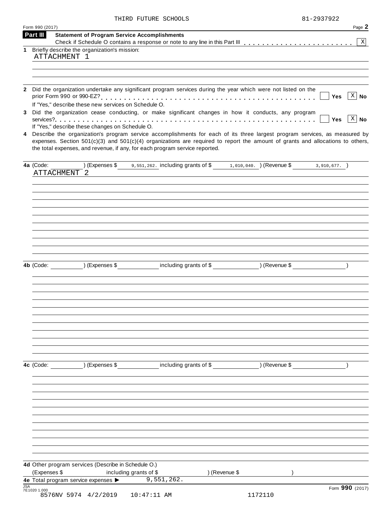|  | THIRD FUTURE SCHOOLS | 81-2937922 |
|--|----------------------|------------|

|            | Form 990 (2017)                                                                                                                                                                                                                                                                                                                                   | Page 2                                                        |
|------------|---------------------------------------------------------------------------------------------------------------------------------------------------------------------------------------------------------------------------------------------------------------------------------------------------------------------------------------------------|---------------------------------------------------------------|
|            | Part III<br><b>Statement of Program Service Accomplishments</b>                                                                                                                                                                                                                                                                                   | $\mathbf{X}$                                                  |
|            | 1 Briefly describe the organization's mission:<br>ATTACHMENT 1                                                                                                                                                                                                                                                                                    |                                                               |
|            |                                                                                                                                                                                                                                                                                                                                                   |                                                               |
| 3          | 2 Did the organization undertake any significant program services during the year which were not listed on the<br>If "Yes," describe these new services on Schedule O.<br>Did the organization cease conducting, or make significant changes in how it conducts, any program<br>If "Yes," describe these changes on Schedule O.                   | $ X $ No<br>Yes<br>$\overline{\mathbb{X}}$   No<br><b>Yes</b> |
|            | 4 Describe the organization's program service accomplishments for each of its three largest program services, as measured by<br>expenses. Section $501(c)(3)$ and $501(c)(4)$ organizations are required to report the amount of grants and allocations to others,<br>the total expenses, and revenue, if any, for each program service reported. |                                                               |
|            | (Expenses \$9,551,262. including grants of \$1,010,040. ) (Revenue \$3,910,677. )<br>4a (Code:<br>ATTACHMENT 2                                                                                                                                                                                                                                    |                                                               |
|            |                                                                                                                                                                                                                                                                                                                                                   |                                                               |
|            |                                                                                                                                                                                                                                                                                                                                                   |                                                               |
|            |                                                                                                                                                                                                                                                                                                                                                   |                                                               |
|            | 4b (Code: ) (Expenses \$ including grants of \$ ) (Revenue \$                                                                                                                                                                                                                                                                                     |                                                               |
|            |                                                                                                                                                                                                                                                                                                                                                   |                                                               |
|            |                                                                                                                                                                                                                                                                                                                                                   |                                                               |
|            |                                                                                                                                                                                                                                                                                                                                                   |                                                               |
|            | 4c (Code: ) (Expenses \$ including grants of \$ ) (Revenue \$                                                                                                                                                                                                                                                                                     |                                                               |
|            |                                                                                                                                                                                                                                                                                                                                                   |                                                               |
|            |                                                                                                                                                                                                                                                                                                                                                   |                                                               |
|            |                                                                                                                                                                                                                                                                                                                                                   |                                                               |
|            | 4d Other program services (Describe in Schedule O.)<br>(Expenses \$<br>including grants of \$<br>) (Revenue \$                                                                                                                                                                                                                                    |                                                               |
| <b>JSA</b> | 9,551,262.<br>4e Total program service expenses<br>7E1020 1.000                                                                                                                                                                                                                                                                                   | Form 990 (2017)                                               |
|            | 8576NV 5974 4/2/2019<br>1172110<br>$10:47:11$ AM                                                                                                                                                                                                                                                                                                  |                                                               |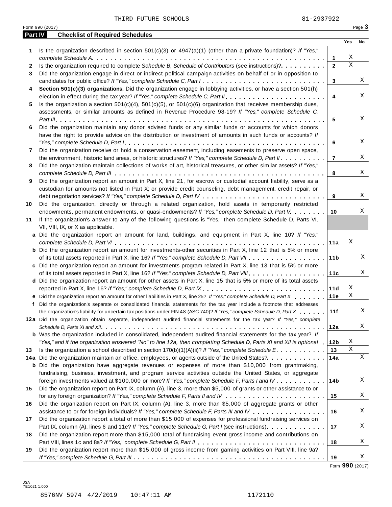|         | Form 990 (2017)                                                                                                                                                                                                                                                                                                                                                                                                                                                                                            |                 |                  | Page 3       |
|---------|------------------------------------------------------------------------------------------------------------------------------------------------------------------------------------------------------------------------------------------------------------------------------------------------------------------------------------------------------------------------------------------------------------------------------------------------------------------------------------------------------------|-----------------|------------------|--------------|
| Part IV | <b>Checklist of Required Schedules</b>                                                                                                                                                                                                                                                                                                                                                                                                                                                                     |                 |                  |              |
|         |                                                                                                                                                                                                                                                                                                                                                                                                                                                                                                            |                 | Yes              | No           |
| 1       | Is the organization described in section $501(c)(3)$ or $4947(a)(1)$ (other than a private foundation)? If "Yes,"                                                                                                                                                                                                                                                                                                                                                                                          |                 |                  |              |
|         |                                                                                                                                                                                                                                                                                                                                                                                                                                                                                                            | 1               | Χ<br>$\mathbf X$ |              |
| 2       | Is the organization required to complete Schedule B, Schedule of Contributors (see instructions)?.                                                                                                                                                                                                                                                                                                                                                                                                         | $\mathbf{2}$    |                  |              |
| 3       | Did the organization engage in direct or indirect political campaign activities on behalf of or in opposition to                                                                                                                                                                                                                                                                                                                                                                                           |                 |                  | Χ            |
|         | candidates for public office? If "Yes," complete Schedule C, Part I.                                                                                                                                                                                                                                                                                                                                                                                                                                       | 3               |                  |              |
| 4       | Section 501(c)(3) organizations. Did the organization engage in lobbying activities, or have a section 501(h)                                                                                                                                                                                                                                                                                                                                                                                              |                 |                  | Χ            |
|         |                                                                                                                                                                                                                                                                                                                                                                                                                                                                                                            | $\overline{4}$  |                  |              |
| 5       | Is the organization a section $501(c)(4)$ , $501(c)(5)$ , or $501(c)(6)$ organization that receives membership dues,                                                                                                                                                                                                                                                                                                                                                                                       |                 |                  |              |
|         | assessments, or similar amounts as defined in Revenue Procedure 98-19? If "Yes," complete Schedule C,                                                                                                                                                                                                                                                                                                                                                                                                      | 5               |                  | Χ            |
|         |                                                                                                                                                                                                                                                                                                                                                                                                                                                                                                            |                 |                  |              |
| 6       | Did the organization maintain any donor advised funds or any similar funds or accounts for which donors<br>have the right to provide advice on the distribution or investment of amounts in such funds or accounts? If                                                                                                                                                                                                                                                                                     |                 |                  |              |
|         |                                                                                                                                                                                                                                                                                                                                                                                                                                                                                                            |                 |                  | Χ            |
|         | "Yes," complete Schedule D, Part $l_1, \ldots, l_k, \ldots, l_k, \ldots, l_k, \ldots, l_k, \ldots, l_k, \ldots, l_k, \ldots, l_k, \ldots, l_k, \ldots, l_k, \ldots, l_k, \ldots, l_k, \ldots, l_k, \ldots, l_k, \ldots, l_k, \ldots, l_k, \ldots, l_k, \ldots, l_k, \ldots, l_k, \ldots, l_k, \ldots, l_k, \ldots, l_k, \ldots, l_k, \ldots, l_k, \ldots, l_k, \ldots, l_k, \ldots, l_k, \ld$<br>Did the organization receive or hold a conservation easement, including easements to preserve open space, | 6               |                  |              |
| 7       |                                                                                                                                                                                                                                                                                                                                                                                                                                                                                                            | $\overline{7}$  |                  | Χ            |
|         | the environment, historic land areas, or historic structures? If "Yes," complete Schedule D, Part II.<br>Did the organization maintain collections of works of art, historical treasures, or other similar assets? If "Yes,"                                                                                                                                                                                                                                                                               |                 |                  |              |
| 8       |                                                                                                                                                                                                                                                                                                                                                                                                                                                                                                            | 8               |                  | Χ            |
| 9       | Did the organization report an amount in Part X, line 21, for escrow or custodial account liability, serve as a                                                                                                                                                                                                                                                                                                                                                                                            |                 |                  |              |
|         |                                                                                                                                                                                                                                                                                                                                                                                                                                                                                                            |                 |                  |              |
|         | custodian for amounts not listed in Part X; or provide credit counseling, debt management, credit repair, or                                                                                                                                                                                                                                                                                                                                                                                               | 9               |                  | Χ            |
|         | Did the organization, directly or through a related organization, hold assets in temporarily restricted                                                                                                                                                                                                                                                                                                                                                                                                    |                 |                  |              |
| 10      | endowments, permanent endowments, or quasi-endowments? If "Yes," complete Schedule D, Part V.                                                                                                                                                                                                                                                                                                                                                                                                              | 10              |                  | X            |
|         | If the organization's answer to any of the following questions is "Yes," then complete Schedule D, Parts VI,                                                                                                                                                                                                                                                                                                                                                                                               |                 |                  |              |
| 11      | VII, VIII, IX, or X as applicable.                                                                                                                                                                                                                                                                                                                                                                                                                                                                         |                 |                  |              |
|         | a Did the organization report an amount for land, buildings, and equipment in Part X, line 10? If "Yes,"                                                                                                                                                                                                                                                                                                                                                                                                   |                 |                  |              |
|         |                                                                                                                                                                                                                                                                                                                                                                                                                                                                                                            | 11a             | Χ                |              |
|         | <b>b</b> Did the organization report an amount for investments-other securities in Part X, line 12 that is 5% or more                                                                                                                                                                                                                                                                                                                                                                                      |                 |                  |              |
|         |                                                                                                                                                                                                                                                                                                                                                                                                                                                                                                            | 11 <sub>b</sub> |                  | Χ            |
|         | c Did the organization report an amount for investments-program related in Part X, line 13 that is 5% or more                                                                                                                                                                                                                                                                                                                                                                                              |                 |                  |              |
|         |                                                                                                                                                                                                                                                                                                                                                                                                                                                                                                            | 11c             |                  | Χ            |
|         | d Did the organization report an amount for other assets in Part X, line 15 that is 5% or more of its total assets                                                                                                                                                                                                                                                                                                                                                                                         |                 |                  |              |
|         | reported in Part X, line 16? If "Yes," complete Schedule D, Part IX.                                                                                                                                                                                                                                                                                                                                                                                                                                       | 11d             | Χ                |              |
|         | e Did the organization report an amount for other liabilities in Part X, line 25? If "Yes," complete Schedule D, Part X                                                                                                                                                                                                                                                                                                                                                                                    | 11e             | Χ                |              |
|         | f Did the organization's separate or consolidated financial statements for the tax year include a footnote that addresses                                                                                                                                                                                                                                                                                                                                                                                  |                 |                  |              |
|         | the organization's liability for uncertain tax positions under FIN 48 (ASC 740)? If "Yes," complete Schedule D, Part X                                                                                                                                                                                                                                                                                                                                                                                     | 11f             |                  | Χ            |
|         | 12a Did the organization obtain separate, independent audited financial statements for the tax year? If "Yes," complete                                                                                                                                                                                                                                                                                                                                                                                    |                 |                  |              |
|         |                                                                                                                                                                                                                                                                                                                                                                                                                                                                                                            | 12a             |                  | Χ            |
|         | <b>b</b> Was the organization included in consolidated, independent audited financial statements for the tax year? If                                                                                                                                                                                                                                                                                                                                                                                      |                 |                  |              |
|         | "Yes," and if the organization answered "No" to line 12a, then completing Schedule D, Parts XI and XII is optional 1                                                                                                                                                                                                                                                                                                                                                                                       | 12 <sub>b</sub> | Χ                |              |
| 13      | Is the organization a school described in section $170(b)(1)(A)(ii)?$ If "Yes," complete Schedule E.                                                                                                                                                                                                                                                                                                                                                                                                       | 13              | Χ                |              |
|         | 14a Did the organization maintain an office, employees, or agents outside of the United States?.                                                                                                                                                                                                                                                                                                                                                                                                           | 14a             |                  | $\mathbf{X}$ |
|         | <b>b</b> Did the organization have aggregate revenues or expenses of more than \$10,000 from grantmaking,                                                                                                                                                                                                                                                                                                                                                                                                  |                 |                  |              |
|         | fundraising, business, investment, and program service activities outside the United States, or aggregate                                                                                                                                                                                                                                                                                                                                                                                                  |                 |                  |              |
|         | foreign investments valued at \$100,000 or more? If "Yes," complete Schedule F, Parts I and IV                                                                                                                                                                                                                                                                                                                                                                                                             | 14 <sub>b</sub> |                  | Χ            |
| 15      | Did the organization report on Part IX, column (A), line 3, more than \$5,000 of grants or other assistance to or                                                                                                                                                                                                                                                                                                                                                                                          |                 |                  |              |
|         |                                                                                                                                                                                                                                                                                                                                                                                                                                                                                                            | 15              |                  | Χ            |
| 16      | Did the organization report on Part IX, column (A), line 3, more than \$5,000 of aggregate grants or other                                                                                                                                                                                                                                                                                                                                                                                                 |                 |                  |              |
|         | assistance to or for foreign individuals? If "Yes," complete Schedule F, Parts III and IV                                                                                                                                                                                                                                                                                                                                                                                                                  | 16              |                  | Χ            |
| 17      | Did the organization report a total of more than \$15,000 of expenses for professional fundraising services on                                                                                                                                                                                                                                                                                                                                                                                             |                 |                  |              |
|         | Part IX, column (A), lines 6 and 11e? If "Yes," complete Schedule G, Part I (see instructions)                                                                                                                                                                                                                                                                                                                                                                                                             | 17              |                  | Χ            |
| 18      | Did the organization report more than \$15,000 total of fundraising event gross income and contributions on                                                                                                                                                                                                                                                                                                                                                                                                |                 |                  |              |
|         |                                                                                                                                                                                                                                                                                                                                                                                                                                                                                                            | 18              |                  | Χ            |
| 19      | Did the organization report more than \$15,000 of gross income from gaming activities on Part VIII, line 9a?                                                                                                                                                                                                                                                                                                                                                                                               |                 |                  |              |
|         |                                                                                                                                                                                                                                                                                                                                                                                                                                                                                                            | 19              |                  | Χ            |

Form **990** (2017)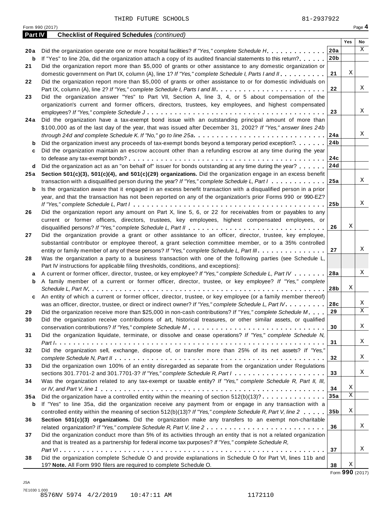| <b>Part IV</b> | <b>Checklist of Required Schedules (continued)</b>                                                                                                                                                                       |                 |             |    |
|----------------|--------------------------------------------------------------------------------------------------------------------------------------------------------------------------------------------------------------------------|-----------------|-------------|----|
|                |                                                                                                                                                                                                                          |                 | Yes         | No |
| 20 a           | Did the organization operate one or more hospital facilities? If "Yes," complete Schedule H.                                                                                                                             | 20a             |             | X  |
| b              | If "Yes" to line 20a, did the organization attach a copy of its audited financial statements to this return?                                                                                                             | 20 <sub>b</sub> |             |    |
| 21             | Did the organization report more than \$5,000 of grants or other assistance to any domestic organization or                                                                                                              |                 |             |    |
|                | domestic government on Part IX, column (A), line 1? If "Yes," complete Schedule I, Parts I and II.                                                                                                                       | 21              | Χ           |    |
| 22             | Did the organization report more than \$5,000 of grants or other assistance to or for domestic individuals on                                                                                                            |                 |             |    |
|                |                                                                                                                                                                                                                          | 22              |             | X  |
| 23             | Did the organization answer "Yes" to Part VII, Section A, line 3, 4, or 5 about compensation of the                                                                                                                      |                 |             |    |
|                | organization's current and former officers, directors, trustees, key employees, and highest compensated                                                                                                                  |                 |             |    |
|                |                                                                                                                                                                                                                          | 23              |             | X  |
| 24 a           | Did the organization have a tax-exempt bond issue with an outstanding principal amount of more than                                                                                                                      |                 |             |    |
|                | \$100,000 as of the last day of the year, that was issued after December 31, 2002? If "Yes," answer lines 24b                                                                                                            |                 |             |    |
|                | through 24d and complete Schedule K. If "No," go to line 25a                                                                                                                                                             | 24a             |             | Χ  |
| b              | Did the organization invest any proceeds of tax-exempt bonds beyond a temporary period exception?                                                                                                                        | 24b             |             |    |
| c              | Did the organization maintain an escrow account other than a refunding escrow at any time during the year                                                                                                                |                 |             |    |
|                |                                                                                                                                                                                                                          | 24c             |             |    |
| d              | Did the organization act as an "on behalf of" issuer for bonds outstanding at any time during the year?                                                                                                                  | 24d             |             |    |
| 25 a           | Section 501(c)(3), 501(c)(4), and 501(c)(29) organizations. Did the organization engage in an excess benefit                                                                                                             |                 |             |    |
|                | transaction with a disqualified person during the year? If "Yes," complete Schedule L, Part $1, \ldots, \ldots, \ldots$                                                                                                  | 25a             |             | Χ  |
| b              | Is the organization aware that it engaged in an excess benefit transaction with a disqualified person in a prior                                                                                                         |                 |             |    |
|                | year, and that the transaction has not been reported on any of the organization's prior Forms 990 or 990-EZ?                                                                                                             |                 |             |    |
|                |                                                                                                                                                                                                                          | 25 <sub>b</sub> |             | X  |
| 26             | Did the organization report any amount on Part X, line 5, 6, or 22 for receivables from or payables to any                                                                                                               |                 |             |    |
|                | current or former officers, directors, trustees, key employees, highest compensated employees, or                                                                                                                        |                 |             |    |
|                |                                                                                                                                                                                                                          | 26              | Χ           |    |
| 27             | Did the organization provide a grant or other assistance to an officer, director, trustee, key employee,                                                                                                                 |                 |             |    |
|                | substantial contributor or employee thereof, a grant selection committee member, or to a 35% controlled                                                                                                                  |                 |             |    |
|                | entity or family member of any of these persons? If "Yes," complete Schedule L, Part III.                                                                                                                                | 27              |             | Χ  |
| 28             | Was the organization a party to a business transaction with one of the following parties (see Schedule L,                                                                                                                |                 |             |    |
|                | Part IV instructions for applicable filing thresholds, conditions, and exceptions):                                                                                                                                      |                 |             |    |
| a              | A current or former officer, director, trustee, or key employee? If "Yes," complete Schedule L, Part IV                                                                                                                  | 28a             |             | Χ  |
| b              | A family member of a current or former officer, director, trustee, or key employee? If "Yes," complete                                                                                                                   |                 |             |    |
|                | Schedule L. Part IV et al.                                                                                                                                                                                               | 28b             | Χ           |    |
| c              | An entity of which a current or former officer, director, trustee, or key employee (or a family member thereof)                                                                                                          |                 |             |    |
|                | was an officer, director, trustee, or direct or indirect owner? If "Yes," complete Schedule L, Part IV.                                                                                                                  | 28c             |             | Χ  |
| 29             | Did the organization receive more than \$25,000 in non-cash contributions? If "Yes," complete Schedule M                                                                                                                 | 29              |             | Χ  |
| 30             | Did the organization receive contributions of art, historical treasures, or other similar assets, or qualified                                                                                                           |                 |             |    |
|                |                                                                                                                                                                                                                          | 30              |             | Χ  |
| 31             | Did the organization liquidate, terminate, or dissolve and cease operations? If "Yes," complete Schedule N,                                                                                                              |                 |             |    |
|                |                                                                                                                                                                                                                          | 31              |             | Χ  |
| 32             | Did the organization sell, exchange, dispose of, or transfer more than 25% of its net assets? If "Yes,"                                                                                                                  |                 |             |    |
|                |                                                                                                                                                                                                                          | 32              |             | Χ  |
| 33             | Did the organization own 100% of an entity disregarded as separate from the organization under Regulations                                                                                                               |                 |             |    |
|                | sections 301.7701-2 and 301.7701-3? If "Yes," complete Schedule R, Part $1, \ldots, \ldots, \ldots, \ldots, \ldots, \ldots$                                                                                              | 33              |             | Χ  |
| 34             | Was the organization related to any tax-exempt or taxable entity? If "Yes," complete Schedule R, Part II, III,                                                                                                           |                 | Χ           |    |
|                |                                                                                                                                                                                                                          | 34              | $\mathbf X$ |    |
| 35 a           | Did the organization have a controlled entity within the meaning of section $512(b)(13)? \ldots \ldots \ldots \ldots$                                                                                                    | 35a             |             |    |
| b              | If "Yes" to line 35a, did the organization receive any payment from or engage in any transaction with a                                                                                                                  | 35 <sub>b</sub> | Χ           |    |
|                | controlled entity within the meaning of section 512(b)(13)? If "Yes," complete Schedule R, Part V, line 2                                                                                                                |                 |             |    |
| 36             | Section 501(c)(3) organizations. Did the organization make any transfers to an exempt non-charitable                                                                                                                     | 36              |             | Χ  |
|                |                                                                                                                                                                                                                          |                 |             |    |
| 37             | Did the organization conduct more than 5% of its activities through an entity that is not a related organization<br>and that is treated as a partnership for federal income tax purposes? If "Yes," complete Schedule R, |                 |             |    |
|                |                                                                                                                                                                                                                          | 37              |             | Χ  |
| 38             | Did the organization complete Schedule O and provide explanations in Schedule O for Part VI, lines 11b and                                                                                                               |                 |             |    |
|                | 19? Note. All Form 990 filers are required to complete Schedule O.                                                                                                                                                       | 38              | Χ           |    |

Form **990** (2017)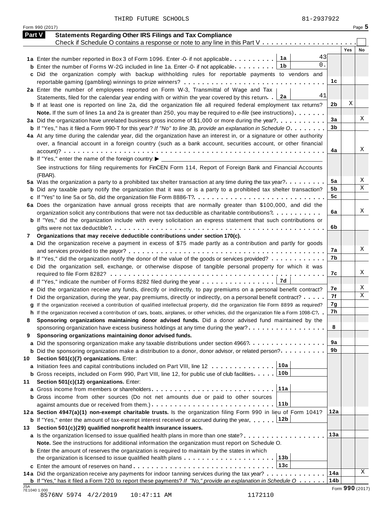Form <sup>990</sup> (2017) Page **5**

| <b>Part V</b> | <b>Statements Regarding Other IRS Filings and Tax Compliance</b>                                                                                                                                                                     |                        |            |    |
|---------------|--------------------------------------------------------------------------------------------------------------------------------------------------------------------------------------------------------------------------------------|------------------------|------------|----|
|               | Check if Schedule O contains a response or note to any line in this Part $V_1, \ldots, V_k, \ldots, V_k, \ldots$                                                                                                                     |                        |            |    |
|               | 43                                                                                                                                                                                                                                   |                        | <b>Yes</b> | No |
|               | 1a Enter the number reported in Box 3 of Form 1096. Enter -0- if not applicable 1a<br>0.<br>1b                                                                                                                                       |                        |            |    |
|               | <b>b</b> Enter the number of Forms W-2G included in line 1a. Enter -0- if not applicable. $\dots \dots \dots$<br>c Did the organization comply with backup withholding rules for reportable payments to vendors and                  |                        |            |    |
|               |                                                                                                                                                                                                                                      | 1c                     |            |    |
|               | 2a Enter the number of employees reported on Form W-3, Transmittal of Wage and Tax                                                                                                                                                   |                        |            |    |
|               | 41<br>2a<br>Statements, filed for the calendar year ending with or within the year covered by this return.                                                                                                                           |                        |            |    |
|               | <b>b</b> If at least one is reported on line 2a, did the organization file all required federal employment tax returns?                                                                                                              | 2b                     | Χ          |    |
|               | Note. If the sum of lines 1a and 2a is greater than 250, you may be required to e-file (see instructions)                                                                                                                            |                        |            |    |
|               | 3a Did the organization have unrelated business gross income of \$1,000 or more during the year?                                                                                                                                     | 3a                     |            | Χ  |
|               | <b>b</b> If "Yes," has it filed a Form 990-T for this year? If "No" to line 3b, provide an explanation in Schedule O                                                                                                                 | 3 <sub>b</sub>         |            |    |
|               | 4a At any time during the calendar year, did the organization have an interest in, or a signature or other authority                                                                                                                 |                        |            |    |
|               | over, a financial account in a foreign country (such as a bank account, securities account, or other financial                                                                                                                       |                        |            |    |
|               |                                                                                                                                                                                                                                      | 4a                     |            | Х  |
|               |                                                                                                                                                                                                                                      |                        |            |    |
|               | See instructions for filing requirements for FinCEN Form 114, Report of Foreign Bank and Financial Accounts                                                                                                                          |                        |            |    |
|               | (FBAR).                                                                                                                                                                                                                              |                        |            |    |
|               | 5a Was the organization a party to a prohibited tax shelter transaction at any time during the tax year?                                                                                                                             | 5a                     |            | Χ  |
|               | <b>b</b> Did any taxable party notify the organization that it was or is a party to a prohibited tax shelter transaction?                                                                                                            | 5b                     |            | Χ  |
|               |                                                                                                                                                                                                                                      | 5c                     |            |    |
|               | 6a Does the organization have annual gross receipts that are normally greater than \$100,000, and did the                                                                                                                            |                        |            |    |
|               | organization solicit any contributions that were not tax deductible as charitable contributions?                                                                                                                                     | 6a                     |            | Χ  |
|               | <b>b</b> If "Yes," did the organization include with every solicitation an express statement that such contributions or                                                                                                              |                        |            |    |
|               |                                                                                                                                                                                                                                      | 6b                     |            |    |
| 7             | Organizations that may receive deductible contributions under section 170(c).                                                                                                                                                        |                        |            |    |
|               | a Did the organization receive a payment in excess of \$75 made partly as a contribution and partly for goods                                                                                                                        |                        |            |    |
|               |                                                                                                                                                                                                                                      | 7a                     |            | Χ  |
|               | <b>b</b> If "Yes," did the organization notify the donor of the value of the goods or services provided?                                                                                                                             | 7b                     |            |    |
|               | c Did the organization sell, exchange, or otherwise dispose of tangible personal property for which it was                                                                                                                           |                        |            |    |
|               |                                                                                                                                                                                                                                      | 7c                     |            | X  |
|               |                                                                                                                                                                                                                                      |                        |            |    |
|               | e Did the organization receive any funds, directly or indirectly, to pay premiums on a personal benefit contract?                                                                                                                    | 7e                     |            | Χ  |
|               | f Did the organization, during the year, pay premiums, directly or indirectly, on a personal benefit contract?                                                                                                                       | 7f                     |            | Χ  |
|               | g If the organization received a contribution of qualified intellectual property, did the organization file Form 8899 as required?                                                                                                   | 7g                     |            |    |
|               | h If the organization received a contribution of cars, boats, airplanes, or other vehicles, did the organization file a Form 1098-C?. .                                                                                              | 7h                     |            |    |
|               | Sponsoring organizations maintaining donor advised funds. Did a donor advised fund maintained by the                                                                                                                                 |                        |            |    |
|               | sponsoring organization have excess business holdings at any time during the year?                                                                                                                                                   | 8                      |            |    |
| 9             | Sponsoring organizations maintaining donor advised funds.                                                                                                                                                                            |                        |            |    |
|               | a Did the sponsoring organization make any taxable distributions under section 4966?                                                                                                                                                 | 9a                     |            |    |
|               | <b>b</b> Did the sponsoring organization make a distribution to a donor, donor advisor, or related person?                                                                                                                           | 9b                     |            |    |
| 10            | Section 501(c)(7) organizations. Enter:                                                                                                                                                                                              |                        |            |    |
|               | 10a<br>a Initiation fees and capital contributions included on Part VIII, line 12                                                                                                                                                    |                        |            |    |
|               | 10b<br><b>b</b> Gross receipts, included on Form 990, Part VIII, line 12, for public use of club facilities. $\ldots$ .                                                                                                              |                        |            |    |
| 11            | Section 501(c)(12) organizations. Enter:                                                                                                                                                                                             |                        |            |    |
|               | 11a<br>a Gross income from members or shareholders                                                                                                                                                                                   |                        |            |    |
|               | <b>b</b> Gross income from other sources (Do not net amounts due or paid to other sources                                                                                                                                            |                        |            |    |
|               | 11b                                                                                                                                                                                                                                  |                        |            |    |
|               | 12a Section 4947(a)(1) non-exempt charitable trusts. Is the organization filing Form 990 in lieu of Form 1041?                                                                                                                       | 12a                    |            |    |
|               | <b>b</b> If "Yes," enter the amount of tax-exempt interest received or accrued during the year  12b                                                                                                                                  |                        |            |    |
| 13.           | Section 501(c)(29) qualified nonprofit health insurance issuers.                                                                                                                                                                     |                        |            |    |
|               | a Is the organization licensed to issue qualified health plans in more than one state?                                                                                                                                               | 13a                    |            |    |
|               | Note. See the instructions for additional information the organization must report on Schedule O.                                                                                                                                    |                        |            |    |
|               | <b>b</b> Enter the amount of reserves the organization is required to maintain by the states in which                                                                                                                                |                        |            |    |
|               | 13 <sub>b</sub><br>the organization is licensed to issue qualified health plans $\ldots \ldots \ldots \ldots \ldots \ldots \ldots$                                                                                                   |                        |            |    |
|               | 13c                                                                                                                                                                                                                                  |                        |            | Χ  |
|               |                                                                                                                                                                                                                                      |                        |            |    |
|               | 14a Did the organization receive any payments for indoor tanning services during the tax year?<br><b>b</b> If "Yes," has it filed a Form 720 to report these payments? If "No," provide an explanation in Schedule $0 \ldots \ldots$ | 14a<br>14 <sub>b</sub> |            |    |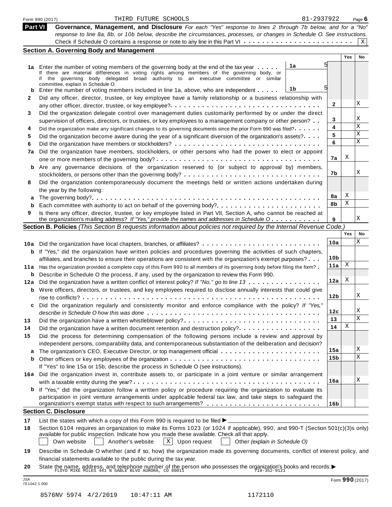|                | THIRD FUTURE SCHOOLS<br>81-2937922<br>Form 990 (2017)                                                                                                                                                                           |              |            | Page 6      |
|----------------|---------------------------------------------------------------------------------------------------------------------------------------------------------------------------------------------------------------------------------|--------------|------------|-------------|
| <b>Part VI</b> | Governance, Management, and Disclosure For each "Yes" response to lines 2 through 7b below, and for a "No"                                                                                                                      |              |            |             |
|                | response to line 8a, 8b, or 10b below, describe the circumstances, processes, or changes in Schedule O. See instructions.                                                                                                       |              |            |             |
|                |                                                                                                                                                                                                                                 |              |            | Χ           |
|                | <b>Section A. Governing Body and Management</b>                                                                                                                                                                                 |              |            |             |
|                |                                                                                                                                                                                                                                 |              | <b>Yes</b> | No          |
|                | 1a<br>1a Enter the number of voting members of the governing body at the end of the tax year                                                                                                                                    |              |            |             |
|                | If there are material differences in voting rights among members of the governing body, or                                                                                                                                      |              |            |             |
|                | if the governing body delegated broad authority to an executive committee or similar                                                                                                                                            |              |            |             |
|                | committee, explain in Schedule O.<br>1b<br><b>b</b> Enter the number of voting members included in line 1a, above, who are independent                                                                                          |              |            |             |
| $\mathbf{2}$   | Did any officer, director, trustee, or key employee have a family relationship or a business relationship with                                                                                                                  |              |            |             |
|                |                                                                                                                                                                                                                                 | $\mathbf{2}$ |            | Χ           |
| 3              | Did the organization delegate control over management duties customarily performed by or under the direct                                                                                                                       |              |            |             |
|                |                                                                                                                                                                                                                                 | 3            |            | Χ           |
| 4              | supervision of officers, directors, or trustees, or key employees to a management company or other person?                                                                                                                      | 4            |            | X           |
|                | Did the organization make any significant changes to its governing documents since the prior Form 990 was filed?.                                                                                                               | 5            |            | X           |
| 5              | Did the organization become aware during the year of a significant diversion of the organization's assets?                                                                                                                      | 6            |            | $\mathbf x$ |
| 6              |                                                                                                                                                                                                                                 |              |            |             |
| 7a             | Did the organization have members, stockholders, or other persons who had the power to elect or appoint                                                                                                                         | 7a           | Χ          |             |
|                |                                                                                                                                                                                                                                 |              |            |             |
|                | b Are any governance decisions of the organization reserved to (or subject to approval by) members,                                                                                                                             | 7b           |            | Χ           |
|                |                                                                                                                                                                                                                                 |              |            |             |
| 8              | Did the organization contemporaneously document the meetings held or written actions undertaken during                                                                                                                          |              |            |             |
|                | the year by the following:                                                                                                                                                                                                      |              |            |             |
| a              |                                                                                                                                                                                                                                 | 8a           | X          |             |
| b              | Each committee with authority to act on behalf of the governing body?                                                                                                                                                           | 8b           | Χ          |             |
| 9              | Is there any officer, director, trustee, or key employee listed in Part VII, Section A, who cannot be reached at                                                                                                                |              |            |             |
|                | the organization's mailing address? If "Yes," provide the names and addresses in Schedule O                                                                                                                                     | 9            |            | X           |
|                | Section B. Policies (This Section B requests information about policies not required by the Internal Revenue Code.)                                                                                                             |              |            |             |
|                |                                                                                                                                                                                                                                 |              | Yes        | No          |
|                | 10a Did the organization have local chapters, branches, or affiliates?                                                                                                                                                          | 10a          |            | X           |
|                | <b>b</b> If "Yes," did the organization have written policies and procedures governing the activities of such chapters,                                                                                                         |              |            |             |
|                | affiliates, and branches to ensure their operations are consistent with the organization's exempt purposes?                                                                                                                     | 10b          |            |             |
|                | 11a Has the organization provided a complete copy of this Form 990 to all members of its governing body before filing the form?                                                                                                 | 11a          | X          |             |
| b              | Describe in Schedule O the process, if any, used by the organization to review this Form 990.                                                                                                                                   |              |            |             |
|                | 12a Did the organization have a written conflict of interest policy? If "No," go to line 13                                                                                                                                     | 12a          | Χ          |             |
|                | <b>b</b> Were officers, directors, or trustees, and key employees required to disclose annually interests that could give                                                                                                       |              |            |             |
|                |                                                                                                                                                                                                                                 | 12b          |            | Χ           |
| c              | Did the organization regularly and consistently monitor and enforce compliance with the policy? If "Yes,"                                                                                                                       |              |            |             |
|                |                                                                                                                                                                                                                                 | 12c          |            | Χ           |
| 13             |                                                                                                                                                                                                                                 | 13           |            | X           |
| 14             | Did the organization have a written document retention and destruction policy?                                                                                                                                                  | 14           | Χ          |             |
| 15             | Did the process for determining compensation of the following persons include a review and approval by                                                                                                                          |              |            |             |
|                | independent persons, comparability data, and contemporaneous substantiation of the deliberation and decision?                                                                                                                   |              |            |             |
| a              |                                                                                                                                                                                                                                 | 15a          |            | Χ           |
| b              |                                                                                                                                                                                                                                 | 15b          |            | X           |
|                | If "Yes" to line 15a or 15b, describe the process in Schedule O (see instructions).                                                                                                                                             |              |            |             |
|                | 16a Did the organization invest in, contribute assets to, or participate in a joint venture or similar arrangement                                                                                                              |              |            |             |
|                |                                                                                                                                                                                                                                 | 16a          |            | Χ           |
|                | <b>b</b> If "Yes," did the organization follow a written policy or procedure requiring the organization to evaluate its                                                                                                         |              |            |             |
|                | participation in joint venture arrangements under applicable federal tax law, and take steps to safeguard the                                                                                                                   |              |            |             |
|                |                                                                                                                                                                                                                                 | 16b          |            |             |
|                | <b>Section C. Disclosure</b>                                                                                                                                                                                                    |              |            |             |
|                |                                                                                                                                                                                                                                 |              |            |             |
| 17             | List the states with which a copy of this Form 990 is required to be filed $\blacktriangleright$                                                                                                                                |              |            |             |
| 18             | Section 6104 requires an organization to make its Forms 1023 (or 1024 if applicable), 990, and 990-T (Section 501(c)(3)s only)<br>available for public inspection. Indicate how you made these available. Check all that apply. |              |            |             |
|                | Own website<br>Another's website<br>$X$ Upon request<br>Other (explain in Schedule O)                                                                                                                                           |              |            |             |
|                |                                                                                                                                                                                                                                 |              |            |             |
| 19             | Describe in Schedule O whether (and if so, how) the organization made its governing documents, conflict of interest policy, and                                                                                                 |              |            |             |
|                | financial statements available to the public during the tax year.                                                                                                                                                               |              |            |             |
| 20             | State the name, address, and telephone number of the person who possesses the organization's books and records: $\blacktriangleright$<br>FLOYD MIKE MILES 441 N SABLE BLVD AURORA, CO 80011                                     |              |            |             |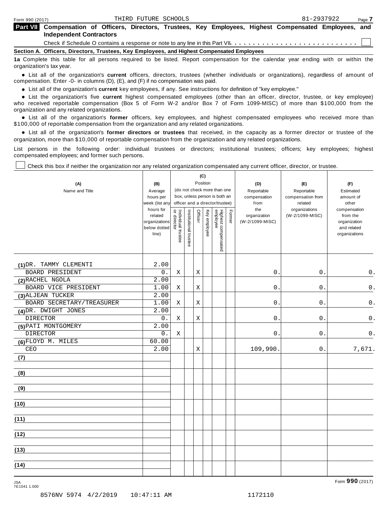⊤

| Part VII Compensation of Officers, Directors, Trustees, Key Employees, Highest Compensated Employees, and<br><b>Independent Contractors</b> |  |
|---------------------------------------------------------------------------------------------------------------------------------------------|--|
|                                                                                                                                             |  |
| Section A. Officers, Directors, Trustees, Key Employees, and Highest Compensated Employees                                                  |  |

**1a** Complete this table for all persons required to be listed. Report compensation for the calendar year ending with or within the organization's tax year.

anization's lax year.<br>● List all of the organization's **current** officers, directors, trustees (whether individuals or organizations), regardless of amount of<br>nnensation Enter -0- in columns (D) (E) and (E) if no compensa compensation. Enter -0- in columns (D), (E), and (F) if no compensation was paid.

• List all of the organization's **current** key employees, if any. See instructions for definition of "key employee."<br>● List the experientials five expect highest expressed explores (other than an efficer director of

**Example in the organization's current** key employees, if any. See instructions for definition of key employee.<br>• List the organization's five **current** highest compensated employees (other than an officer, director, trust who received reportable compensation (Box 5 of Form W-2 and/or Box 7 of Form 1099-MISC) of more than \$100,000 from the

organization and any related organizations.<br>• List all of the organization's **former** officers, key employees, and highest compensated employees who received more than<br>\$1.00.000 of reportable componention from the erganiza \$100,000 of reportable compensation from the organization and any related organizations.

% List all of the organization's **former directors or trustees** that received, in the capacity as a former director or trustee of the organization, more than \$10,000 of reportable compensation from the organization and any related organizations.

List persons in the following order: individual trustees or directors; institutional trustees; officers; key employees; highest compensated employees; and former such persons.

┱

Т

Check this box if neither the organization nor any related organization compensated any current officer, director, or trustee.

┰

| (A)<br>Name and Title     | (B)<br>Average<br>hours per<br>week (list any<br>hours for<br>related<br>organizations<br>below dotted<br>line) | Individual trustee<br>or director | Institutional trustee | Officer | (C)<br>Position<br>Key employee | (do not check more than one<br>box, unless person is both an<br>officer and a director/trustee)<br>Highest compensated<br>employee | Former | (D)<br>Reportable<br>compensation<br>from<br>the<br>organization<br>(W-2/1099-MISC) | (E)<br>Reportable<br>compensation from<br>related<br>organizations<br>(W-2/1099-MISC) | (F)<br>Estimated<br>amount of<br>other<br>compensation<br>from the<br>organization<br>and related<br>organizations |
|---------------------------|-----------------------------------------------------------------------------------------------------------------|-----------------------------------|-----------------------|---------|---------------------------------|------------------------------------------------------------------------------------------------------------------------------------|--------|-------------------------------------------------------------------------------------|---------------------------------------------------------------------------------------|--------------------------------------------------------------------------------------------------------------------|
| (1) DR. TAMMY CLEMENTI    | 2.00                                                                                                            |                                   |                       |         |                                 |                                                                                                                                    |        |                                                                                     |                                                                                       |                                                                                                                    |
| <b>BOARD PRESIDENT</b>    | 0.                                                                                                              | Χ                                 |                       | Χ       |                                 |                                                                                                                                    |        | 0.                                                                                  | 0.                                                                                    | $0$ .                                                                                                              |
| (2) RACHEL NGOLA          | 2.00                                                                                                            |                                   |                       |         |                                 |                                                                                                                                    |        |                                                                                     |                                                                                       |                                                                                                                    |
| BOARD VICE PRESIDENT      | 1.00                                                                                                            | Χ                                 |                       | Χ       |                                 |                                                                                                                                    |        | 0.                                                                                  | $0$ .                                                                                 | $0$ .                                                                                                              |
| (3) ALJEAN TUCKER         | 2.00                                                                                                            |                                   |                       |         |                                 |                                                                                                                                    |        |                                                                                     |                                                                                       |                                                                                                                    |
| BOARD SECRETARY/TREASURER | 1.00                                                                                                            | Χ                                 |                       | Χ       |                                 |                                                                                                                                    |        | $0$ .                                                                               | 0.                                                                                    | 0.                                                                                                                 |
| (4) DR. DWIGHT JONES      | 2.00                                                                                                            |                                   |                       |         |                                 |                                                                                                                                    |        |                                                                                     |                                                                                       |                                                                                                                    |
| <b>DIRECTOR</b>           | 0.                                                                                                              | X                                 |                       | Χ       |                                 |                                                                                                                                    |        | $0$ .                                                                               | $0$ .                                                                                 | $0$ .                                                                                                              |
| (5) PATI MONTGOMERY       | 2.00                                                                                                            |                                   |                       |         |                                 |                                                                                                                                    |        |                                                                                     |                                                                                       |                                                                                                                    |
| <b>DIRECTOR</b>           | $0$ .                                                                                                           | $\mathbf X$                       |                       |         |                                 |                                                                                                                                    |        | $0$ .                                                                               | $0$ .                                                                                 | $\mathsf 0$ .                                                                                                      |
| (6) FLOYD M. MILES        | 60.00                                                                                                           |                                   |                       |         |                                 |                                                                                                                                    |        |                                                                                     |                                                                                       |                                                                                                                    |
| CEO                       | 2.00                                                                                                            |                                   |                       | Χ       |                                 |                                                                                                                                    |        | 109,990.                                                                            | $\mathsf 0$ .                                                                         | 7,671.                                                                                                             |
| (7)                       |                                                                                                                 |                                   |                       |         |                                 |                                                                                                                                    |        |                                                                                     |                                                                                       |                                                                                                                    |
| (8)                       |                                                                                                                 |                                   |                       |         |                                 |                                                                                                                                    |        |                                                                                     |                                                                                       |                                                                                                                    |
| (9)                       |                                                                                                                 |                                   |                       |         |                                 |                                                                                                                                    |        |                                                                                     |                                                                                       |                                                                                                                    |
| (10)                      |                                                                                                                 |                                   |                       |         |                                 |                                                                                                                                    |        |                                                                                     |                                                                                       |                                                                                                                    |
| (11)                      |                                                                                                                 |                                   |                       |         |                                 |                                                                                                                                    |        |                                                                                     |                                                                                       |                                                                                                                    |
| (12)                      |                                                                                                                 |                                   |                       |         |                                 |                                                                                                                                    |        |                                                                                     |                                                                                       |                                                                                                                    |
| (13)                      |                                                                                                                 |                                   |                       |         |                                 |                                                                                                                                    |        |                                                                                     |                                                                                       |                                                                                                                    |
| (14)                      |                                                                                                                 |                                   |                       |         |                                 |                                                                                                                                    |        |                                                                                     |                                                                                       |                                                                                                                    |

7E1041 1.000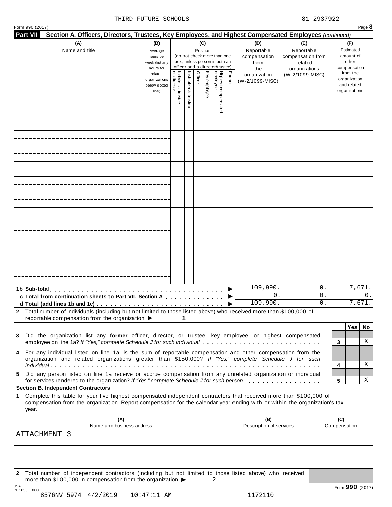| Form 990 (2017)                                                                                                                                                                                                                                                                                              |                                                                                                                                                                                  |                                     |                       |         |              |                                 |        |                                                  |                                                                    | Page 8                                                   |
|--------------------------------------------------------------------------------------------------------------------------------------------------------------------------------------------------------------------------------------------------------------------------------------------------------------|----------------------------------------------------------------------------------------------------------------------------------------------------------------------------------|-------------------------------------|-----------------------|---------|--------------|---------------------------------|--------|--------------------------------------------------|--------------------------------------------------------------------|----------------------------------------------------------|
| <b>Part VII</b><br>Section A. Officers, Directors, Trustees, Key Employees, and Highest Compensated Employees (continued)                                                                                                                                                                                    |                                                                                                                                                                                  |                                     |                       |         |              |                                 |        |                                                  |                                                                    |                                                          |
| (A)<br>Name and title                                                                                                                                                                                                                                                                                        | (B)<br>(C)<br>Position<br>Average<br>(do not check more than one<br>hours per<br>box, unless person is both an<br>week (list any<br>officer and a director/trustee)<br>hours for |                                     |                       |         |              |                                 |        | (D)<br>Reportable<br>compensation<br>from<br>the | (E)<br>Reportable<br>compensation from<br>related<br>organizations | (F)<br>Estimated<br>amount of<br>other<br>compensation   |
|                                                                                                                                                                                                                                                                                                              | related<br>organizations<br>below dotted<br>line)                                                                                                                                | Individual trustee<br>  or director | Institutional trustee | Officer | Key employee | Highest compensated<br>employee | Former | organization<br>(W-2/1099-MISC)                  | (W-2/1099-MISC)                                                    | from the<br>organization<br>and related<br>organizations |
|                                                                                                                                                                                                                                                                                                              |                                                                                                                                                                                  |                                     |                       |         |              |                                 |        |                                                  |                                                                    |                                                          |
|                                                                                                                                                                                                                                                                                                              |                                                                                                                                                                                  |                                     |                       |         |              |                                 |        |                                                  |                                                                    |                                                          |
|                                                                                                                                                                                                                                                                                                              |                                                                                                                                                                                  |                                     |                       |         |              |                                 |        |                                                  |                                                                    |                                                          |
|                                                                                                                                                                                                                                                                                                              |                                                                                                                                                                                  |                                     |                       |         |              |                                 |        |                                                  |                                                                    |                                                          |
|                                                                                                                                                                                                                                                                                                              |                                                                                                                                                                                  |                                     |                       |         |              |                                 |        |                                                  |                                                                    |                                                          |
|                                                                                                                                                                                                                                                                                                              |                                                                                                                                                                                  |                                     |                       |         |              |                                 |        |                                                  |                                                                    |                                                          |
|                                                                                                                                                                                                                                                                                                              |                                                                                                                                                                                  |                                     |                       |         |              |                                 |        |                                                  |                                                                    |                                                          |
|                                                                                                                                                                                                                                                                                                              |                                                                                                                                                                                  |                                     |                       |         |              |                                 |        |                                                  |                                                                    |                                                          |
|                                                                                                                                                                                                                                                                                                              |                                                                                                                                                                                  |                                     |                       |         |              |                                 |        |                                                  |                                                                    |                                                          |
|                                                                                                                                                                                                                                                                                                              |                                                                                                                                                                                  |                                     |                       |         |              |                                 |        |                                                  |                                                                    |                                                          |
|                                                                                                                                                                                                                                                                                                              |                                                                                                                                                                                  |                                     |                       |         |              |                                 |        |                                                  |                                                                    |                                                          |
| 1b Sub-total<br>c Total from continuation sheets to Part VII, Section A                                                                                                                                                                                                                                      |                                                                                                                                                                                  |                                     |                       |         |              |                                 |        | 109,990.<br>$\mathbf 0$ .<br>109,990.            | $\mathsf{O}$ .<br>$\mathsf{O}$ .<br>$\mathbf 0$ .                  | 7,671.<br>0.<br>7,671.                                   |
| 2 Total number of individuals (including but not limited to those listed above) who received more than \$100,000 of<br>reportable compensation from the organization ▶                                                                                                                                       |                                                                                                                                                                                  |                                     | 1                     |         |              |                                 |        |                                                  |                                                                    |                                                          |
| Did the organization list any former officer, director, or trustee, key employee, or highest compensated<br>3<br>employee on line 1a? If "Yes," complete Schedule J for such individual                                                                                                                      |                                                                                                                                                                                  |                                     |                       |         |              |                                 |        |                                                  |                                                                    | Yes<br>No<br>X<br>3                                      |
| 4 For any individual listed on line 1a, is the sum of reportable compensation and other compensation from the<br>organization and related organizations greater than \$150,000? If "Yes," complete Schedule J for such                                                                                       |                                                                                                                                                                                  |                                     |                       |         |              |                                 |        |                                                  |                                                                    | Χ<br>4                                                   |
| Did any person listed on line 1a receive or accrue compensation from any unrelated organization or individual<br>5<br>for services rendered to the organization? If "Yes," complete Schedule J for such person                                                                                               |                                                                                                                                                                                  |                                     |                       |         |              |                                 |        |                                                  |                                                                    | Χ<br>5                                                   |
| <b>Section B. Independent Contractors</b><br>Complete this table for your five highest compensated independent contractors that received more than \$100,000 of<br>1.<br>compensation from the organization. Report compensation for the calendar year ending with or within the organization's tax<br>year. |                                                                                                                                                                                  |                                     |                       |         |              |                                 |        |                                                  |                                                                    |                                                          |
| (A)<br>Name and business address                                                                                                                                                                                                                                                                             |                                                                                                                                                                                  |                                     |                       |         |              |                                 |        | (B)<br>Description of services                   |                                                                    | (C)<br>Compensation                                      |
| ATTACHMENT 3                                                                                                                                                                                                                                                                                                 |                                                                                                                                                                                  |                                     |                       |         |              |                                 |        |                                                  |                                                                    |                                                          |
|                                                                                                                                                                                                                                                                                                              |                                                                                                                                                                                  |                                     |                       |         |              |                                 |        |                                                  |                                                                    |                                                          |
| Total number of independent contractors (including but not limited to those listed above) who received<br>2                                                                                                                                                                                                  |                                                                                                                                                                                  |                                     |                       |         |              |                                 |        |                                                  |                                                                    |                                                          |
| more than \$100,000 in compensation from the organization $\blacktriangleright$<br>$\overline{10A}$                                                                                                                                                                                                          |                                                                                                                                                                                  |                                     |                       |         |              | 2                               |        |                                                  |                                                                    |                                                          |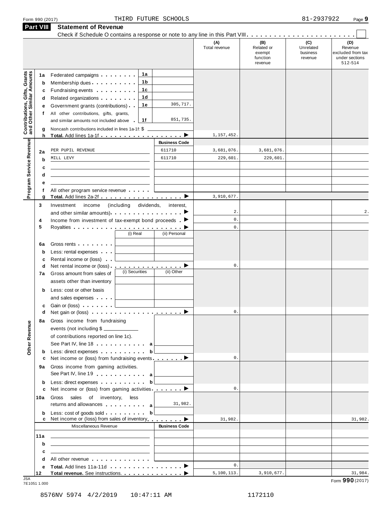|                                                                |                                                                                                                                                                                                                                                                        |                                                                                                                       | (A)<br>Total revenue | (B)<br>Related or<br>exempt<br>function<br>revenue | (C)<br>Unrelated<br>business<br>revenue | (D)<br>Revenue<br>excluded from tax<br>under sections<br>512-514 |
|----------------------------------------------------------------|------------------------------------------------------------------------------------------------------------------------------------------------------------------------------------------------------------------------------------------------------------------------|-----------------------------------------------------------------------------------------------------------------------|----------------------|----------------------------------------------------|-----------------------------------------|------------------------------------------------------------------|
| 1а                                                             | 1a<br>Federated campaigns                                                                                                                                                                                                                                              |                                                                                                                       |                      |                                                    |                                         |                                                                  |
| Contributions, Gifts, Grants<br>and Other Similar Amounts<br>b | 1 b<br>Membership dues                                                                                                                                                                                                                                                 |                                                                                                                       |                      |                                                    |                                         |                                                                  |
| c                                                              | 1с<br>Fundraising events <b>Fundraising</b>                                                                                                                                                                                                                            |                                                                                                                       |                      |                                                    |                                         |                                                                  |
| d                                                              | 1d<br>Related organizations <b>contains</b>                                                                                                                                                                                                                            |                                                                                                                       |                      |                                                    |                                         |                                                                  |
| е                                                              | 1е<br>Government grants (contributions)                                                                                                                                                                                                                                | 305,717.                                                                                                              |                      |                                                    |                                         |                                                                  |
| f                                                              | All other contributions, gifts, grants,                                                                                                                                                                                                                                |                                                                                                                       |                      |                                                    |                                         |                                                                  |
|                                                                | 1f<br>and similar amounts not included above                                                                                                                                                                                                                           | 851,735.                                                                                                              |                      |                                                    |                                         |                                                                  |
| g                                                              | Noncash contributions included in lines 1a-1f: \$                                                                                                                                                                                                                      |                                                                                                                       |                      |                                                    |                                         |                                                                  |
| h                                                              |                                                                                                                                                                                                                                                                        |                                                                                                                       | 1,157,452.           |                                                    |                                         |                                                                  |
|                                                                |                                                                                                                                                                                                                                                                        | <b>Business Code</b>                                                                                                  |                      |                                                    |                                         |                                                                  |
| 2a                                                             | PER PUPIL REVENUE                                                                                                                                                                                                                                                      | 611710                                                                                                                | 3,681,076.           | 3,681,076.                                         |                                         |                                                                  |
| b                                                              | MILL LEVY                                                                                                                                                                                                                                                              | 611710                                                                                                                | 229,601.             | 229,601.                                           |                                         |                                                                  |
| c                                                              | <u> 1989 - Johann John Stone, markin film yn y brening yn y brening yn y brening yn y brening y brening yn y bre</u>                                                                                                                                                   |                                                                                                                       |                      |                                                    |                                         |                                                                  |
| d                                                              | <u> 1989 - Johann Harry Harry Harry Harry Harry Harry Harry Harry Harry Harry Harry Harry Harry Harry Harry Harry</u>                                                                                                                                                  |                                                                                                                       |                      |                                                    |                                         |                                                                  |
| е                                                              |                                                                                                                                                                                                                                                                        |                                                                                                                       |                      |                                                    |                                         |                                                                  |
| Program Service Revenue<br>f                                   | All other program service revenue                                                                                                                                                                                                                                      |                                                                                                                       |                      |                                                    |                                         |                                                                  |
| g                                                              |                                                                                                                                                                                                                                                                        |                                                                                                                       | 3,910,677.           |                                                    |                                         |                                                                  |
| 3                                                              | Investment<br>income<br>(including dividends,                                                                                                                                                                                                                          | interest,                                                                                                             |                      |                                                    |                                         |                                                                  |
|                                                                | and other similar amounts).                                                                                                                                                                                                                                            |                                                                                                                       | $2$ .                |                                                    |                                         | 2.                                                               |
| 4                                                              | Income from investment of tax-exempt bond proceeds $\triangleright$                                                                                                                                                                                                    |                                                                                                                       | $\mathbf{0}$ .       |                                                    |                                         |                                                                  |
| 5                                                              | Royalties <u>.</u> ▶<br>(i) Real                                                                                                                                                                                                                                       | (ii) Personal                                                                                                         | 0.                   |                                                    |                                         |                                                                  |
|                                                                |                                                                                                                                                                                                                                                                        |                                                                                                                       |                      |                                                    |                                         |                                                                  |
| 6a                                                             | Gross rents                                                                                                                                                                                                                                                            |                                                                                                                       |                      |                                                    |                                         |                                                                  |
| b                                                              | Less: rental expenses                                                                                                                                                                                                                                                  |                                                                                                                       |                      |                                                    |                                         |                                                                  |
| c                                                              | Rental income or (loss)                                                                                                                                                                                                                                                |                                                                                                                       |                      |                                                    |                                         |                                                                  |
| d                                                              | Net rental income or (loss) ▶<br>(i) Securities                                                                                                                                                                                                                        | (ii) Other                                                                                                            | 0.                   |                                                    |                                         |                                                                  |
| 7а                                                             | Gross amount from sales of                                                                                                                                                                                                                                             |                                                                                                                       |                      |                                                    |                                         |                                                                  |
|                                                                | assets other than inventory                                                                                                                                                                                                                                            |                                                                                                                       |                      |                                                    |                                         |                                                                  |
| b                                                              | Less: cost or other basis                                                                                                                                                                                                                                              |                                                                                                                       |                      |                                                    |                                         |                                                                  |
|                                                                | and sales expenses                                                                                                                                                                                                                                                     |                                                                                                                       |                      |                                                    |                                         |                                                                  |
| c                                                              | Gain or (loss) $\cdots$ $\cdots$                                                                                                                                                                                                                                       |                                                                                                                       | 0.                   |                                                    |                                         |                                                                  |
| d                                                              | Net gain or (loss) $\cdots$ $\cdots$ $\cdots$ $\cdots$ $\cdots$ $\cdots$ $\cdots$                                                                                                                                                                                      |                                                                                                                       |                      |                                                    |                                         |                                                                  |
| 8а                                                             | Gross income from fundraising                                                                                                                                                                                                                                          |                                                                                                                       |                      |                                                    |                                         |                                                                  |
|                                                                | events (not including \$                                                                                                                                                                                                                                               |                                                                                                                       |                      |                                                    |                                         |                                                                  |
|                                                                | of contributions reported on line 1c).                                                                                                                                                                                                                                 |                                                                                                                       |                      |                                                    |                                         |                                                                  |
| Other Revenue                                                  | See Part IV, line 18 a                                                                                                                                                                                                                                                 |                                                                                                                       |                      |                                                    |                                         |                                                                  |
| b                                                              | Less: direct expenses $\ldots$ $\mathbf{b}$<br>Net income or (loss) from fundraising events $\blacksquare$                                                                                                                                                             |                                                                                                                       | 0.                   |                                                    |                                         |                                                                  |
| c                                                              |                                                                                                                                                                                                                                                                        |                                                                                                                       |                      |                                                    |                                         |                                                                  |
| 9а                                                             | Gross income from gaming activities.<br>See Part IV, line 19 and the set of the set of the set of the set of the set of the set of the set of the set of the set of the set of the set of the set of the set of the set of the set of the set of the set of the set of |                                                                                                                       |                      |                                                    |                                         |                                                                  |
|                                                                |                                                                                                                                                                                                                                                                        |                                                                                                                       |                      |                                                    |                                         |                                                                  |
| b<br>c                                                         | Less: direct expenses $\ldots$ , $\mathbf{b}$<br>Net income or (loss) from gaming activities <u></u> ▶                                                                                                                                                                 |                                                                                                                       | 0.                   |                                                    |                                         |                                                                  |
|                                                                |                                                                                                                                                                                                                                                                        |                                                                                                                       |                      |                                                    |                                         |                                                                  |
| 10a                                                            | Gross sales of inventory, less<br>returns and allowances and all allowances                                                                                                                                                                                            | 31,982.                                                                                                               |                      |                                                    |                                         |                                                                  |
|                                                                | Less: cost of goods sold b                                                                                                                                                                                                                                             |                                                                                                                       |                      |                                                    |                                         |                                                                  |
| b                                                              | c Net income or (loss) from sales of inventory entitled by                                                                                                                                                                                                             |                                                                                                                       | 31,982.              |                                                    |                                         | 31,982.                                                          |
|                                                                | Miscellaneous Revenue                                                                                                                                                                                                                                                  | <b>Business Code</b>                                                                                                  |                      |                                                    |                                         |                                                                  |
| 11a                                                            | <u> 1989 - John Stone, Amerikaans en Stone (</u>                                                                                                                                                                                                                       |                                                                                                                       |                      |                                                    |                                         |                                                                  |
| b                                                              | <u> 1989 - Johann Barn, mars and de Branch Barn, mars and de Branch Barn, mars and de Branch Barn, mars and de Br</u>                                                                                                                                                  |                                                                                                                       |                      |                                                    |                                         |                                                                  |
| c                                                              | <u> 1989 - Johann Barbara, martxa alemaniar a</u>                                                                                                                                                                                                                      | <u> 1980 - John Stein, mars and de la partie de la partie de la partie de la partie de la partie de la partie de </u> |                      |                                                    |                                         |                                                                  |
| d                                                              | All other revenue entitled and a series of the series of the series of the series of the series of the series                                                                                                                                                          |                                                                                                                       |                      |                                                    |                                         |                                                                  |
|                                                                | Total. Add lines 11a-11d ▶                                                                                                                                                                                                                                             |                                                                                                                       | 0.                   |                                                    |                                         |                                                                  |
| е<br>12                                                        |                                                                                                                                                                                                                                                                        |                                                                                                                       | 5,100,113.           | 3,910,677.                                         |                                         | 31,984.                                                          |
| JSA                                                            |                                                                                                                                                                                                                                                                        |                                                                                                                       |                      |                                                    |                                         | Form 990 (2017)                                                  |

Statement of Revenue<br>Check if Schedule O contains a response or note to any line in this Part VIII**...................**...

**(D)**

**Part VIII Statement of Revenue**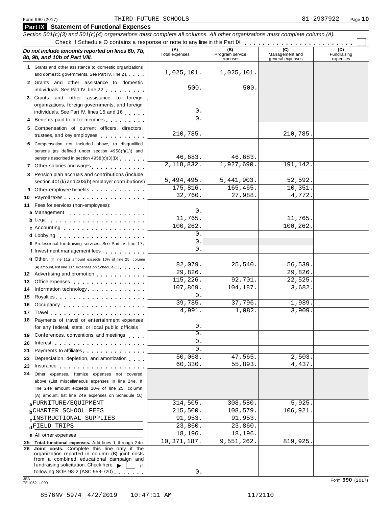| Section 501(c)(3) and 501(c)(4) organizations must complete all columns. All other organizations must complete column (A).                                                                                                           |                       |                                    |                                    |                                |
|--------------------------------------------------------------------------------------------------------------------------------------------------------------------------------------------------------------------------------------|-----------------------|------------------------------------|------------------------------------|--------------------------------|
|                                                                                                                                                                                                                                      |                       |                                    |                                    |                                |
| Do not include amounts reported on lines 6b, 7b,<br>8b, 9b, and 10b of Part VIII.                                                                                                                                                    | (A)<br>Total expenses | (B)<br>Program service<br>expenses | Management and<br>general expenses | (D)<br>Fundraising<br>expenses |
| 1 Grants and other assistance to domestic organizations                                                                                                                                                                              |                       |                                    |                                    |                                |
| and domestic governments. See Part IV, line 21                                                                                                                                                                                       | 1,025,101.            | 1,025,101.                         |                                    |                                |
| 2 Grants and other assistance to domestic                                                                                                                                                                                            |                       |                                    |                                    |                                |
| individuals. See Part IV, line 22                                                                                                                                                                                                    | 500.                  | 500.                               |                                    |                                |
| 3 Grants and other assistance to foreign                                                                                                                                                                                             |                       |                                    |                                    |                                |
| organizations, foreign governments, and foreign                                                                                                                                                                                      |                       |                                    |                                    |                                |
| individuals. See Part IV, lines 15 and 16                                                                                                                                                                                            | 0.                    |                                    |                                    |                                |
| 4 Benefits paid to or for members                                                                                                                                                                                                    | $\Omega$              |                                    |                                    |                                |
| 5 Compensation of current officers, directors,                                                                                                                                                                                       |                       |                                    |                                    |                                |
| trustees, and key employees expressed and the set of the set of the set of the set of the set of the set of the                                                                                                                      | 210,785.              |                                    | 210,785.                           |                                |
| 6 Compensation not included above, to disqualified                                                                                                                                                                                   |                       |                                    |                                    |                                |
| persons (as defined under section 4958(f)(1)) and                                                                                                                                                                                    |                       |                                    |                                    |                                |
| persons described in section 4958(c)(3)(B)                                                                                                                                                                                           | 46,683.               | 46,683.                            |                                    |                                |
| 7 Other salaries and wages <b>container and all the salar state of the salar state of the salar state of the salar</b>                                                                                                               | 2,118,832.            | 1,927,690.                         | 191,142.                           |                                |
| 8 Pension plan accruals and contributions (include                                                                                                                                                                                   |                       |                                    |                                    |                                |
| section 401(k) and 403(b) employer contributions)                                                                                                                                                                                    | 5,494,495.            | 5,441,903.                         | 52,592.                            |                                |
| Other employee benefits<br>9                                                                                                                                                                                                         | 175,816.              | 165,465.                           | 10,351.                            |                                |
| 10                                                                                                                                                                                                                                   | 32,760.               | 27,988.                            | 4,772.                             |                                |
| 11 Fees for services (non-employees):                                                                                                                                                                                                |                       |                                    |                                    |                                |
| a Management                                                                                                                                                                                                                         | 0.                    |                                    |                                    |                                |
| b Legal enterprise and the set of the set of the set of the set of the set of the set of the set of the set of                                                                                                                       | 11,765.               |                                    | 11,765.                            |                                |
| c Accounting                                                                                                                                                                                                                         | 100, 262.             |                                    | 100, 262.                          |                                |
|                                                                                                                                                                                                                                      | $\mathbf{0}$ .        |                                    |                                    |                                |
| e Professional fundraising services. See Part IV, line 17                                                                                                                                                                            | 0                     |                                    |                                    |                                |
| f Investment management fees                                                                                                                                                                                                         | $\Omega$ .            |                                    |                                    |                                |
| 9 Other. (If line 11g amount exceeds 10% of line 25, column                                                                                                                                                                          |                       |                                    |                                    |                                |
| (A) amount, list line 11g expenses on Schedule O.).                                                                                                                                                                                  | 82,079.               | 25,540.                            | 56,539.                            |                                |
| 12 Advertising and promotion                                                                                                                                                                                                         | 29,826.               |                                    | 29,826.                            |                                |
| Office expenses expenses<br>13                                                                                                                                                                                                       | 115,226.              | 92,701.                            | 22,525.                            |                                |
| Information technology.<br>14                                                                                                                                                                                                        | 107,869.              | 104,187.                           | 3,682.                             |                                |
| 15                                                                                                                                                                                                                                   | 0.                    |                                    |                                    |                                |
| Occupancy<br>16                                                                                                                                                                                                                      | 39,785.               | 37,796.                            | 1,989.                             |                                |
|                                                                                                                                                                                                                                      | 4,991.                | 1,082.                             | 3,909.                             |                                |
| 18 Payments of travel or entertainment expenses                                                                                                                                                                                      |                       |                                    |                                    |                                |
| for any federal, state, or local public officials                                                                                                                                                                                    | О.                    |                                    |                                    |                                |
| 19 Conferences, conventions, and meetings                                                                                                                                                                                            | 0                     |                                    |                                    |                                |
| 20<br>Interest $\cdots$ , $\cdots$ , $\cdots$ , $\cdots$ , $\cdots$                                                                                                                                                                  | 0                     |                                    |                                    |                                |
| Payments to affiliates <b>All Accords</b> Payments to affiliates<br>21                                                                                                                                                               | 0                     |                                    |                                    |                                |
| Depreciation, depletion, and amortization<br>22                                                                                                                                                                                      | 50,068.               | 47,565.                            | 2,503.                             |                                |
| Insurance experience and the set of the set of the set of the set of the set of the set of the set of the set of the set of the set of the set of the set of the set of the set of the set of the set of the set of the set of<br>23 | 60,330.               | $\overline{55,893}$ .              | 4,437.                             |                                |
| Other expenses. Itemize expenses not covered<br>24                                                                                                                                                                                   |                       |                                    |                                    |                                |
| above (List miscellaneous expenses in line 24e. If                                                                                                                                                                                   |                       |                                    |                                    |                                |
| line 24e amount exceeds 10% of line 25, column                                                                                                                                                                                       |                       |                                    |                                    |                                |
| (A) amount, list line 24e expenses on Schedule O.)                                                                                                                                                                                   |                       |                                    |                                    |                                |
| aFURNITURE/EQUIPMENT                                                                                                                                                                                                                 | 314,505.              | 308,580.                           | 5,925.                             |                                |
| <b>b</b> CHARTER SCHOOL FEES                                                                                                                                                                                                         | 215,500.              | 108,579.                           | 106,921.                           |                                |
| <b>CINSTRUCTIONAL SUPPLIES</b>                                                                                                                                                                                                       | 91,953.               | 91,953.                            |                                    |                                |
| dFIELD TRIPS                                                                                                                                                                                                                         | 23,860.               | 23,860.                            |                                    |                                |
| e All other expenses ________________                                                                                                                                                                                                | 18,196.               | 18,196.                            |                                    |                                |
| 25 Total functional expenses. Add lines 1 through 24e                                                                                                                                                                                | 10, 371, 187.         | 9,551,262.                         | 819,925.                           |                                |
| 26 Joint costs. Complete this line only if the<br>organization reported in column (B) joint costs                                                                                                                                    |                       |                                    |                                    |                                |
| from a combined educational campaign and                                                                                                                                                                                             |                       |                                    |                                    |                                |
| fundraising solicitation. Check here<br>if                                                                                                                                                                                           |                       |                                    |                                    |                                |
| following SOP 98-2 (ASC 958-720)                                                                                                                                                                                                     | 0.                    |                                    |                                    |                                |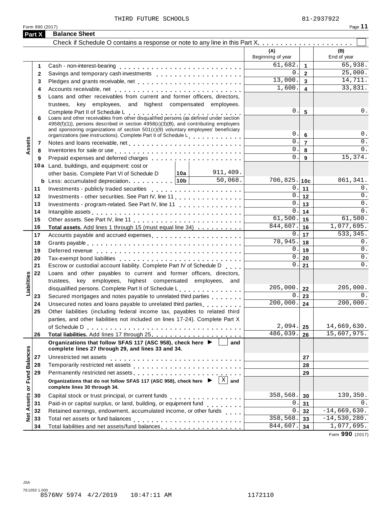|                  | Part X       | Form 990 (2017)<br><b>Balance Sheet</b>                                                                                                                                                                                                                                                                                                                                        |  |                                 |                            |                | Page 11            |
|------------------|--------------|--------------------------------------------------------------------------------------------------------------------------------------------------------------------------------------------------------------------------------------------------------------------------------------------------------------------------------------------------------------------------------|--|---------------------------------|----------------------------|----------------|--------------------|
|                  |              |                                                                                                                                                                                                                                                                                                                                                                                |  |                                 |                            |                |                    |
|                  |              |                                                                                                                                                                                                                                                                                                                                                                                |  |                                 | (A)<br>Beginning of year   |                | (B)<br>End of year |
|                  | 1            |                                                                                                                                                                                                                                                                                                                                                                                |  |                                 | 61,682.                    | $\mathbf{1}$   | 65,938.            |
|                  | $\mathbf{2}$ |                                                                                                                                                                                                                                                                                                                                                                                |  |                                 | 0.1                        | $\mathbf{2}$   | 25,000.            |
|                  | 3            |                                                                                                                                                                                                                                                                                                                                                                                |  |                                 | 13,000.                    | 3              | 14,711.            |
|                  | 4            |                                                                                                                                                                                                                                                                                                                                                                                |  |                                 | 1,600.                     | 4              | 33,831.            |
|                  | 5            | Loans and other receivables from current and former officers, directors,                                                                                                                                                                                                                                                                                                       |  |                                 |                            |                |                    |
|                  |              | trustees, key employees, and highest compensated employees.                                                                                                                                                                                                                                                                                                                    |  |                                 |                            |                |                    |
|                  |              |                                                                                                                                                                                                                                                                                                                                                                                |  |                                 | 0.                         | 5              | 0.                 |
|                  | 6            | Complete Part II of Schedule L<br>Loans and other receivables from other disqualified persons (as defined under section<br>$4958(f)(1)$ , persons described in section $4958(c)(3)(B)$ , and contributing employers<br>and sponsoring organizations of section 501(c)(9) voluntary employees' beneficiary<br>organizations (see instructions). Complete Part II of Schedule L. |  |                                 | 0.                         | 6              | 0.                 |
|                  | 7            |                                                                                                                                                                                                                                                                                                                                                                                |  |                                 | 0.                         | $\overline{7}$ | 0.                 |
| Assets           | 8            |                                                                                                                                                                                                                                                                                                                                                                                |  |                                 | 0.                         | 8              | $0$ .              |
|                  | 9            | Inventories for sale or use enterpreteration of the contract of the contract of the contract of the contract of<br>Prepaid expenses and deferred charges                                                                                                                                                                                                                       |  |                                 | 0.                         | 9              | 15,374.            |
|                  |              | 10a Land, buildings, and equipment: cost or                                                                                                                                                                                                                                                                                                                                    |  |                                 |                            |                |                    |
|                  |              | other basis. Complete Part VI of Schedule D                                                                                                                                                                                                                                                                                                                                    |  | 911,409.<br>$\vert$ 10a $\vert$ |                            |                |                    |
|                  |              |                                                                                                                                                                                                                                                                                                                                                                                |  | 50,068.                         | $706,825.$ 10c             |                | 861,341.           |
|                  | 11           |                                                                                                                                                                                                                                                                                                                                                                                |  |                                 |                            | 0.111          | 0.                 |
|                  |              |                                                                                                                                                                                                                                                                                                                                                                                |  |                                 |                            | 0.112          | $0$ .              |
|                  | 12<br>13     | Investments - other securities. See Part IV, line 11                                                                                                                                                                                                                                                                                                                           |  |                                 | 0.1                        | 13             | $0$ .              |
|                  |              | Investments - program-related. See Part IV, line 11                                                                                                                                                                                                                                                                                                                            |  |                                 | 0.1                        | 14             | $0$ .              |
|                  | 14           |                                                                                                                                                                                                                                                                                                                                                                                |  |                                 | $\overline{61,500}$ .   15 |                | 61,500.            |
|                  | 15           |                                                                                                                                                                                                                                                                                                                                                                                |  |                                 | $\overline{844,}$ 607. 16  |                | 1,077,695.         |
|                  | 16           | Total assets. Add lines 1 through 15 (must equal line 34)                                                                                                                                                                                                                                                                                                                      |  |                                 |                            | $0$ $\vert$ 17 | 533,345.           |
|                  | 17           |                                                                                                                                                                                                                                                                                                                                                                                |  |                                 | $\overline{78,945.}$ 18    |                | 0.                 |
|                  | 18           |                                                                                                                                                                                                                                                                                                                                                                                |  |                                 | 0.1                        | 19             | $0$ .              |
|                  | 19           |                                                                                                                                                                                                                                                                                                                                                                                |  |                                 | 0.                         | 20             | $0$ .              |
|                  | 20<br>21     |                                                                                                                                                                                                                                                                                                                                                                                |  |                                 | 0.                         |                | 0.                 |
|                  |              | Escrow or custodial account liability. Complete Part IV of Schedule D                                                                                                                                                                                                                                                                                                          |  |                                 |                            | 21             |                    |
|                  | 22           | Loans and other payables to current and former officers, directors,<br>trustees, key employees, highest compensated employees, and                                                                                                                                                                                                                                             |  |                                 |                            |                |                    |
| Liabilities      |              |                                                                                                                                                                                                                                                                                                                                                                                |  |                                 | $205,000.$ 22              |                | 205,000.           |
|                  |              | disqualified persons. Complete Part II of Schedule L.                                                                                                                                                                                                                                                                                                                          |  |                                 | 0.                         |                | 0.                 |
|                  | 23           | Secured mortgages and notes payable to unrelated third parties                                                                                                                                                                                                                                                                                                                 |  |                                 | 200,000.                   | 23<br>24       | 200,000.           |
|                  | 24<br>25     |                                                                                                                                                                                                                                                                                                                                                                                |  |                                 |                            |                |                    |
|                  |              | Other liabilities (including federal income tax, payables to related third                                                                                                                                                                                                                                                                                                     |  |                                 |                            |                |                    |
|                  |              | parties, and other liabilities not included on lines 17-24). Complete Part X                                                                                                                                                                                                                                                                                                   |  |                                 | 2,094.                     | 25             | 14,669,630.        |
|                  | 26           |                                                                                                                                                                                                                                                                                                                                                                                |  |                                 | 486,039.                   | 26             | 15,607,975.        |
|                  |              | Organizations that follow SFAS 117 (ASC 958), check here ▶                                                                                                                                                                                                                                                                                                                     |  |                                 |                            |                |                    |
|                  |              | complete lines 27 through 29, and lines 33 and 34.                                                                                                                                                                                                                                                                                                                             |  | and                             |                            |                |                    |
|                  | 27           |                                                                                                                                                                                                                                                                                                                                                                                |  |                                 |                            | 27             |                    |
|                  | 28           |                                                                                                                                                                                                                                                                                                                                                                                |  |                                 |                            | 28             |                    |
|                  | 29           |                                                                                                                                                                                                                                                                                                                                                                                |  | 29                              |                            |                |                    |
| or Fund Balances |              | Organizations that do not follow SFAS 117 (ASC 958), check here ▶<br>complete lines 30 through 34.                                                                                                                                                                                                                                                                             |  | $ X $ and                       |                            |                |                    |
|                  | 30           |                                                                                                                                                                                                                                                                                                                                                                                |  |                                 | 358,568.                   | 30             | 139,350.           |
|                  | 31           |                                                                                                                                                                                                                                                                                                                                                                                |  |                                 | 0.                         | 31             | 0.                 |
| Assets           | 32           | Retained earnings, endowment, accumulated income, or other funds                                                                                                                                                                                                                                                                                                               |  |                                 | 0.                         | 32             | $-14,669,630.$     |
| <b>Net</b>       | 33           |                                                                                                                                                                                                                                                                                                                                                                                |  |                                 | 358,568.                   | 33             | $-14,530,280.$     |
|                  | 34           | Total liabilities and net assets/fund balances                                                                                                                                                                                                                                                                                                                                 |  |                                 | 844,607.                   | 34             | 1,077,695.         |
|                  |              |                                                                                                                                                                                                                                                                                                                                                                                |  |                                 |                            |                |                    |

Form **990** (2017)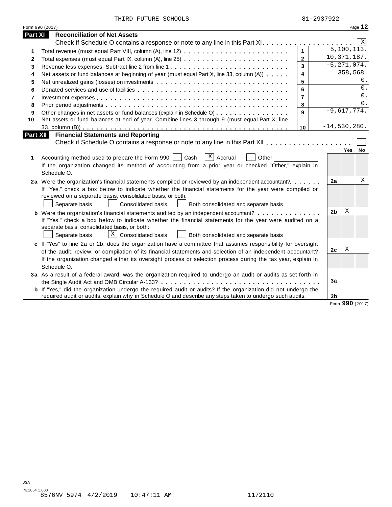|                | Form 990 (2017)                                                                                                                                                                                                                                                                                                                                            |                         |  |                |                  | Page 12      |
|----------------|------------------------------------------------------------------------------------------------------------------------------------------------------------------------------------------------------------------------------------------------------------------------------------------------------------------------------------------------------------|-------------------------|--|----------------|------------------|--------------|
| <b>Part XI</b> | <b>Reconciliation of Net Assets</b>                                                                                                                                                                                                                                                                                                                        |                         |  |                |                  |              |
|                |                                                                                                                                                                                                                                                                                                                                                            |                         |  |                |                  | $\mathbf{x}$ |
| 1              | Total revenue (must equal Part VIII, column (A), line 12)                                                                                                                                                                                                                                                                                                  | $\mathbf{1}$            |  |                | 5, 100, 113.     |              |
| $\mathbf{2}$   | Total expenses (must equal Part IX, column (A), line 25)                                                                                                                                                                                                                                                                                                   | $\mathbf{2}$            |  | 10, 371, 187.  |                  |              |
| 3              | $\overline{-5,271,074}$ .<br>3                                                                                                                                                                                                                                                                                                                             |                         |  |                |                  |              |
| 4              | Net assets or fund balances at beginning of year (must equal Part X, line 33, column (A))                                                                                                                                                                                                                                                                  | $\overline{\mathbf{4}}$ |  |                | 358,568.         |              |
| 5              | Net unrealized gains (losses) on investments                                                                                                                                                                                                                                                                                                               | 5                       |  |                |                  | 0.           |
| 6              |                                                                                                                                                                                                                                                                                                                                                            | 6                       |  |                |                  | 0.           |
| $\overline{7}$ |                                                                                                                                                                                                                                                                                                                                                            | $\overline{7}$          |  |                |                  | 0.           |
| 8              |                                                                                                                                                                                                                                                                                                                                                            | 8                       |  |                |                  | $0$ .        |
| 9              | Other changes in net assets or fund balances (explain in Schedule O)                                                                                                                                                                                                                                                                                       | 9                       |  | $-9,617,774.$  |                  |              |
| 10             | Net assets or fund balances at end of year. Combine lines 3 through 9 (must equal Part X, line                                                                                                                                                                                                                                                             |                         |  |                |                  |              |
|                |                                                                                                                                                                                                                                                                                                                                                            | 10                      |  | $-14,530,280.$ |                  |              |
| Part XII       | <b>Financial Statements and Reporting</b>                                                                                                                                                                                                                                                                                                                  |                         |  |                |                  |              |
|                |                                                                                                                                                                                                                                                                                                                                                            |                         |  |                |                  |              |
| 1              | $\overline{X}$ Accrual<br>Accounting method used to prepare the Form 990:  <br>Cash<br>Other<br>If the organization changed its method of accounting from a prior year or checked "Other," explain in<br>Schedule O.                                                                                                                                       |                         |  |                | Yes <sub>1</sub> | No           |
|                | 2a Were the organization's financial statements compiled or reviewed by an independent accountant?<br>If "Yes," check a box below to indicate whether the financial statements for the year were compiled or<br>reviewed on a separate basis, consolidated basis, or both:<br>Consolidated basis<br>Separate basis<br>Both consolidated and separate basis |                         |  | 2a             |                  | Χ            |
|                | <b>b</b> Were the organization's financial statements audited by an independent accountant?                                                                                                                                                                                                                                                                |                         |  | 2 <sub>b</sub> | X                |              |
|                | If "Yes," check a box below to indicate whether the financial statements for the year were audited on a<br>separate basis, consolidated basis, or both:<br>$X \bigcup$ Consolidated basis<br>Both consolidated and separate basis<br>Separate basis                                                                                                        |                         |  |                |                  |              |
|                | c If "Yes" to line 2a or 2b, does the organization have a committee that assumes responsibility for oversight                                                                                                                                                                                                                                              |                         |  |                |                  |              |
|                | X<br>2c<br>of the audit, review, or compilation of its financial statements and selection of an independent accountant?                                                                                                                                                                                                                                    |                         |  |                |                  |              |
|                | If the organization changed either its oversight process or selection process during the tax year, explain in<br>Schedule O.                                                                                                                                                                                                                               |                         |  |                |                  |              |
|                | 3a As a result of a federal award, was the organization required to undergo an audit or audits as set forth in                                                                                                                                                                                                                                             |                         |  |                |                  |              |
|                |                                                                                                                                                                                                                                                                                                                                                            |                         |  | 3a             |                  |              |
|                | <b>b</b> If "Yes," did the organization undergo the required audit or audits? If the organization did not undergo the                                                                                                                                                                                                                                      |                         |  |                |                  |              |
|                | required audit or audits, explain why in Schedule O and describe any steps taken to undergo such audits.                                                                                                                                                                                                                                                   |                         |  | 3 <sub>b</sub> |                  |              |

Form **990** (2017)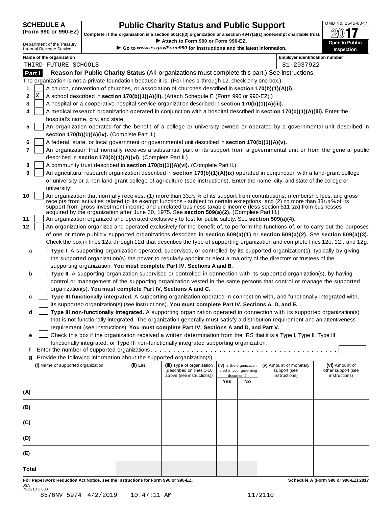# **SCHEDULE A Public Charity Status and Public Support**<br>(Form 990 or 990-EZ) complete if the organization is a section 501(c)(3) organization or a section 4947(a)(1) popeyemet charitable trust  $\bigotimes_{\text{min}} 1$

(Form 990 or 990-EZ) complete if the organization is a section 501(c)(3) organization or a section 4947(a)(1) nonexempt charitable trust.  $2017$ If your section section to the Treasury<br>
Department of the Treasury **Department of the Treasury Department of the Treasury <b>Department** of the Treasury **Department of the Treasury <b>Department** Complete if the organizati

| Department of the Treasury      |  |
|---------------------------------|--|
| <b>Internal Revenue Service</b> |  |

|     | $\triangleright$ Go to www.irs.gov/Form990 for instructions and the latest information.<br><b>Internal Revenue Service</b><br>Inspection |                                                  |  |                                                            |                                                                                                                                                                                                                                                                                                                                                                                                                                                                                  |     |                                                                   |  |                                                         |                                                                                                                                     |
|-----|------------------------------------------------------------------------------------------------------------------------------------------|--------------------------------------------------|--|------------------------------------------------------------|----------------------------------------------------------------------------------------------------------------------------------------------------------------------------------------------------------------------------------------------------------------------------------------------------------------------------------------------------------------------------------------------------------------------------------------------------------------------------------|-----|-------------------------------------------------------------------|--|---------------------------------------------------------|-------------------------------------------------------------------------------------------------------------------------------------|
|     |                                                                                                                                          | Name of the organization<br>THIRD FUTURE SCHOOLS |  |                                                            |                                                                                                                                                                                                                                                                                                                                                                                                                                                                                  |     |                                                                   |  | <b>Employer identification number</b><br>81-2937922     |                                                                                                                                     |
|     | Reason for Public Charity Status (All organizations must complete this part.) See instructions.<br>Part I                                |                                                  |  |                                                            |                                                                                                                                                                                                                                                                                                                                                                                                                                                                                  |     |                                                                   |  |                                                         |                                                                                                                                     |
|     |                                                                                                                                          |                                                  |  |                                                            | The organization is not a private foundation because it is: (For lines 1 through 12, check only one box.)                                                                                                                                                                                                                                                                                                                                                                        |     |                                                                   |  |                                                         |                                                                                                                                     |
| 1   |                                                                                                                                          |                                                  |  |                                                            | A church, convention of churches, or association of churches described in section 170(b)(1)(A)(i).                                                                                                                                                                                                                                                                                                                                                                               |     |                                                                   |  |                                                         |                                                                                                                                     |
| 2   | X                                                                                                                                        |                                                  |  |                                                            | A school described in section 170(b)(1)(A)(ii). (Attach Schedule E (Form 990 or 990-EZ).)                                                                                                                                                                                                                                                                                                                                                                                        |     |                                                                   |  |                                                         |                                                                                                                                     |
| 3   | A hospital or a cooperative hospital service organization described in section 170(b)(1)(A)(iii).                                        |                                                  |  |                                                            |                                                                                                                                                                                                                                                                                                                                                                                                                                                                                  |     |                                                                   |  |                                                         |                                                                                                                                     |
| 4   | A medical research organization operated in conjunction with a hospital described in section 170(b)(1)(A)(iii). Enter the                |                                                  |  |                                                            |                                                                                                                                                                                                                                                                                                                                                                                                                                                                                  |     |                                                                   |  |                                                         |                                                                                                                                     |
|     |                                                                                                                                          | hospital's name, city, and state:                |  |                                                            |                                                                                                                                                                                                                                                                                                                                                                                                                                                                                  |     |                                                                   |  |                                                         |                                                                                                                                     |
| 5   |                                                                                                                                          |                                                  |  |                                                            |                                                                                                                                                                                                                                                                                                                                                                                                                                                                                  |     |                                                                   |  |                                                         | An organization operated for the benefit of a college or university owned or operated by a governmental unit described in           |
|     |                                                                                                                                          |                                                  |  | section 170(b)(1)(A)(iv). (Complete Part II.)              |                                                                                                                                                                                                                                                                                                                                                                                                                                                                                  |     |                                                                   |  |                                                         |                                                                                                                                     |
| 6   |                                                                                                                                          |                                                  |  |                                                            | A federal, state, or local government or governmental unit described in section 170(b)(1)(A)(v).                                                                                                                                                                                                                                                                                                                                                                                 |     |                                                                   |  |                                                         |                                                                                                                                     |
| 7   |                                                                                                                                          |                                                  |  |                                                            |                                                                                                                                                                                                                                                                                                                                                                                                                                                                                  |     |                                                                   |  |                                                         | An organization that normally receives a substantial part of its support from a governmental unit or from the general public        |
|     |                                                                                                                                          |                                                  |  | described in section 170(b)(1)(A)(vi). (Complete Part II.) |                                                                                                                                                                                                                                                                                                                                                                                                                                                                                  |     |                                                                   |  |                                                         |                                                                                                                                     |
| 8   |                                                                                                                                          |                                                  |  |                                                            | A community trust described in section 170(b)(1)(A)(vi). (Complete Part II.)                                                                                                                                                                                                                                                                                                                                                                                                     |     |                                                                   |  |                                                         |                                                                                                                                     |
| 9   |                                                                                                                                          |                                                  |  |                                                            | An agricultural research organization described in section 170(b)(1)(A)(ix) operated in conjunction with a land-grant college                                                                                                                                                                                                                                                                                                                                                    |     |                                                                   |  |                                                         |                                                                                                                                     |
|     |                                                                                                                                          |                                                  |  |                                                            |                                                                                                                                                                                                                                                                                                                                                                                                                                                                                  |     |                                                                   |  |                                                         |                                                                                                                                     |
|     |                                                                                                                                          |                                                  |  |                                                            | or university or a non-land-grant college of agriculture (see instructions). Enter the name, city, and state of the college or                                                                                                                                                                                                                                                                                                                                                   |     |                                                                   |  |                                                         |                                                                                                                                     |
|     |                                                                                                                                          | university:                                      |  |                                                            |                                                                                                                                                                                                                                                                                                                                                                                                                                                                                  |     |                                                                   |  |                                                         |                                                                                                                                     |
| 10  |                                                                                                                                          |                                                  |  |                                                            | An organization that normally receives: (1) more than 331/3% of its support from contributions, membership fees, and gross<br>receipts from activities related to its exempt functions - subject to certain exceptions, and (2) no more than 331/3% of its<br>support from gross investment income and unrelated business taxable income (less section 511 tax) from businesses<br>acquired by the organization after June 30, 1975. See section 509(a)(2). (Complete Part III.) |     |                                                                   |  |                                                         |                                                                                                                                     |
| 11  |                                                                                                                                          |                                                  |  |                                                            | An organization organized and operated exclusively to test for public safety. See section 509(a)(4).                                                                                                                                                                                                                                                                                                                                                                             |     |                                                                   |  |                                                         |                                                                                                                                     |
| 12  |                                                                                                                                          |                                                  |  |                                                            |                                                                                                                                                                                                                                                                                                                                                                                                                                                                                  |     |                                                                   |  |                                                         | An organization organized and operated exclusively for the benefit of, to perform the functions of, or to carry out the purposes    |
|     |                                                                                                                                          |                                                  |  |                                                            |                                                                                                                                                                                                                                                                                                                                                                                                                                                                                  |     |                                                                   |  |                                                         | of one or more publicly supported organizations described in section $509(a)(1)$ or section $509(a)(2)$ . See section $509(a)(3)$ . |
|     |                                                                                                                                          |                                                  |  |                                                            |                                                                                                                                                                                                                                                                                                                                                                                                                                                                                  |     |                                                                   |  |                                                         | Check the box in lines 12a through 12d that describes the type of supporting organization and complete lines 12e, 12f, and 12g.     |
| a   |                                                                                                                                          |                                                  |  |                                                            | Type I. A supporting organization operated, supervised, or controlled by its supported organization(s), typically by giving                                                                                                                                                                                                                                                                                                                                                      |     |                                                                   |  |                                                         |                                                                                                                                     |
|     |                                                                                                                                          |                                                  |  |                                                            | the supported organization(s) the power to regularly appoint or elect a majority of the directors or trustees of the                                                                                                                                                                                                                                                                                                                                                             |     |                                                                   |  |                                                         |                                                                                                                                     |
|     |                                                                                                                                          |                                                  |  |                                                            | supporting organization. You must complete Part IV, Sections A and B.                                                                                                                                                                                                                                                                                                                                                                                                            |     |                                                                   |  |                                                         |                                                                                                                                     |
| b   |                                                                                                                                          |                                                  |  |                                                            | Type II. A supporting organization supervised or controlled in connection with its supported organization(s), by having                                                                                                                                                                                                                                                                                                                                                          |     |                                                                   |  |                                                         |                                                                                                                                     |
|     |                                                                                                                                          |                                                  |  |                                                            | control or management of the supporting organization vested in the same persons that control or manage the supported                                                                                                                                                                                                                                                                                                                                                             |     |                                                                   |  |                                                         |                                                                                                                                     |
|     |                                                                                                                                          |                                                  |  |                                                            |                                                                                                                                                                                                                                                                                                                                                                                                                                                                                  |     |                                                                   |  |                                                         |                                                                                                                                     |
|     |                                                                                                                                          |                                                  |  |                                                            | organization(s). You must complete Part IV, Sections A and C.                                                                                                                                                                                                                                                                                                                                                                                                                    |     |                                                                   |  |                                                         |                                                                                                                                     |
| c   |                                                                                                                                          |                                                  |  |                                                            | Type III functionally integrated. A supporting organization operated in connection with, and functionally integrated with,                                                                                                                                                                                                                                                                                                                                                       |     |                                                                   |  |                                                         |                                                                                                                                     |
|     |                                                                                                                                          |                                                  |  |                                                            | its supported organization(s) (see instructions). You must complete Part IV, Sections A, D, and E.                                                                                                                                                                                                                                                                                                                                                                               |     |                                                                   |  |                                                         |                                                                                                                                     |
| d   |                                                                                                                                          |                                                  |  |                                                            | Type III non-functionally integrated. A supporting organization operated in connection with its supported organization(s)                                                                                                                                                                                                                                                                                                                                                        |     |                                                                   |  |                                                         |                                                                                                                                     |
|     |                                                                                                                                          |                                                  |  |                                                            | that is not functionally integrated. The organization generally must satisfy a distribution requirement and an attentiveness                                                                                                                                                                                                                                                                                                                                                     |     |                                                                   |  |                                                         |                                                                                                                                     |
|     |                                                                                                                                          |                                                  |  |                                                            | requirement (see instructions). You must complete Part IV, Sections A and D, and Part V.                                                                                                                                                                                                                                                                                                                                                                                         |     |                                                                   |  |                                                         |                                                                                                                                     |
| е   |                                                                                                                                          |                                                  |  |                                                            | Check this box if the organization received a written determination from the IRS that it is a Type I, Type II, Type III                                                                                                                                                                                                                                                                                                                                                          |     |                                                                   |  |                                                         |                                                                                                                                     |
|     |                                                                                                                                          |                                                  |  |                                                            | functionally integrated, or Type III non-functionally integrated supporting organization.                                                                                                                                                                                                                                                                                                                                                                                        |     |                                                                   |  |                                                         |                                                                                                                                     |
| Ť.  |                                                                                                                                          |                                                  |  |                                                            |                                                                                                                                                                                                                                                                                                                                                                                                                                                                                  |     |                                                                   |  |                                                         |                                                                                                                                     |
| g   |                                                                                                                                          |                                                  |  |                                                            | Provide the following information about the supported organization(s).                                                                                                                                                                                                                                                                                                                                                                                                           |     |                                                                   |  |                                                         |                                                                                                                                     |
|     |                                                                                                                                          | (i) Name of supported organization               |  | (ii) EIN                                                   | (iii) Type of organization<br>(described on lines 1-10<br>above (see instructions))                                                                                                                                                                                                                                                                                                                                                                                              |     | (iv) Is the organization<br>listed in your governing<br>document? |  | (v) Amount of monetary<br>support (see<br>instructions) | (vi) Amount of<br>other support (see<br>instructions)                                                                               |
|     |                                                                                                                                          |                                                  |  |                                                            |                                                                                                                                                                                                                                                                                                                                                                                                                                                                                  | Yes | No                                                                |  |                                                         |                                                                                                                                     |
| (A) |                                                                                                                                          |                                                  |  |                                                            |                                                                                                                                                                                                                                                                                                                                                                                                                                                                                  |     |                                                                   |  |                                                         |                                                                                                                                     |
|     |                                                                                                                                          |                                                  |  |                                                            |                                                                                                                                                                                                                                                                                                                                                                                                                                                                                  |     |                                                                   |  |                                                         |                                                                                                                                     |
| (B) |                                                                                                                                          |                                                  |  |                                                            |                                                                                                                                                                                                                                                                                                                                                                                                                                                                                  |     |                                                                   |  |                                                         |                                                                                                                                     |
| (C) |                                                                                                                                          |                                                  |  |                                                            |                                                                                                                                                                                                                                                                                                                                                                                                                                                                                  |     |                                                                   |  |                                                         |                                                                                                                                     |
| (D) |                                                                                                                                          |                                                  |  |                                                            |                                                                                                                                                                                                                                                                                                                                                                                                                                                                                  |     |                                                                   |  |                                                         |                                                                                                                                     |
|     |                                                                                                                                          |                                                  |  |                                                            |                                                                                                                                                                                                                                                                                                                                                                                                                                                                                  |     |                                                                   |  |                                                         |                                                                                                                                     |
| (E) |                                                                                                                                          |                                                  |  |                                                            |                                                                                                                                                                                                                                                                                                                                                                                                                                                                                  |     |                                                                   |  |                                                         |                                                                                                                                     |
|     |                                                                                                                                          |                                                  |  |                                                            |                                                                                                                                                                                                                                                                                                                                                                                                                                                                                  |     |                                                                   |  |                                                         |                                                                                                                                     |

For Paperwork Reduction Act Notice, see the Instructions for Form 990 or 990-EZ. Schedule A (Form 990 or 990-EZ) 2017 JSA 7E1210 1.000

**Total**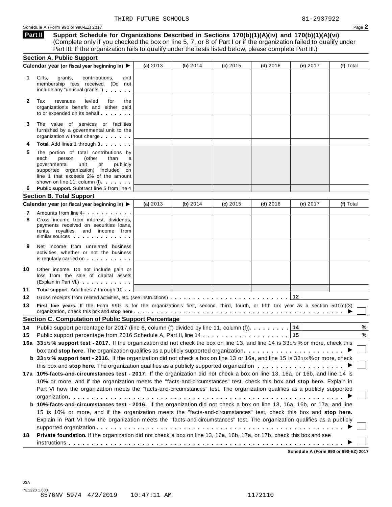Schedule <sup>A</sup> (Form <sup>990</sup> or 990-EZ) <sup>2017</sup> Page **2**

**Support Schedule for Organizations Described in Sections 170(b)(1)(A)(iv) and 170(b)(1)(A)(vi)** (Complete only if you checked the box on line 5, 7, or 8 of Part I or if the organization failed to qualify under Part III. If the organization fails to qualify under the tests listed below, please complete Part III.) **Part II**

|        | <b>Section A. Public Support</b>                                                                                                                                                                                                                                                                                                                                     |            |            |            |            |          |           |
|--------|----------------------------------------------------------------------------------------------------------------------------------------------------------------------------------------------------------------------------------------------------------------------------------------------------------------------------------------------------------------------|------------|------------|------------|------------|----------|-----------|
|        | Calendar year (or fiscal year beginning in) ▶                                                                                                                                                                                                                                                                                                                        | (a) 2013   | (b) $2014$ | $(c)$ 2015 | $(d)$ 2016 | (e) 2017 | (f) Total |
| 1.     | Gifts,<br>grants,<br>contributions,<br>and<br>membership fees received. (Do not<br>include any "unusual grants.")                                                                                                                                                                                                                                                    |            |            |            |            |          |           |
| 2      | levied<br>Tax<br>revenues<br>for<br>the<br>organization's benefit and either paid<br>to or expended on its behalf                                                                                                                                                                                                                                                    |            |            |            |            |          |           |
| 3      | The value of services or facilities<br>furnished by a governmental unit to the<br>organization without charge                                                                                                                                                                                                                                                        |            |            |            |            |          |           |
| 4      | Total. Add lines 1 through 3                                                                                                                                                                                                                                                                                                                                         |            |            |            |            |          |           |
| 5      | The portion of total contributions by<br>each<br>(other<br>person<br>than<br>a<br>unit<br>governmental<br>or<br>publicly<br>supported organization) included on<br>line 1 that exceeds 2% of the amount<br>shown on line 11, column (f)                                                                                                                              |            |            |            |            |          |           |
| 6      | Public support. Subtract line 5 from line 4                                                                                                                                                                                                                                                                                                                          |            |            |            |            |          |           |
|        | <b>Section B. Total Support</b>                                                                                                                                                                                                                                                                                                                                      |            |            |            |            |          |           |
|        | Calendar year (or fiscal year beginning in) ▶                                                                                                                                                                                                                                                                                                                        | (a) $2013$ | (b) 2014   | (c) 2015   | $(d)$ 2016 | (e) 2017 | (f) Total |
| 7<br>8 | Amounts from line 4<br>Gross income from interest, dividends,<br>payments received on securities loans,<br>rents, royalties, and income from<br>similar sources experiences                                                                                                                                                                                          |            |            |            |            |          |           |
| 9      | Net income from unrelated business<br>activities, whether or not the business<br>is regularly carried on the control of the set of the set of the set of the set of the set of the set of the s                                                                                                                                                                      |            |            |            |            |          |           |
| 10     | Other income. Do not include gain or<br>loss from the sale of capital assets<br>(Explain in Part VI.)                                                                                                                                                                                                                                                                |            |            |            |            |          |           |
| 11     | <b>Total support.</b> Add lines 7 through 10                                                                                                                                                                                                                                                                                                                         |            |            |            |            |          |           |
| 12     |                                                                                                                                                                                                                                                                                                                                                                      |            |            |            |            |          |           |
| 13     | First five years. If the Form 990 is for the organization's first, second, third, fourth, or fifth tax year as a section 501(c)(3)<br>organization, check this box and stop here entitled to provide the set of the set of the set of the set of the set of the set of the set of the set of the set of the set of the set of the set of the set of the set of the s |            |            |            |            |          |           |
|        | <b>Section C. Computation of Public Support Percentage</b>                                                                                                                                                                                                                                                                                                           |            |            |            |            |          |           |
| 14     | Public support percentage for 2017 (line 6, column (f) divided by line 11, column (f)).                                                                                                                                                                                                                                                                              |            |            |            |            | 14       | %         |
| 15     |                                                                                                                                                                                                                                                                                                                                                                      |            |            |            |            | 15       | $\%$      |
|        | 16a 331/3% support test - 2017. If the organization did not check the box on line 13, and line 14 is 331/3% or more, check this                                                                                                                                                                                                                                      |            |            |            |            |          |           |
|        | box and stop here. The organization qualifies as a publicly supported organization $\ldots \ldots \ldots \ldots \ldots \ldots$                                                                                                                                                                                                                                       |            |            |            |            |          |           |
|        | b 331/3% support test - 2016. If the organization did not check a box on line 13 or 16a, and line 15 is 331/3% or more, check                                                                                                                                                                                                                                        |            |            |            |            |          |           |
|        |                                                                                                                                                                                                                                                                                                                                                                      |            |            |            |            |          |           |
|        | 17a 10%-facts-and-circumstances test - 2017. If the organization did not check a box on line 13, 16a, or 16b, and line 14 is                                                                                                                                                                                                                                         |            |            |            |            |          |           |
|        | 10% or more, and if the organization meets the "facts-and-circumstances" test, check this box and stop here. Explain in                                                                                                                                                                                                                                              |            |            |            |            |          |           |
|        | Part VI how the organization meets the "facts-and-circumstances" test. The organization qualifies as a publicly supported                                                                                                                                                                                                                                            |            |            |            |            |          |           |
|        |                                                                                                                                                                                                                                                                                                                                                                      |            |            |            |            |          |           |
|        | b 10%-facts-and-circumstances test - 2016. If the organization did not check a box on line 13, 16a, 16b, or 17a, and line                                                                                                                                                                                                                                            |            |            |            |            |          |           |
|        | 15 is 10% or more, and if the organization meets the "facts-and-circumstances" test, check this box and stop here.                                                                                                                                                                                                                                                   |            |            |            |            |          |           |
|        | Explain in Part VI how the organization meets the "facts-and-circumstances" test. The organization qualifies as a publicly                                                                                                                                                                                                                                           |            |            |            |            |          |           |
|        |                                                                                                                                                                                                                                                                                                                                                                      |            |            |            |            |          |           |
| 18     | Private foundation. If the organization did not check a box on line 13, 16a, 16b, 17a, or 17b, check this box and see                                                                                                                                                                                                                                                |            |            |            |            |          |           |
|        |                                                                                                                                                                                                                                                                                                                                                                      |            |            |            |            |          |           |

**Schedule A (Form 990 or 990-EZ) 2017**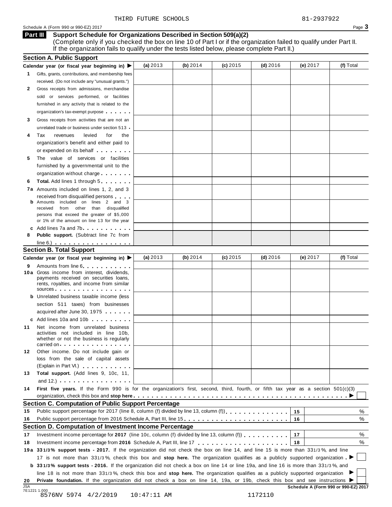#### Schedule A (Form 990 or 990-EZ) 2017 Page 3

#### **Support Schedule for Organizations Described in Section 509(a)(2) Part III**

(Complete only if you checked the box on line 10 of Part I or if the organization failed to qualify under Part II. If the organization fails to qualify under the tests listed below, please complete Part II.)

| 1.<br>2<br>sold<br>3<br>Tax<br>revenues<br>4<br>5<br>6<br>received<br>8<br><b>Section B. Total Support</b><br>9<br>11<br>12<br>13<br>14<br>15<br>16<br>17 | Calendar year (or fiscal year beginning in) $\blacktriangleright$<br>Gifts, grants, contributions, and membership fees<br>received. (Do not include any "unusual grants.")<br>Gross receipts from admissions, merchandise            | (a) $2013$ | (b) $2014$ | $(c)$ 2015 | $(d)$ 2016 | (e) 2017                             | (f) Total |
|-----------------------------------------------------------------------------------------------------------------------------------------------------------|--------------------------------------------------------------------------------------------------------------------------------------------------------------------------------------------------------------------------------------|------------|------------|------------|------------|--------------------------------------|-----------|
|                                                                                                                                                           |                                                                                                                                                                                                                                      |            |            |            |            |                                      |           |
|                                                                                                                                                           |                                                                                                                                                                                                                                      |            |            |            |            |                                      |           |
|                                                                                                                                                           |                                                                                                                                                                                                                                      |            |            |            |            |                                      |           |
|                                                                                                                                                           |                                                                                                                                                                                                                                      |            |            |            |            |                                      |           |
|                                                                                                                                                           | or services performed, or facilities                                                                                                                                                                                                 |            |            |            |            |                                      |           |
|                                                                                                                                                           | furnished in any activity that is related to the                                                                                                                                                                                     |            |            |            |            |                                      |           |
|                                                                                                                                                           | organization's tax-exempt purpose                                                                                                                                                                                                    |            |            |            |            |                                      |           |
|                                                                                                                                                           | Gross receipts from activities that are not an                                                                                                                                                                                       |            |            |            |            |                                      |           |
|                                                                                                                                                           | unrelated trade or business under section 513                                                                                                                                                                                        |            |            |            |            |                                      |           |
|                                                                                                                                                           | levied<br>for<br>the                                                                                                                                                                                                                 |            |            |            |            |                                      |           |
|                                                                                                                                                           | organization's benefit and either paid to                                                                                                                                                                                            |            |            |            |            |                                      |           |
|                                                                                                                                                           | or expended on its behalf <b>contains the set of the set of the set of the set of the set of the set of the set of the set of the set of the set of the set of the set of the set of the set of the set of the set of the set of</b> |            |            |            |            |                                      |           |
|                                                                                                                                                           |                                                                                                                                                                                                                                      |            |            |            |            |                                      |           |
|                                                                                                                                                           | The value of services or facilities                                                                                                                                                                                                  |            |            |            |            |                                      |           |
|                                                                                                                                                           | furnished by a governmental unit to the                                                                                                                                                                                              |            |            |            |            |                                      |           |
|                                                                                                                                                           | organization without charge                                                                                                                                                                                                          |            |            |            |            |                                      |           |
|                                                                                                                                                           | Total. Add lines 1 through 5                                                                                                                                                                                                         |            |            |            |            |                                      |           |
|                                                                                                                                                           | 7a Amounts included on lines 1, 2, and 3                                                                                                                                                                                             |            |            |            |            |                                      |           |
|                                                                                                                                                           | received from disqualified persons                                                                                                                                                                                                   |            |            |            |            |                                      |           |
|                                                                                                                                                           | <b>b</b> Amounts included on lines 2 and 3<br>from other than disqualified                                                                                                                                                           |            |            |            |            |                                      |           |
|                                                                                                                                                           | persons that exceed the greater of \$5,000                                                                                                                                                                                           |            |            |            |            |                                      |           |
|                                                                                                                                                           | or 1% of the amount on line 13 for the year                                                                                                                                                                                          |            |            |            |            |                                      |           |
|                                                                                                                                                           | c Add lines 7a and 7b                                                                                                                                                                                                                |            |            |            |            |                                      |           |
|                                                                                                                                                           | <b>Public support.</b> (Subtract line 7c from                                                                                                                                                                                        |            |            |            |            |                                      |           |
|                                                                                                                                                           | $line 6.)$ $\ldots$ $\ldots$ $\ldots$ $\ldots$ $\ldots$ $\ldots$ $\ldots$                                                                                                                                                            |            |            |            |            |                                      |           |
|                                                                                                                                                           |                                                                                                                                                                                                                                      |            |            |            |            |                                      |           |
|                                                                                                                                                           | Calendar year (or fiscal year beginning in) ▶                                                                                                                                                                                        | (a) $2013$ | (b) $2014$ | $(c)$ 2015 | $(d)$ 2016 | (e) $2017$                           | (f) Total |
|                                                                                                                                                           | Amounts from line 6. The state of the state of the state of the state of the state of the state of the state of the state of the state of the state of the state of the state of the state of the state of the state of the st       |            |            |            |            |                                      |           |
|                                                                                                                                                           | 10 a Gross income from interest, dividends,                                                                                                                                                                                          |            |            |            |            |                                      |           |
|                                                                                                                                                           | payments received on securities loans,                                                                                                                                                                                               |            |            |            |            |                                      |           |
|                                                                                                                                                           | rents, royalties, and income from similar<br>sources                                                                                                                                                                                 |            |            |            |            |                                      |           |
|                                                                                                                                                           | <b>b</b> Unrelated business taxable income (less                                                                                                                                                                                     |            |            |            |            |                                      |           |
|                                                                                                                                                           | section 511 taxes) from businesses                                                                                                                                                                                                   |            |            |            |            |                                      |           |
|                                                                                                                                                           | acquired after June 30, 1975                                                                                                                                                                                                         |            |            |            |            |                                      |           |
|                                                                                                                                                           | c Add lines 10a and 10b                                                                                                                                                                                                              |            |            |            |            |                                      |           |
|                                                                                                                                                           | Net income from unrelated business                                                                                                                                                                                                   |            |            |            |            |                                      |           |
|                                                                                                                                                           | activities not included in line 10b,                                                                                                                                                                                                 |            |            |            |            |                                      |           |
|                                                                                                                                                           | whether or not the business is regularly                                                                                                                                                                                             |            |            |            |            |                                      |           |
|                                                                                                                                                           | carried on the carried on the control of the care of the control of the control of the control of the control o                                                                                                                      |            |            |            |            |                                      |           |
|                                                                                                                                                           | Other income. Do not include gain or                                                                                                                                                                                                 |            |            |            |            |                                      |           |
|                                                                                                                                                           | loss from the sale of capital assets                                                                                                                                                                                                 |            |            |            |            |                                      |           |
|                                                                                                                                                           | (Explain in Part VI.) <b>All Accords</b>                                                                                                                                                                                             |            |            |            |            |                                      |           |
|                                                                                                                                                           | Total support. (Add lines 9, 10c, 11,                                                                                                                                                                                                |            |            |            |            |                                      |           |
|                                                                                                                                                           | and $12.$ ) $\cdots$ $\cdots$ $\cdots$ $\cdots$                                                                                                                                                                                      |            |            |            |            |                                      |           |
|                                                                                                                                                           | First five years. If the Form 990 is for the organization's first, second, third, fourth, or fifth tax year as a section 501(c)(3)                                                                                                   |            |            |            |            |                                      |           |
|                                                                                                                                                           |                                                                                                                                                                                                                                      |            |            |            |            |                                      |           |
|                                                                                                                                                           | Section C. Computation of Public Support Percentage                                                                                                                                                                                  |            |            |            |            |                                      |           |
|                                                                                                                                                           |                                                                                                                                                                                                                                      |            |            |            |            | 15                                   | %         |
|                                                                                                                                                           | Public support percentage from 2016 Schedule A, Part III, line 15.                                                                                                                                                                   |            |            |            |            | 16                                   | %         |
|                                                                                                                                                           | Section D. Computation of Investment Income Percentage                                                                                                                                                                               |            |            |            |            |                                      |           |
|                                                                                                                                                           | Investment income percentage for 2017 (line 10c, column (f) divided by line 13, column (f) $\ldots$ ,,,,,,,                                                                                                                          |            |            |            |            | 17                                   | %         |
| 18                                                                                                                                                        | Investment income percentage from 2016 Schedule A, Part III, line 17                                                                                                                                                                 |            |            |            |            | 18                                   | %         |
|                                                                                                                                                           | 19a 331/3% support tests - 2017. If the organization did not check the box on line 14, and line 15 is more than 331/3%, and line                                                                                                     |            |            |            |            |                                      |           |
|                                                                                                                                                           | 17 is not more than 331/3%, check this box and stop here. The organization qualifies as a publicly supported organization                                                                                                            |            |            |            |            |                                      |           |
|                                                                                                                                                           |                                                                                                                                                                                                                                      |            |            |            |            |                                      |           |
|                                                                                                                                                           | <b>b</b> 331/3% support tests - 2016. If the organization did not check a box on line 14 or line 19a, and line 16 is more than 331/3%, and                                                                                           |            |            |            |            |                                      |           |
|                                                                                                                                                           | line 18 is not more than 331/3%, check this box and stop here. The organization qualifies as a publicly supported organization                                                                                                       |            |            |            |            |                                      |           |
| 20<br><b>JSA</b>                                                                                                                                          | Private foundation. If the organization did not check a box on line 14, 19a, or 19b, check this box and see instructions                                                                                                             |            |            |            |            |                                      |           |
| 7E1221 1.000<br>8576NV 5974 4/2/2019                                                                                                                      |                                                                                                                                                                                                                                      |            |            |            |            | Schedule A (Form 990 or 990-EZ) 2017 |           |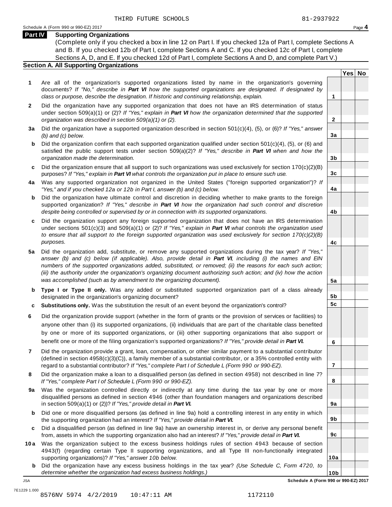**Yes No**

**2**

**3a**

**3b**

**3c**

**4a**

**4b**

**4c**

**5a**

**5b 5c**

**6**

**7**

**8**

**9a**

**9b**

**9c**

**10a**

#### **Part IV Supporting Organizations**

(Complete only if you checked a box in line 12 on Part I. If you checked 12a of Part I, complete Sections A and B. If you checked 12b of Part I, complete Sections A and C. If you checked 12c of Part I, complete Sections A, D, and E. If you checked 12d of Part I, complete Sections A and D, and complete Part V.)

#### **Section A. All Supporting Organizations**

- **1** Are all of the organization's supported organizations listed by name in the organization's governing documents? *If "No," describe in Part VI how the supported organizations are designated. If designated by class or purpose, describe the designation. If historic and continuing relationship, explain.* **1**
- **2** Did the organization have any supported organization that does not have an IRS determination of status under section 509(a)(1) or (2)? *If"Yes," explain in Part VI how the organization determined that the supported organization was described in section 509(a)(1) or (2).*
- **3 a** Did the organization have a supported organization described in section 501(c)(4), (5), or (6)? *If "Yes," answer (b) and (c) below.*
- **b** Did the organization confirm that each supported organization qualified under section 501(c)(4), (5), or (6) and | satisfied the public support tests under section 509(a)(2)? *If "Yes," describe in Part VI when and how the organization made the determination.*
- **c** Did the organization ensure that all support to such organizations was used exclusively for section 170(c)(2)(B) purposes? *If"Yes," explain in Part VI what controls the organization put in place to ensure such use.*
- **4 a** Was any supported organization not organized in the United States ("foreign supported organization")? *If "Yes," and if you checked 12a or 12b in Part I, answer (b) and (c) below.*
- **b** Did the organization have ultimate control and discretion in deciding whether to make grants to the foreign | supported organization? *If "Yes," describe in Part VI how the organization had such control and discretion despite being controlled or supervised by or in connection with its supported organizations.*
- **c** Did the organization support any foreign supported organization that does not have an IRS determination | under sections 501(c)(3) and 509(a)(1) or (2)? *If "Yes," explain in Part VI what controls the organization used to ensure that all support to the foreign supported organization was used exclusively for section 170(c)(2)(B) purposes.*
- **5 a** Did the organization add, substitute, or remove any supported organizations during the tax year? *If "Yes,"* answer (b) and (c) below (if applicable). Also, provide detail in Part VI, including (i) the names and EIN *numbers of the supported organizations added, substituted, or removed; (ii) the reasons for each such action;* (iii) the authority under the organization's organizing document authorizing such action; and (iv) how the action *was accomplished (such as by amendment to the organizing document).*
- **b** Type I or Type II only. Was any added or substituted supported organization part of a class already | designated in the organization's organizing document?
- **c Substitutions only.** Was the substitution the result of an event beyond the organization's control?
- **6** Did the organization provide support (whether in the form of grants or the provision of services or facilities) to anyone other than (i) its supported organizations, (ii) individuals that are part of the charitable class benefited by one or more of its supported organizations, or (iii) other supporting organizations that also support or benefit one or more of the filing organization's supported organizations? *If"Yes," provide detail in Part VI.*
- **7** Did the organization provide a grant, loan, compensation, or other similar payment to a substantial contributor (defined in section 4958(c)(3)(C)), a family member of a substantial contributor, or a 35% controlled entity with regard to a substantial contributor? *If"Yes," complete Part I of Schedule L (Form 990 or 990-EZ).*
- **8** Did the organization make a loan to a disqualified person (as defined in section 4958) not described in line 7? *If "Yes," complete Part I of Schedule L (Form 990 or 990-EZ).*
- **a** Was the organization controlled directly or indirectly at any time during the tax year by one or more | **9** disqualified persons as defined in section 4946 (other than foundation managers and organizations described in section 509(a)(1) or (2))? *If"Yes," provide detail in Part VI.*
- **b** Did one or more disqualified persons (as defined in line 9a) hold a controlling interest in any entity in which | the supporting organization had an interest? *If"Yes," provide detail in Part VI.*
- **c** Did a disqualified person (as defined in line 9a) have an ownership interest in, or derive any personal benefit from, assets in which the supporting organization also had an interest? *If"Yes," provide detail in Part VI.*
- **10a** Was the organization subject to the excess business holdings rules of section 4943 because of section | 4943(f) (regarding certain Type II supporting organizations, and all Type III non-functionally integrated supporting organizations)? *If"Yes," answer 10b below.*
	- **b** Did the organization have any excess business holdings in the tax year? *(Use Schedule C, Form 4720, to determine whether the organization had excess business holdings.)*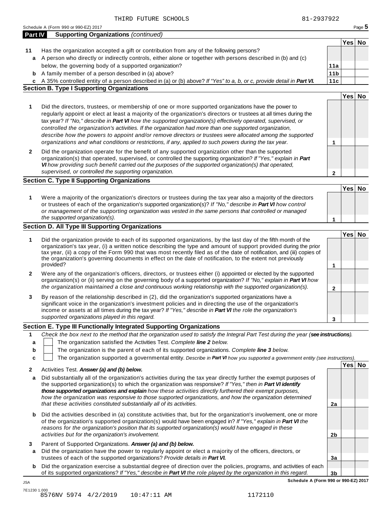|         | Schedule A (Form 990 or 990-EZ) 2017                                                                                                                                                                                                                                                                                                                                                                                                                                                                                                                                                                                                                                         |                 |        | Page 5 |
|---------|------------------------------------------------------------------------------------------------------------------------------------------------------------------------------------------------------------------------------------------------------------------------------------------------------------------------------------------------------------------------------------------------------------------------------------------------------------------------------------------------------------------------------------------------------------------------------------------------------------------------------------------------------------------------------|-----------------|--------|--------|
| Part IV | <b>Supporting Organizations (continued)</b>                                                                                                                                                                                                                                                                                                                                                                                                                                                                                                                                                                                                                                  |                 |        |        |
|         |                                                                                                                                                                                                                                                                                                                                                                                                                                                                                                                                                                                                                                                                              |                 | Yes No |        |
| 11      | Has the organization accepted a gift or contribution from any of the following persons?                                                                                                                                                                                                                                                                                                                                                                                                                                                                                                                                                                                      |                 |        |        |
|         | a A person who directly or indirectly controls, either alone or together with persons described in (b) and (c)                                                                                                                                                                                                                                                                                                                                                                                                                                                                                                                                                               |                 |        |        |
|         | below, the governing body of a supported organization?                                                                                                                                                                                                                                                                                                                                                                                                                                                                                                                                                                                                                       | 11a             |        |        |
| b       | A family member of a person described in (a) above?                                                                                                                                                                                                                                                                                                                                                                                                                                                                                                                                                                                                                          | 11 <sub>b</sub> |        |        |
|         | c A 35% controlled entity of a person described in (a) or (b) above? If "Yes" to a, b, or c, provide detail in Part VI.                                                                                                                                                                                                                                                                                                                                                                                                                                                                                                                                                      | 11c             |        |        |
|         | <b>Section B. Type I Supporting Organizations</b>                                                                                                                                                                                                                                                                                                                                                                                                                                                                                                                                                                                                                            |                 |        |        |
|         |                                                                                                                                                                                                                                                                                                                                                                                                                                                                                                                                                                                                                                                                              |                 | Yes No |        |
| 1       | Did the directors, trustees, or membership of one or more supported organizations have the power to<br>regularly appoint or elect at least a majority of the organization's directors or trustees at all times during the<br>tax year? If "No," describe in Part VI how the supported organization(s) effectively operated, supervised, or<br>controlled the organization's activities. If the organization had more than one supported organization,<br>describe how the powers to appoint and/or remove directors or trustees were allocated among the supported<br>organizations and what conditions or restrictions, if any, applied to such powers during the tax year. | 1               |        |        |
| 2       | Did the organization operate for the benefit of any supported organization other than the supported<br>organization(s) that operated, supervised, or controlled the supporting organization? If "Yes," explain in Part<br>VI how providing such benefit carried out the purposes of the supported organization(s) that operated,<br>supervised, or controlled the supporting organization.                                                                                                                                                                                                                                                                                   | $\mathbf{2}$    |        |        |
|         | <b>Section C. Type II Supporting Organizations</b>                                                                                                                                                                                                                                                                                                                                                                                                                                                                                                                                                                                                                           |                 |        |        |
|         |                                                                                                                                                                                                                                                                                                                                                                                                                                                                                                                                                                                                                                                                              |                 | Yes No |        |
| 1       | Were a majority of the organization's directors or trustees during the tax year also a majority of the directors<br>or trustees of each of the organization's supported organization(s)? If "No," describe in Part VI how control<br>or management of the supporting organization was vested in the same persons that controlled or managed<br>the supported organization(s).                                                                                                                                                                                                                                                                                                | 1               |        |        |
|         | <b>Section D. All Type III Supporting Organizations</b>                                                                                                                                                                                                                                                                                                                                                                                                                                                                                                                                                                                                                      |                 |        |        |
|         |                                                                                                                                                                                                                                                                                                                                                                                                                                                                                                                                                                                                                                                                              |                 | Yes No |        |
| 1       | Did the organization provide to each of its supported organizations, by the last day of the fifth month of the<br>organization's tax year, (i) a written notice describing the type and amount of support provided during the prior<br>tax year, (ii) a copy of the Form 990 that was most recently filed as of the date of notification, and (iii) copies of<br>the organization's governing documents in effect on the date of notification, to the extent not previously<br>provided?                                                                                                                                                                                     | 1               |        |        |
| 2       | Were any of the organization's officers, directors, or trustees either (i) appointed or elected by the supported<br>organization(s) or (ii) serving on the governing body of a supported organization? If "No," explain in Part VI how<br>the organization maintained a close and continuous working relationship with the supported organization(s).                                                                                                                                                                                                                                                                                                                        |                 |        |        |
| 3       | By reason of the relationship described in (2), did the organization's supported organizations have a<br>significant voice in the organization's investment policies and in directing the use of the organization's<br>income or assets at all times during the tax year? If "Yes," describe in Part VI the role the organization's                                                                                                                                                                                                                                                                                                                                          | $\mathbf{2}$    |        |        |
|         | supported organizations played in this regard.                                                                                                                                                                                                                                                                                                                                                                                                                                                                                                                                                                                                                               | 3               |        |        |
|         | Section E. Type III Functionally Integrated Supporting Organizations                                                                                                                                                                                                                                                                                                                                                                                                                                                                                                                                                                                                         |                 |        |        |
| 1<br>a  | Check the box next to the method that the organization used to satisfy the Integral Part Test during the year (see instructions).<br>The organization satisfied the Activities Test. Complete line 2 below.                                                                                                                                                                                                                                                                                                                                                                                                                                                                  |                 |        |        |
| b       | The organization is the parent of each of its supported organizations. Complete line 3 below.                                                                                                                                                                                                                                                                                                                                                                                                                                                                                                                                                                                |                 |        |        |
| C       | The organization supported a governmental entity. Describe in Part VI how you supported a government entity (see instructions).                                                                                                                                                                                                                                                                                                                                                                                                                                                                                                                                              |                 |        |        |
| 2       | Activities Test. Answer (a) and (b) below.                                                                                                                                                                                                                                                                                                                                                                                                                                                                                                                                                                                                                                   |                 | Yes No |        |
| a       | Did substantially all of the organization's activities during the tax year directly further the exempt purposes of<br>the supported organization(s) to which the organization was responsive? If "Yes," then in Part VI identify<br>those supported organizations and explain how these activities directly furthered their exempt purposes,<br>how the organization was responsive to those supported organizations, and how the organization determined<br>that these activities constituted substantially all of its activities.                                                                                                                                          | 2a              |        |        |
| b       | Did the activities described in (a) constitute activities that, but for the organization's involvement, one or more<br>of the organization's supported organization(s) would have been engaged in? If "Yes," explain in Part VI the<br>reasons for the organization's position that its supported organization(s) would have engaged in these<br>activities but for the organization's involvement.                                                                                                                                                                                                                                                                          | 2 <sub>b</sub>  |        |        |
|         |                                                                                                                                                                                                                                                                                                                                                                                                                                                                                                                                                                                                                                                                              |                 |        |        |

- **3** Parent of Supported Organizations. *Answer (a) and (b) below.*
- **a** Did the organization have the power to regularly appoint or elect a majority of the officers, directors, or trustees of each of the supported organizations? *Provide details in Part VI.*
- **b** Did the organization exercise a substantial degree of direction over the policies, programs, and activities of each of its supported organizations? *If"Yes," describe in Part VI the role played by the organization in this regard.*

**3b Schedule A (Form 990 or 990-EZ) 2017**

**3a**

JSA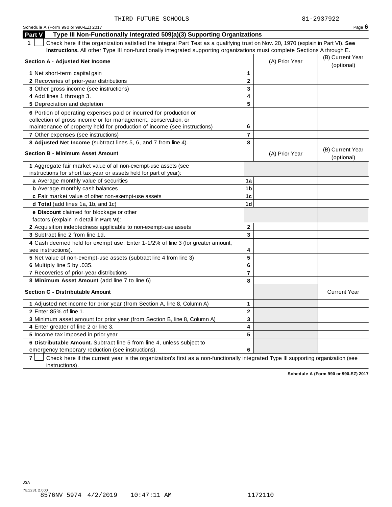| Schedule A (Form 990 or 990-EZ) 2017                                                                                                            |                         |                | Page 6                         |
|-------------------------------------------------------------------------------------------------------------------------------------------------|-------------------------|----------------|--------------------------------|
| Type III Non-Functionally Integrated 509(a)(3) Supporting Organizations<br>Part V                                                               |                         |                |                                |
| Check here if the organization satisfied the Integral Part Test as a qualifying trust on Nov. 20, 1970 (explain in Part VI). See<br>$\mathbf 1$ |                         |                |                                |
| instructions. All other Type III non-functionally integrated supporting organizations must complete Sections A through E.                       |                         |                |                                |
| <b>Section A - Adjusted Net Income</b>                                                                                                          |                         | (A) Prior Year | (B) Current Year               |
|                                                                                                                                                 |                         |                | (optional)                     |
| 1 Net short-term capital gain                                                                                                                   | 1                       |                |                                |
| 2 Recoveries of prior-year distributions                                                                                                        | $\overline{\mathbf{2}}$ |                |                                |
| 3 Other gross income (see instructions)                                                                                                         | 3                       |                |                                |
| 4 Add lines 1 through 3.                                                                                                                        | 4                       |                |                                |
| 5 Depreciation and depletion                                                                                                                    | 5                       |                |                                |
| 6 Portion of operating expenses paid or incurred for production or                                                                              |                         |                |                                |
| collection of gross income or for management, conservation, or                                                                                  |                         |                |                                |
| maintenance of property held for production of income (see instructions)                                                                        | 6                       |                |                                |
| 7 Other expenses (see instructions)                                                                                                             | 7                       |                |                                |
| 8 Adjusted Net Income (subtract lines 5, 6, and 7 from line 4).                                                                                 | 8                       |                |                                |
| <b>Section B - Minimum Asset Amount</b>                                                                                                         |                         | (A) Prior Year | (B) Current Year<br>(optional) |
| 1 Aggregate fair market value of all non-exempt-use assets (see                                                                                 |                         |                |                                |
| instructions for short tax year or assets held for part of year):                                                                               |                         |                |                                |
| a Average monthly value of securities                                                                                                           | 1a                      |                |                                |
| <b>b</b> Average monthly cash balances                                                                                                          | 1 <sub>b</sub>          |                |                                |
| c Fair market value of other non-exempt-use assets                                                                                              | 1 <sub>c</sub>          |                |                                |
| d Total (add lines 1a, 1b, and 1c)                                                                                                              | 1d                      |                |                                |
| e Discount claimed for blockage or other                                                                                                        |                         |                |                                |
| factors (explain in detail in Part VI):                                                                                                         |                         |                |                                |
| 2 Acquisition indebtedness applicable to non-exempt-use assets                                                                                  | $\mathbf{2}$            |                |                                |
| 3 Subtract line 2 from line 1d.                                                                                                                 | 3                       |                |                                |
| 4 Cash deemed held for exempt use. Enter 1-1/2% of line 3 (for greater amount,                                                                  |                         |                |                                |
| see instructions).                                                                                                                              | 4                       |                |                                |
| 5 Net value of non-exempt-use assets (subtract line 4 from line 3)                                                                              | 5                       |                |                                |
| 6 Multiply line 5 by .035.                                                                                                                      | 6                       |                |                                |
| 7 Recoveries of prior-year distributions                                                                                                        | $\overline{\mathbf{r}}$ |                |                                |
| 8 Minimum Asset Amount (add line 7 to line 6)                                                                                                   | 8                       |                |                                |
| <b>Section C - Distributable Amount</b>                                                                                                         |                         |                | <b>Current Year</b>            |
| 1 Adjusted net income for prior year (from Section A, line 8, Column A)                                                                         | 1                       |                |                                |
| 2 Enter 85% of line 1.                                                                                                                          | $\overline{\mathbf{2}}$ |                |                                |
| 3 Minimum asset amount for prior year (from Section B, line 8, Column A)                                                                        | 3                       |                |                                |
| 4 Enter greater of line 2 or line 3.                                                                                                            | 4                       |                |                                |
| 5 Income tax imposed in prior year                                                                                                              | 5                       |                |                                |
| 6 Distributable Amount. Subtract line 5 from line 4, unless subject to                                                                          |                         |                |                                |
| emergency temporary reduction (see instructions).                                                                                               | 6                       |                |                                |

**7** | Check here if the current year is the organization's first as a non-functionally integrated Type III supporting organization (see instructions).

**Schedule A (Form 990 or 990-EZ) 2017**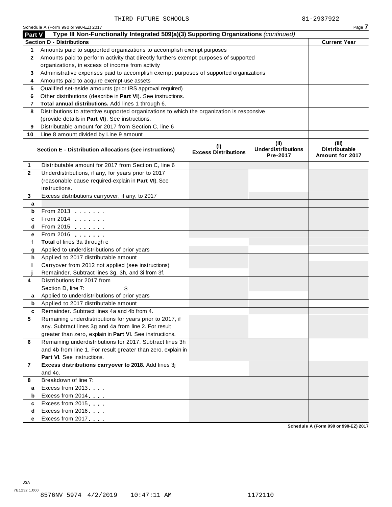|                         | Schedule A (Form 990 or 990-EZ) 2017                                                       |                                    |                                               | Page 7                                           |  |  |  |
|-------------------------|--------------------------------------------------------------------------------------------|------------------------------------|-----------------------------------------------|--------------------------------------------------|--|--|--|
| <b>Part V</b>           | Type III Non-Functionally Integrated 509(a)(3) Supporting Organizations (continued)        |                                    |                                               |                                                  |  |  |  |
|                         | <b>Section D - Distributions</b>                                                           |                                    |                                               | <b>Current Year</b>                              |  |  |  |
| 1                       | Amounts paid to supported organizations to accomplish exempt purposes                      |                                    |                                               |                                                  |  |  |  |
| $\mathbf{2}$            | Amounts paid to perform activity that directly furthers exempt purposes of supported       |                                    |                                               |                                                  |  |  |  |
|                         | organizations, in excess of income from activity                                           |                                    |                                               |                                                  |  |  |  |
| 3                       | Administrative expenses paid to accomplish exempt purposes of supported organizations      |                                    |                                               |                                                  |  |  |  |
| 4                       | Amounts paid to acquire exempt-use assets                                                  |                                    |                                               |                                                  |  |  |  |
| 5                       | Qualified set-aside amounts (prior IRS approval required)                                  |                                    |                                               |                                                  |  |  |  |
| 6                       | Other distributions (describe in Part VI). See instructions.                               |                                    |                                               |                                                  |  |  |  |
| $\overline{\mathbf{r}}$ | Total annual distributions. Add lines 1 through 6.                                         |                                    |                                               |                                                  |  |  |  |
| 8                       | Distributions to attentive supported organizations to which the organization is responsive |                                    |                                               |                                                  |  |  |  |
|                         | (provide details in Part VI). See instructions.                                            |                                    |                                               |                                                  |  |  |  |
| 9                       | Distributable amount for 2017 from Section C, line 6                                       |                                    |                                               |                                                  |  |  |  |
| 10                      | Line 8 amount divided by Line 9 amount                                                     |                                    |                                               |                                                  |  |  |  |
|                         | Section E - Distribution Allocations (see instructions)                                    | (i)<br><b>Excess Distributions</b> | (ii)<br><b>Underdistributions</b><br>Pre-2017 | (iii)<br><b>Distributable</b><br>Amount for 2017 |  |  |  |
| 1.                      | Distributable amount for 2017 from Section C, line 6                                       |                                    |                                               |                                                  |  |  |  |
| $\mathbf{2}$            | Underdistributions, if any, for years prior to 2017                                        |                                    |                                               |                                                  |  |  |  |
|                         | (reasonable cause required-explain in Part VI). See                                        |                                    |                                               |                                                  |  |  |  |
|                         | instructions.                                                                              |                                    |                                               |                                                  |  |  |  |
| 3                       | Excess distributions carryover, if any, to 2017                                            |                                    |                                               |                                                  |  |  |  |
| а                       |                                                                                            |                                    |                                               |                                                  |  |  |  |
| b                       | From 2013                                                                                  |                                    |                                               |                                                  |  |  |  |
| c                       | From 2014 <b></b>                                                                          |                                    |                                               |                                                  |  |  |  |
| d                       | From 2015                                                                                  |                                    |                                               |                                                  |  |  |  |
| е                       | From 2016 <b></b>                                                                          |                                    |                                               |                                                  |  |  |  |
| f                       | Total of lines 3a through e                                                                |                                    |                                               |                                                  |  |  |  |
| g                       | Applied to underdistributions of prior years                                               |                                    |                                               |                                                  |  |  |  |
| h                       | Applied to 2017 distributable amount                                                       |                                    |                                               |                                                  |  |  |  |
| j.                      | Carryover from 2012 not applied (see instructions)                                         |                                    |                                               |                                                  |  |  |  |
|                         | Remainder. Subtract lines 3g, 3h, and 3i from 3f.                                          |                                    |                                               |                                                  |  |  |  |
| 4                       | Distributions for 2017 from                                                                |                                    |                                               |                                                  |  |  |  |
|                         | Section D, line 7:<br>\$                                                                   |                                    |                                               |                                                  |  |  |  |
| a                       | Applied to underdistributions of prior years                                               |                                    |                                               |                                                  |  |  |  |
| b                       | Applied to 2017 distributable amount                                                       |                                    |                                               |                                                  |  |  |  |
| с                       | Remainder. Subtract lines 4a and 4b from 4.                                                |                                    |                                               |                                                  |  |  |  |
| 5                       | Remaining underdistributions for years prior to 2017, if                                   |                                    |                                               |                                                  |  |  |  |
|                         | any. Subtract lines 3g and 4a from line 2. For result                                      |                                    |                                               |                                                  |  |  |  |
|                         | greater than zero, explain in Part VI. See instructions.                                   |                                    |                                               |                                                  |  |  |  |
| 6                       | Remaining underdistributions for 2017. Subtract lines 3h                                   |                                    |                                               |                                                  |  |  |  |
|                         | and 4b from line 1. For result greater than zero, explain in                               |                                    |                                               |                                                  |  |  |  |
|                         | <b>Part VI.</b> See instructions.                                                          |                                    |                                               |                                                  |  |  |  |
| 7                       | Excess distributions carryover to 2018. Add lines 3j                                       |                                    |                                               |                                                  |  |  |  |
|                         | and 4c.                                                                                    |                                    |                                               |                                                  |  |  |  |
| 8                       | Breakdown of line 7:                                                                       |                                    |                                               |                                                  |  |  |  |
| a                       | Excess from 2013                                                                           |                                    |                                               |                                                  |  |  |  |
| b                       | Excess from 2014                                                                           |                                    |                                               |                                                  |  |  |  |
| c                       | Excess from 2015                                                                           |                                    |                                               |                                                  |  |  |  |
| d                       | Excess from 2016                                                                           |                                    |                                               |                                                  |  |  |  |
| е                       | Excess from 2017                                                                           |                                    |                                               |                                                  |  |  |  |
|                         |                                                                                            |                                    |                                               | <b>Cohodulo A (Form 000 or 000 EZ) 2017</b>      |  |  |  |

**Schedule A (Form 990 or 990-EZ) 2017**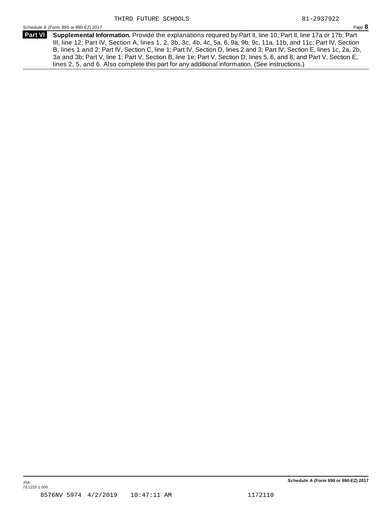**Supplemental Information.** Provide the explanations required by Part II, line 10; Part II, line 17a or 17b; Part **Part VI** III, line 12; Part IV, Section A, lines 1, 2, 3b, 3c, 4b, 4c, 5a, 6, 9a, 9b, 9c, 11a, 11b, and 11c; Part IV, Section B, lines 1 and 2; Part IV, Section C, line 1; Part IV, Section D, lines 2 and 3; Part IV, Section E, lines 1c, 2a, 2b, 3a and 3b; Part V, line 1; Part V, Section B, line 1e; Part V, Section D, lines 5, 6, and 8; and Part V, Section E, lines 2, 5, and 6. Also complete this part for any additional information. (See instructions.)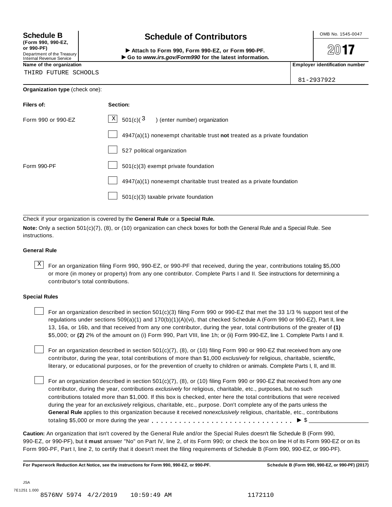**(Form 990, 990-EZ, or 990-PF)** Department of the Treasury<br>Internal Revenue Service

## **Schedule B**  $\leftarrow$  **Contributors**

(Porm 990, Form 990, Form 990-EZ, or Form 990-PF.<br>Department of the Treasury → Attach to Form 990, Form 990-EZ, or Form 990-PF.<br>Internal Revenue Service → → Go to www.irs.gov/Form990 for the latest information.<br>Name of th

 $20$ **17** 

81-2937922

THIRD FUTURE SCHOOLS

#### **Organization type** (check one):

| Filers of:         | Section:                                                                    |
|--------------------|-----------------------------------------------------------------------------|
| Form 990 or 990-EZ | $\mathbf{X}$<br>501(c)( $^3$<br>) (enter number) organization               |
|                    | $4947(a)(1)$ nonexempt charitable trust not treated as a private foundation |
|                    | 527 political organization                                                  |
| Form 990-PF        | $501(c)(3)$ exempt private foundation                                       |
|                    | 4947(a)(1) nonexempt charitable trust treated as a private foundation       |
|                    | $501(c)(3)$ taxable private foundation                                      |

Check if your organization is covered by the **General Rule** or a **Special Rule.**

**Note:** Only a section 501(c)(7), (8), or (10) organization can check boxes for both the General Rule and a Special Rule. See instructions.

#### **General Rule**

 $\overline{X}$  For an organization filing Form 990, 990-EZ, or 990-PF that received, during the year, contributions totaling \$5,000 or more (in money or property) from any one contributor. Complete Parts I and II. See instructions for determining a contributor's total contributions.

#### **Special Rules**

For an organization described in section 501(c)(3) filing Form 990 or 990-EZ that met the 33 1/3 % support test of the regulations under sections 509(a)(1) and 170(b)(1)(A)(vi), that checked Schedule A (Form 990 or 990-EZ), Part II, line 13, 16a, or 16b, and that received from any one contributor, during the year, total contributions of the greater of **(1)** \$5,000; or **(2)** 2% of the amount on (i) Form 990, Part VIII, line 1h; or (ii) Form 990-EZ, line 1. Complete Parts I and II.

For an organization described in section 501(c)(7), (8), or (10) filing Form 990 or 990-EZ that received from any one contributor, during the year, total contributions of more than \$1,000 *exclusively* for religious, charitable, scientific, literary, or educational purposes, or for the prevention of cruelty to children or animals. Complete Parts I, II, and III.

For an organization described in section 501(c)(7), (8), or (10) filing Form 990 or 990-EZ that received from any one contributor, during the year, contributions *exclusively* for religious, charitable, etc., purposes, but no such contributions totaled more than \$1,000. If this box is checked, enter here the total contributions that were received during the year for an *exclusively* religious, charitable, etc., purpose. Don't complete any of the parts unless the **General Rule** applies to this organization because it received *nonexclusively* religious, charitable, etc., contributions totaling \$5,000 or more during the year m m m m m m m m m m m m m m m m m m m m m m m m m m m m m m m I \$

**Caution:** An organization that isn't covered by the General Rule and/or the Special Rules doesn't file Schedule B (Form 990, 990-EZ, or 990-PF), but it **must** answer "No" on Part IV, line 2, of its Form 990; or check the box on line H of its Form 990-EZ or on its Form 990-PF, Part I, line 2, to certify that it doesn't meet the filing requirements of Schedule B (Form 990, 990-EZ, or 990-PF).

For Paperwork Reduction Act Notice, see the instructions for Form 990, 990-EZ, or 990-PF. Schedule B (Form 990, 990-EZ, or 990-PF) (2017)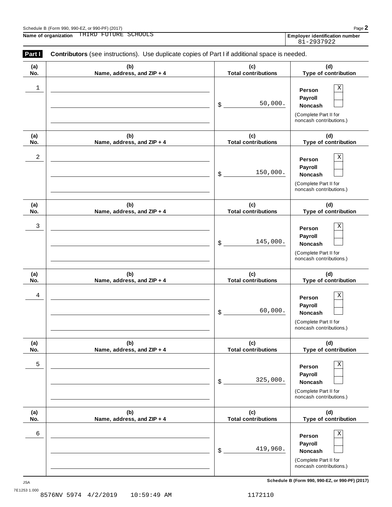81-2937922

| Part I      | Contributors (see instructions). Use duplicate copies of Part I if additional space is needed. |                                   |                                                                                                 |
|-------------|------------------------------------------------------------------------------------------------|-----------------------------------|-------------------------------------------------------------------------------------------------|
| (a)<br>No.  | (b)<br>Name, address, and ZIP + 4                                                              | (c)<br><b>Total contributions</b> | (d)<br>Type of contribution                                                                     |
| $\mathbf 1$ |                                                                                                | 50,000.<br>$\mathsf S$ .          | $\mathbf X$<br>Person<br>Payroll<br>Noncash<br>(Complete Part II for<br>noncash contributions.) |
| (a)<br>No.  | (b)<br>Name, address, and ZIP + 4                                                              | (c)<br><b>Total contributions</b> | (d)<br>Type of contribution                                                                     |
| 2           |                                                                                                | 150,000.<br>$\mathsf S$ .         | $\mathbf X$<br>Person<br>Payroll<br>Noncash<br>(Complete Part II for<br>noncash contributions.) |
| (a)<br>No.  | (b)<br>Name, address, and ZIP + 4                                                              | (c)<br><b>Total contributions</b> | (d)<br>Type of contribution                                                                     |
| 3           |                                                                                                | 145,000.<br>$$$ .                 | $\mathbf X$<br>Person<br>Payroll<br>Noncash<br>(Complete Part II for<br>noncash contributions.) |
| (a)<br>No.  | (b)<br>Name, address, and ZIP + 4                                                              | (c)<br><b>Total contributions</b> | (d)<br>Type of contribution                                                                     |
| 4           |                                                                                                | 60,000.<br>\$                     | Χ<br>Person<br>Payroll<br>Noncash<br>(Complete Part II for<br>noncash contributions.)           |
| (a)<br>No.  | (b)<br>Name, address, and ZIP + 4                                                              | (c)<br><b>Total contributions</b> | (d)<br>Type of contribution                                                                     |
| 5           |                                                                                                | 325,000.<br>\$                    | Χ<br>Person<br>Payroll<br>Noncash<br>(Complete Part II for<br>noncash contributions.)           |
| (a)<br>No.  | (b)<br>Name, address, and ZIP + 4                                                              | (c)<br><b>Total contributions</b> | (d)<br>Type of contribution                                                                     |
| 6           |                                                                                                | 419,960.<br>\$                    | Χ<br>Person<br>Payroll<br>Noncash<br>(Complete Part II for<br>noncash contributions.)           |

**Schedule B (Form 990, 990-EZ, or 990-PF) (2017)** JSA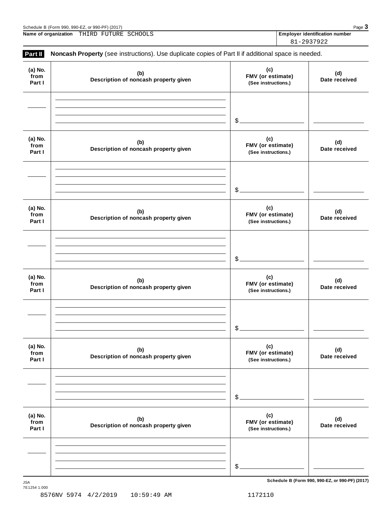| $\mathbf{A}$ . As a final set |  |
|-------------------------------|--|

**(a) No. from Part I**

7E1254 1.000

|                           |                                              | $$$ .                                           |                      |
|---------------------------|----------------------------------------------|-------------------------------------------------|----------------------|
| (a) No.<br>from<br>Part I | (b)<br>Description of noncash property given | (c)<br>FMV (or estimate)<br>(See instructions.) | (d)<br>Date received |
|                           |                                              |                                                 |                      |
|                           |                                              | $\frac{1}{2}$                                   |                      |
| (a) No.<br>from<br>Part I | (b)<br>Description of noncash property given | (c)<br>FMV (or estimate)<br>(See instructions.) | (d)<br>Date received |
|                           |                                              |                                                 |                      |
|                           |                                              | $\frac{1}{2}$                                   |                      |
| (a) No.<br>from<br>Part I | (b)<br>Description of noncash property given | (c)<br>FMV (or estimate)<br>(See instructions.) | (d)<br>Date received |
|                           |                                              |                                                 |                      |
|                           |                                              | $\delta$ .                                      |                      |
| (a) No.<br>from<br>Part I | (b)<br>Description of noncash property given | (c)<br>FMV (or estimate)<br>(See instructions.) | (d)<br>Date received |
|                           |                                              |                                                 |                      |
|                           |                                              | Φ                                               |                      |
| (a) No.<br>from<br>Part I | (b)<br>Description of noncash property given | (c)<br>FMV (or estimate)<br>(See instructions.) | (d)<br>Date received |
|                           |                                              |                                                 |                      |
|                           |                                              | \$                                              |                      |

**Part II** Noncash Property (see instructions). Use duplicate copies of Part II if additional space is needed.

**(b) Description of noncash property given**

 $S$ chedule B (Form 990, 990-EZ, or 990-PF) (2017)

**(d) Date received**

| Schedule B (I<br>or $990-PF$<br>(2017)<br>---<br>990-E<br>990.<br>(Form)<br>. | Page |
|-------------------------------------------------------------------------------|------|
|                                                                               |      |

**Name of organization** THIRD FUTURE SCHOOLS Employer identification number

81-2937922

**(c) FMV (or estimate) (See instructions.)**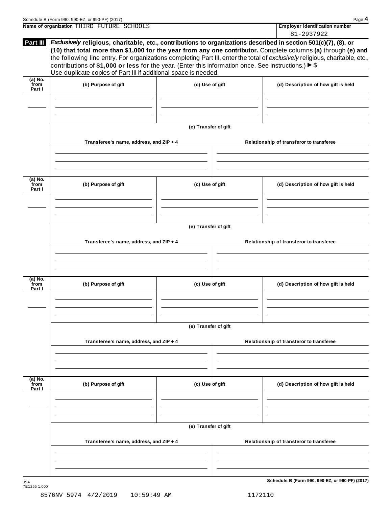|                             | Name of organization THIRD FUTURE SCHOOLS                                                                                                                                                                                                                                                                                                                                                                                               |                                                                                                             |  | Employer identification number<br>81-2937922    |  |  |  |
|-----------------------------|-----------------------------------------------------------------------------------------------------------------------------------------------------------------------------------------------------------------------------------------------------------------------------------------------------------------------------------------------------------------------------------------------------------------------------------------|-------------------------------------------------------------------------------------------------------------|--|-------------------------------------------------|--|--|--|
|                             | Part III Exclusively religious, charitable, etc., contributions to organizations described in section 501(c)(7), (8), or                                                                                                                                                                                                                                                                                                                |                                                                                                             |  |                                                 |  |  |  |
|                             | (10) that total more than \$1,000 for the year from any one contributor. Complete columns (a) through (e) and<br>the following line entry. For organizations completing Part III, enter the total of exclusively religious, charitable, etc.,<br>contributions of \$1,000 or less for the year. (Enter this information once. See instructions.) $\triangleright$ \$<br>Use duplicate copies of Part III if additional space is needed. |                                                                                                             |  |                                                 |  |  |  |
| $(a)$ No.<br>from<br>Part I | (b) Purpose of gift                                                                                                                                                                                                                                                                                                                                                                                                                     | (c) Use of gift                                                                                             |  | (d) Description of how gift is held             |  |  |  |
|                             |                                                                                                                                                                                                                                                                                                                                                                                                                                         |                                                                                                             |  |                                                 |  |  |  |
|                             |                                                                                                                                                                                                                                                                                                                                                                                                                                         | (e) Transfer of gift                                                                                        |  |                                                 |  |  |  |
|                             | Transferee's name, address, and ZIP + 4                                                                                                                                                                                                                                                                                                                                                                                                 |                                                                                                             |  | Relationship of transferor to transferee        |  |  |  |
| $(a)$ No.<br>from           |                                                                                                                                                                                                                                                                                                                                                                                                                                         |                                                                                                             |  |                                                 |  |  |  |
| Part I                      | (b) Purpose of gift                                                                                                                                                                                                                                                                                                                                                                                                                     | (c) Use of gift                                                                                             |  | (d) Description of how gift is held             |  |  |  |
|                             |                                                                                                                                                                                                                                                                                                                                                                                                                                         |                                                                                                             |  |                                                 |  |  |  |
|                             |                                                                                                                                                                                                                                                                                                                                                                                                                                         | (e) Transfer of gift<br>Transferee's name, address, and ZIP + 4<br>Relationship of transferor to transferee |  |                                                 |  |  |  |
|                             |                                                                                                                                                                                                                                                                                                                                                                                                                                         |                                                                                                             |  |                                                 |  |  |  |
| (a) No.<br>from<br>Part I   | (b) Purpose of gift                                                                                                                                                                                                                                                                                                                                                                                                                     | (c) Use of gift                                                                                             |  | (d) Description of how gift is held             |  |  |  |
|                             |                                                                                                                                                                                                                                                                                                                                                                                                                                         |                                                                                                             |  |                                                 |  |  |  |
|                             | (e) Transfer of gift                                                                                                                                                                                                                                                                                                                                                                                                                    |                                                                                                             |  |                                                 |  |  |  |
|                             | Transferee's name, address, and ZIP + 4                                                                                                                                                                                                                                                                                                                                                                                                 |                                                                                                             |  | Relationship of transferor to transferee        |  |  |  |
|                             |                                                                                                                                                                                                                                                                                                                                                                                                                                         |                                                                                                             |  |                                                 |  |  |  |
| $(a)$ No.<br>from<br>Part I | (b) Purpose of gift                                                                                                                                                                                                                                                                                                                                                                                                                     | (c) Use of gift                                                                                             |  | (d) Description of how gift is held             |  |  |  |
|                             |                                                                                                                                                                                                                                                                                                                                                                                                                                         |                                                                                                             |  |                                                 |  |  |  |
|                             |                                                                                                                                                                                                                                                                                                                                                                                                                                         | (e) Transfer of gift                                                                                        |  |                                                 |  |  |  |
|                             | Transferee's name, address, and ZIP + 4                                                                                                                                                                                                                                                                                                                                                                                                 |                                                                                                             |  | Relationship of transferor to transferee        |  |  |  |
|                             |                                                                                                                                                                                                                                                                                                                                                                                                                                         |                                                                                                             |  |                                                 |  |  |  |
|                             |                                                                                                                                                                                                                                                                                                                                                                                                                                         |                                                                                                             |  | Schedule B (Form 990, 990-EZ, or 990-PF) (2017) |  |  |  |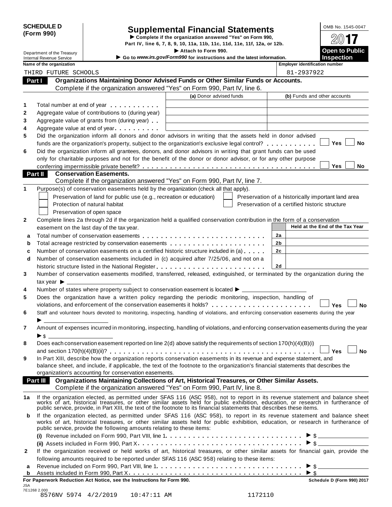# SCHEDULE D<br>
Supplemental Financial Statements<br>
Form 990)<br>
Part IV, line 6, 7, 8, 9, 10, 11a, 11b, 11c, 11d, 11e, 11f, 12a, or 12b.<br>
Attach to Form 990,<br>
Attach to Form 990,

|              |                                                             |                                                                                                                                                                                                                                      | Part IV, line 6, 7, 8, 9, 10, 11a, 11b, 11c, 11d, 11e, 11f, 12a, or 12b.                                                                                                                                                                                     |                                                                                                      | 4U L                            |
|--------------|-------------------------------------------------------------|--------------------------------------------------------------------------------------------------------------------------------------------------------------------------------------------------------------------------------------|--------------------------------------------------------------------------------------------------------------------------------------------------------------------------------------------------------------------------------------------------------------|------------------------------------------------------------------------------------------------------|---------------------------------|
|              | Department of the Treasury                                  |                                                                                                                                                                                                                                      | Attach to Form 990.                                                                                                                                                                                                                                          |                                                                                                      | <b>Open to Public</b>           |
|              | <b>Internal Revenue Service</b><br>Name of the organization |                                                                                                                                                                                                                                      | Go to www.irs.gov/Form990 for instructions and the latest information.                                                                                                                                                                                       | <b>Employer identification number</b>                                                                | Inspection                      |
|              |                                                             |                                                                                                                                                                                                                                      |                                                                                                                                                                                                                                                              |                                                                                                      |                                 |
|              | THIRD FUTURE SCHOOLS                                        |                                                                                                                                                                                                                                      | Organizations Maintaining Donor Advised Funds or Other Similar Funds or Accounts.                                                                                                                                                                            | 81-2937922                                                                                           |                                 |
|              | Part I                                                      |                                                                                                                                                                                                                                      | Complete if the organization answered "Yes" on Form 990, Part IV, line 6.                                                                                                                                                                                    |                                                                                                      |                                 |
|              |                                                             |                                                                                                                                                                                                                                      | (a) Donor advised funds                                                                                                                                                                                                                                      |                                                                                                      | (b) Funds and other accounts    |
|              |                                                             |                                                                                                                                                                                                                                      |                                                                                                                                                                                                                                                              |                                                                                                      |                                 |
| 1            |                                                             | Total number at end of year <b>that the state of the state of the state of the state of the state of the state of the state of the state of the state of the state of the state of the state of the state of the state of the st</b> |                                                                                                                                                                                                                                                              |                                                                                                      |                                 |
| 2            |                                                             | Aggregate value of contributions to (during year)                                                                                                                                                                                    |                                                                                                                                                                                                                                                              |                                                                                                      |                                 |
| 3            |                                                             | Aggregate value of grants from (during year)                                                                                                                                                                                         |                                                                                                                                                                                                                                                              |                                                                                                      |                                 |
| 4            |                                                             | Aggregate value at end of year expression and Aggregate value                                                                                                                                                                        |                                                                                                                                                                                                                                                              |                                                                                                      |                                 |
| 5            |                                                             |                                                                                                                                                                                                                                      | Did the organization inform all donors and donor advisors in writing that the assets held in donor advised                                                                                                                                                   |                                                                                                      |                                 |
|              |                                                             |                                                                                                                                                                                                                                      | funds are the organization's property, subject to the organization's exclusive legal control?                                                                                                                                                                |                                                                                                      | <b>Yes</b><br>No                |
| 6            |                                                             |                                                                                                                                                                                                                                      | Did the organization inform all grantees, donors, and donor advisors in writing that grant funds can be used                                                                                                                                                 |                                                                                                      |                                 |
|              |                                                             |                                                                                                                                                                                                                                      | only for charitable purposes and not for the benefit of the donor or donor advisor, or for any other purpose                                                                                                                                                 |                                                                                                      |                                 |
|              |                                                             | <b>Conservation Easements.</b>                                                                                                                                                                                                       |                                                                                                                                                                                                                                                              |                                                                                                      | <b>Yes</b><br>No                |
|              | Part II                                                     |                                                                                                                                                                                                                                      | Complete if the organization answered "Yes" on Form 990, Part IV, line 7.                                                                                                                                                                                    |                                                                                                      |                                 |
| 1            |                                                             |                                                                                                                                                                                                                                      | Purpose(s) of conservation easements held by the organization (check all that apply).                                                                                                                                                                        |                                                                                                      |                                 |
|              |                                                             |                                                                                                                                                                                                                                      |                                                                                                                                                                                                                                                              |                                                                                                      |                                 |
|              |                                                             | Preservation of land for public use (e.g., recreation or education)<br>Protection of natural habitat                                                                                                                                 |                                                                                                                                                                                                                                                              | Preservation of a historically important land area<br>Preservation of a certified historic structure |                                 |
|              |                                                             |                                                                                                                                                                                                                                      |                                                                                                                                                                                                                                                              |                                                                                                      |                                 |
|              |                                                             | Preservation of open space                                                                                                                                                                                                           |                                                                                                                                                                                                                                                              |                                                                                                      |                                 |
| $\mathbf{2}$ |                                                             |                                                                                                                                                                                                                                      | Complete lines 2a through 2d if the organization held a qualified conservation contribution in the form of a conservation                                                                                                                                    |                                                                                                      | Held at the End of the Tax Year |
|              |                                                             | easement on the last day of the tax year.                                                                                                                                                                                            |                                                                                                                                                                                                                                                              |                                                                                                      |                                 |
| a            |                                                             |                                                                                                                                                                                                                                      |                                                                                                                                                                                                                                                              | 2a                                                                                                   |                                 |
| b            |                                                             |                                                                                                                                                                                                                                      | Total acreage restricted by conservation easements                                                                                                                                                                                                           | 2 <sub>b</sub>                                                                                       |                                 |
| c            |                                                             |                                                                                                                                                                                                                                      | Number of conservation easements on a certified historic structure included in (a)                                                                                                                                                                           | 2c                                                                                                   |                                 |
| d            |                                                             |                                                                                                                                                                                                                                      | Number of conservation easements included in (c) acquired after 7/25/06, and not on a                                                                                                                                                                        |                                                                                                      |                                 |
|              |                                                             |                                                                                                                                                                                                                                      | historic structure listed in the National Register                                                                                                                                                                                                           | 2d                                                                                                   |                                 |
| 3            |                                                             |                                                                                                                                                                                                                                      | Number of conservation easements modified, transferred, released, extinguished, or terminated by the organization during the                                                                                                                                 |                                                                                                      |                                 |
|              | tax year $\blacktriangleright$ __                           |                                                                                                                                                                                                                                      | Number of states where property subject to conservation easement is located ▶ ___                                                                                                                                                                            |                                                                                                      |                                 |
| 4<br>5       |                                                             |                                                                                                                                                                                                                                      | Does the organization have a written policy regarding the periodic monitoring, inspection, handling of                                                                                                                                                       |                                                                                                      |                                 |
|              |                                                             |                                                                                                                                                                                                                                      | violations, and enforcement of the conservation easements it holds? $\ldots$ , , , , , ,                                                                                                                                                                     |                                                                                                      | <b>Yes</b><br><b>No</b>         |
| 6            |                                                             |                                                                                                                                                                                                                                      |                                                                                                                                                                                                                                                              |                                                                                                      |                                 |
|              |                                                             |                                                                                                                                                                                                                                      | Staff and volunteer hours devoted to monitoring, inspecting, handling of violations, and enforcing conservation easements during the year                                                                                                                    |                                                                                                      |                                 |
|              |                                                             |                                                                                                                                                                                                                                      | Amount of expenses incurred in monitoring, inspecting, handling of violations, and enforcing conservation easements during the year                                                                                                                          |                                                                                                      |                                 |
|              |                                                             |                                                                                                                                                                                                                                      |                                                                                                                                                                                                                                                              |                                                                                                      |                                 |
| 8            |                                                             |                                                                                                                                                                                                                                      | Does each conservation easement reported on line 2(d) above satisfy the requirements of section 170(h)(4)(B)(i)                                                                                                                                              |                                                                                                      |                                 |
|              |                                                             |                                                                                                                                                                                                                                      |                                                                                                                                                                                                                                                              |                                                                                                      | Yes<br><b>No</b>                |
| 9            |                                                             |                                                                                                                                                                                                                                      | In Part XIII, describe how the organization reports conservation easements in its revenue and expense statement, and                                                                                                                                         |                                                                                                      |                                 |
|              |                                                             |                                                                                                                                                                                                                                      | balance sheet, and include, if applicable, the text of the footnote to the organization's financial statements that describes the                                                                                                                            |                                                                                                      |                                 |
|              |                                                             | organization's accounting for conservation easements.                                                                                                                                                                                |                                                                                                                                                                                                                                                              |                                                                                                      |                                 |
|              | Part III                                                    |                                                                                                                                                                                                                                      | Organizations Maintaining Collections of Art, Historical Treasures, or Other Similar Assets.                                                                                                                                                                 |                                                                                                      |                                 |
|              |                                                             |                                                                                                                                                                                                                                      | Complete if the organization answered "Yes" on Form 990, Part IV, line 8.                                                                                                                                                                                    |                                                                                                      |                                 |
| 1a           |                                                             |                                                                                                                                                                                                                                      |                                                                                                                                                                                                                                                              |                                                                                                      |                                 |
|              |                                                             |                                                                                                                                                                                                                                      | If the organization elected, as permitted under SFAS 116 (ASC 958), not to report in its revenue statement and balance sheet works of art, historical treasures, or other similar assets held for public exhibition, education                               |                                                                                                      |                                 |
| b            |                                                             | public service, provide the following amounts relating to these items:                                                                                                                                                               | If the organization elected, as permitted under SFAS 116 (ASC 958), to report in its revenue statement and balance sheet<br>works of art, historical treasures, or other similar assets held for public exhibition, education, or research in furtherance of |                                                                                                      |                                 |
|              |                                                             |                                                                                                                                                                                                                                      |                                                                                                                                                                                                                                                              |                                                                                                      | $\triangleright$ \$             |
|              |                                                             |                                                                                                                                                                                                                                      |                                                                                                                                                                                                                                                              |                                                                                                      |                                 |
| $\mathbf{2}$ |                                                             |                                                                                                                                                                                                                                      | If the organization received or held works of art, historical treasures, or other similar assets for financial gain, provide the                                                                                                                             |                                                                                                      |                                 |
|              |                                                             |                                                                                                                                                                                                                                      | following amounts required to be reported under SFAS 116 (ASC 958) relating to these items:                                                                                                                                                                  |                                                                                                      |                                 |
| а            |                                                             |                                                                                                                                                                                                                                      |                                                                                                                                                                                                                                                              |                                                                                                      |                                 |
| b            |                                                             |                                                                                                                                                                                                                                      | Assets included in Form 990, Part $X$ , $\ldots$ , $\ldots$ , $\ldots$ , $\ldots$ , $\ldots$ , $\ldots$ , $\ldots$ , $\ldots$ , $\blacktriangleright$ $\S$                                                                                                   |                                                                                                      |                                 |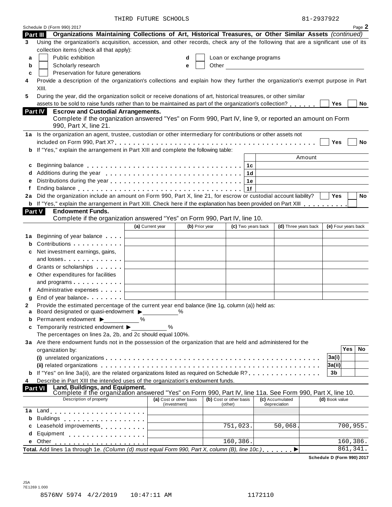| 81-2937922 |  |
|------------|--|
|            |  |

|          | Schedule D (Form 990) 2017                                                                                                                                                                                                     |                                              |   |                |                           |                    |                                                                                                                                                                                                                               |                     |            | Page 2    |
|----------|--------------------------------------------------------------------------------------------------------------------------------------------------------------------------------------------------------------------------------|----------------------------------------------|---|----------------|---------------------------|--------------------|-------------------------------------------------------------------------------------------------------------------------------------------------------------------------------------------------------------------------------|---------------------|------------|-----------|
| Part III | Organizations Maintaining Collections of Art, Historical Treasures, or Other Similar Assets (continued)                                                                                                                        |                                              |   |                |                           |                    |                                                                                                                                                                                                                               |                     |            |           |
| 3        | Using the organization's acquisition, accession, and other records, check any of the following that are a significant use of its                                                                                               |                                              |   |                |                           |                    |                                                                                                                                                                                                                               |                     |            |           |
|          | collection items (check all that apply):                                                                                                                                                                                       |                                              |   |                |                           |                    |                                                                                                                                                                                                                               |                     |            |           |
| a        | Public exhibition                                                                                                                                                                                                              |                                              | d |                | Loan or exchange programs |                    |                                                                                                                                                                                                                               |                     |            |           |
| b        | Scholarly research                                                                                                                                                                                                             |                                              | е |                |                           |                    | Other and the contract of the contract of the contract of the contract of the contract of the contract of the contract of the contract of the contract of the contract of the contract of the contract of the contract of the |                     |            |           |
| c        | Preservation for future generations                                                                                                                                                                                            |                                              |   |                |                           |                    |                                                                                                                                                                                                                               |                     |            |           |
| 4        | Provide a description of the organization's collections and explain how they further the organization's exempt purpose in Part                                                                                                 |                                              |   |                |                           |                    |                                                                                                                                                                                                                               |                     |            |           |
|          | XIII.                                                                                                                                                                                                                          |                                              |   |                |                           |                    |                                                                                                                                                                                                                               |                     |            |           |
| 5        | During the year, did the organization solicit or receive donations of art, historical treasures, or other similar                                                                                                              |                                              |   |                |                           |                    |                                                                                                                                                                                                                               |                     |            |           |
|          | assets to be sold to raise funds rather than to be maintained as part of the organization's collection?                                                                                                                        |                                              |   |                |                           |                    |                                                                                                                                                                                                                               | Yes                 |            | No        |
|          | <b>Escrow and Custodial Arrangements.</b><br>Part IV<br>Complete if the organization answered "Yes" on Form 990, Part IV, line 9, or reported an amount on Form                                                                |                                              |   |                |                           |                    |                                                                                                                                                                                                                               |                     |            |           |
|          | 990, Part X, line 21.                                                                                                                                                                                                          |                                              |   |                |                           |                    |                                                                                                                                                                                                                               |                     |            |           |
|          | 1a Is the organization an agent, trustee, custodian or other intermediary for contributions or other assets not                                                                                                                |                                              |   |                |                           |                    |                                                                                                                                                                                                                               |                     |            |           |
|          |                                                                                                                                                                                                                                |                                              |   |                |                           |                    |                                                                                                                                                                                                                               | Yes                 |            | <b>No</b> |
| b        | If "Yes," explain the arrangement in Part XIII and complete the following table:                                                                                                                                               |                                              |   |                |                           |                    |                                                                                                                                                                                                                               |                     |            |           |
|          |                                                                                                                                                                                                                                |                                              |   |                |                           |                    | Amount                                                                                                                                                                                                                        |                     |            |           |
| c        |                                                                                                                                                                                                                                |                                              |   |                | 1c                        |                    |                                                                                                                                                                                                                               |                     |            |           |
| d        | Additions during the year enterpretation of the state of the state of the state of the state of the state of the state of the state of the state of the state of the state of the state of the state of the state of the state |                                              |   |                | 1 <sub>d</sub>            |                    |                                                                                                                                                                                                                               |                     |            |           |
| e        |                                                                                                                                                                                                                                |                                              |   |                |                           | 1e                 |                                                                                                                                                                                                                               |                     |            |           |
| f        |                                                                                                                                                                                                                                |                                              |   |                | 1f                        |                    |                                                                                                                                                                                                                               |                     |            |           |
| 2a       | Did the organization include an amount on Form 990, Part X, line 21, for escrow or custodial account liability?                                                                                                                |                                              |   |                |                           |                    |                                                                                                                                                                                                                               | Yes                 |            | <b>No</b> |
|          | b If "Yes," explain the arrangement in Part XIII. Check here if the explanation has been provided on Part XIII                                                                                                                 |                                              |   |                |                           |                    |                                                                                                                                                                                                                               |                     |            |           |
|          | <b>Endowment Funds.</b><br><b>Part V</b>                                                                                                                                                                                       |                                              |   |                |                           |                    |                                                                                                                                                                                                                               |                     |            |           |
|          | Complete if the organization answered "Yes" on Form 990, Part IV, line 10.                                                                                                                                                     |                                              |   |                |                           |                    |                                                                                                                                                                                                                               |                     |            |           |
|          |                                                                                                                                                                                                                                | (a) Current year                             |   | (b) Prior year |                           | (c) Two years back | (d) Three years back                                                                                                                                                                                                          | (e) Four years back |            |           |
| 1а       | Beginning of year balance                                                                                                                                                                                                      |                                              |   |                |                           |                    |                                                                                                                                                                                                                               |                     |            |           |
| b        | Contributions                                                                                                                                                                                                                  |                                              |   |                |                           |                    |                                                                                                                                                                                                                               |                     |            |           |
| С        | Net investment earnings, gains,                                                                                                                                                                                                |                                              |   |                |                           |                    |                                                                                                                                                                                                                               |                     |            |           |
|          | and losses                                                                                                                                                                                                                     |                                              |   |                |                           |                    |                                                                                                                                                                                                                               |                     |            |           |
| d        | Grants or scholarships <b>State of State State</b>                                                                                                                                                                             |                                              |   |                |                           |                    |                                                                                                                                                                                                                               |                     |            |           |
| е        | Other expenditures for facilities                                                                                                                                                                                              |                                              |   |                |                           |                    |                                                                                                                                                                                                                               |                     |            |           |
|          | and programs                                                                                                                                                                                                                   | the control of the control of the control of |   |                |                           |                    |                                                                                                                                                                                                                               |                     |            |           |
|          | Administrative expenses                                                                                                                                                                                                        | the control of the control of the control of |   |                |                           |                    |                                                                                                                                                                                                                               |                     |            |           |
| g        | End of year balance expansion of L                                                                                                                                                                                             |                                              |   |                |                           |                    |                                                                                                                                                                                                                               |                     |            |           |
| 2<br>a   | Provide the estimated percentage of the current year end balance (line 1g, column (a)) held as:<br>Board designated or quasi-endowment >                                                                                       |                                              | % |                |                           |                    |                                                                                                                                                                                                                               |                     |            |           |
| b        | Permanent endowment ▶                                                                                                                                                                                                          | ℅                                            |   |                |                           |                    |                                                                                                                                                                                                                               |                     |            |           |
| C        | Temporarily restricted endowment ▶                                                                                                                                                                                             | %                                            |   |                |                           |                    |                                                                                                                                                                                                                               |                     |            |           |
|          | The percentages on lines 2a, 2b, and 2c should equal 100%.                                                                                                                                                                     |                                              |   |                |                           |                    |                                                                                                                                                                                                                               |                     |            |           |
|          | 3a Are there endowment funds not in the possession of the organization that are held and administered for the                                                                                                                  |                                              |   |                |                           |                    |                                                                                                                                                                                                                               |                     |            |           |
|          | organization by:                                                                                                                                                                                                               |                                              |   |                |                           |                    |                                                                                                                                                                                                                               |                     | <b>Yes</b> | No        |
|          |                                                                                                                                                                                                                                |                                              |   |                |                           |                    |                                                                                                                                                                                                                               | 3a(i)               |            |           |
|          |                                                                                                                                                                                                                                |                                              |   |                |                           |                    |                                                                                                                                                                                                                               | 3a(ii)              |            |           |
| b        | If "Yes" on line 3a(ii), are the related organizations listed as required on Schedule R?                                                                                                                                       |                                              |   |                |                           |                    |                                                                                                                                                                                                                               | 3b                  |            |           |
| 4        | Describe in Part XIII the intended uses of the organization's endowment funds.                                                                                                                                                 |                                              |   |                |                           |                    |                                                                                                                                                                                                                               |                     |            |           |
|          | Land, Buildings, and Equipment.<br>Complete if the organization answered "Yes" on Form 990, Part IV, line 11a. See Form 990, Part X, line 10.<br><b>Part VI</b>                                                                |                                              |   |                |                           |                    |                                                                                                                                                                                                                               |                     |            |           |
|          | Description of property                                                                                                                                                                                                        | (a) Cost or other basis                      |   |                | (b) Cost or other basis   |                    | (c) Accumulated                                                                                                                                                                                                               | (d) Book value      |            |           |
|          | <u> 1989 - Johann Barbara, martxa alemaniar a</u>                                                                                                                                                                              | (investment)                                 |   |                | (other)                   |                    | depreciation                                                                                                                                                                                                                  |                     |            |           |
| 1a       |                                                                                                                                                                                                                                |                                              |   |                |                           |                    |                                                                                                                                                                                                                               |                     |            |           |
| b        | Buildings                                                                                                                                                                                                                      |                                              |   |                | 751,023.                  |                    | 50,068.                                                                                                                                                                                                                       |                     | 700,955.   |           |
| C<br>d   | Leasehold improvements entitled and the set of                                                                                                                                                                                 |                                              |   |                |                           |                    |                                                                                                                                                                                                                               |                     |            |           |
| е        | Equipment                                                                                                                                                                                                                      |                                              |   |                | 160, 386.                 |                    |                                                                                                                                                                                                                               |                     | 160,386.   |           |
|          | Total. Add lines 1a through 1e. (Column (d) must equal Form 990, Part X, column (B), line 10c.)                                                                                                                                |                                              |   |                |                           |                    |                                                                                                                                                                                                                               |                     | 861,341.   |           |
|          |                                                                                                                                                                                                                                |                                              |   |                |                           |                    |                                                                                                                                                                                                                               |                     |            |           |

**Schedule D (Form 990) 2017**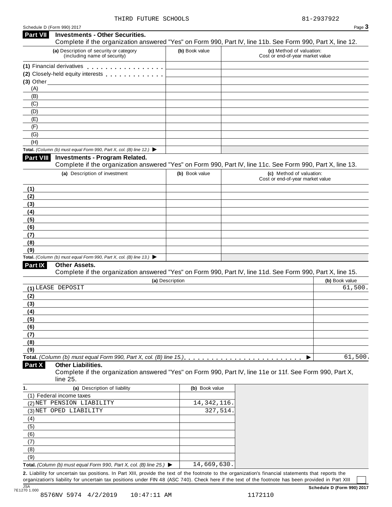|                  | Schedule D (Form 990) 2017                                                                                                    |                 | Page 3                                                                                                                                               |
|------------------|-------------------------------------------------------------------------------------------------------------------------------|-----------------|------------------------------------------------------------------------------------------------------------------------------------------------------|
| Part VII         | <b>Investments - Other Securities.</b>                                                                                        |                 | Complete if the organization answered "Yes" on Form 990, Part IV, line 11b. See Form 990, Part X, line 12.                                           |
|                  | (a) Description of security or category<br>(including name of security)                                                       | (b) Book value  | (c) Method of valuation:<br>Cost or end-of-year market value                                                                                         |
|                  | (1) Financial derivatives                                                                                                     |                 |                                                                                                                                                      |
|                  | (2) Closely-held equity interests                                                                                             |                 |                                                                                                                                                      |
|                  | $(3)$ Other $(3)$                                                                                                             |                 |                                                                                                                                                      |
| (A)              |                                                                                                                               |                 |                                                                                                                                                      |
| (B)              |                                                                                                                               |                 |                                                                                                                                                      |
| (C)              |                                                                                                                               |                 |                                                                                                                                                      |
| (D)              |                                                                                                                               |                 |                                                                                                                                                      |
| (E)              |                                                                                                                               |                 |                                                                                                                                                      |
| (F)              |                                                                                                                               |                 |                                                                                                                                                      |
| (G)              |                                                                                                                               |                 |                                                                                                                                                      |
| (H)              | Total. (Column (b) must equal Form 990, Part X, col. (B) line 12.) $\blacktriangleright$                                      |                 |                                                                                                                                                      |
| <b>Part VIII</b> | <b>Investments - Program Related.</b>                                                                                         |                 |                                                                                                                                                      |
|                  |                                                                                                                               |                 | Complete if the organization answered "Yes" on Form 990, Part IV, line 11c. See Form 990, Part X, line 13.                                           |
|                  | (a) Description of investment                                                                                                 | (b) Book value  | (c) Method of valuation:                                                                                                                             |
|                  |                                                                                                                               |                 | Cost or end-of-year market value                                                                                                                     |
| (1)              |                                                                                                                               |                 |                                                                                                                                                      |
| (2)              |                                                                                                                               |                 |                                                                                                                                                      |
| (3)              |                                                                                                                               |                 |                                                                                                                                                      |
| (4)              |                                                                                                                               |                 |                                                                                                                                                      |
| (5)              |                                                                                                                               |                 |                                                                                                                                                      |
| (6)              |                                                                                                                               |                 |                                                                                                                                                      |
| (7)              |                                                                                                                               |                 |                                                                                                                                                      |
| (8)              |                                                                                                                               |                 |                                                                                                                                                      |
| (9)              |                                                                                                                               |                 |                                                                                                                                                      |
|                  | Total. (Column (b) must equal Form 990, Part X, col. (B) line 13.) $\blacktriangleright$                                      |                 |                                                                                                                                                      |
| <b>Part IX</b>   | <b>Other Assets.</b>                                                                                                          |                 |                                                                                                                                                      |
|                  |                                                                                                                               |                 | Complete if the organization answered "Yes" on Form 990, Part IV, line 11d. See Form 990, Part X, line 15.                                           |
|                  | (1) LEASE DEPOSIT                                                                                                             | (a) Description | (b) Book value<br>61,500.                                                                                                                            |
|                  |                                                                                                                               |                 |                                                                                                                                                      |
| (2)<br>(3)       |                                                                                                                               |                 |                                                                                                                                                      |
|                  |                                                                                                                               |                 |                                                                                                                                                      |
| (4)<br>(5)       |                                                                                                                               |                 |                                                                                                                                                      |
| (6)              |                                                                                                                               |                 |                                                                                                                                                      |
| (7)              |                                                                                                                               |                 |                                                                                                                                                      |
| (8)              |                                                                                                                               |                 |                                                                                                                                                      |
| (9)              |                                                                                                                               |                 |                                                                                                                                                      |
|                  | Total. (Column (b) must equal Form 990, Part X, col. (B) line 15.). $\ldots \ldots \ldots \ldots \ldots \ldots \ldots \ldots$ |                 | 61,500.                                                                                                                                              |
| Part X           | <b>Other Liabilities.</b>                                                                                                     |                 | Complete if the organization answered "Yes" on Form 990, Part IV, line 11e or 11f. See Form 990, Part X,                                             |
|                  | line 25.                                                                                                                      |                 |                                                                                                                                                      |
| 1.               | (a) Description of liability                                                                                                  | (b) Book value  |                                                                                                                                                      |
|                  | (1) Federal income taxes                                                                                                      |                 |                                                                                                                                                      |
|                  | (2) NET PENSION LIABILITY                                                                                                     | 14, 342, 116.   |                                                                                                                                                      |
|                  | (3) NET OPED LIABILITY                                                                                                        | 327,514.        |                                                                                                                                                      |
| (4)              |                                                                                                                               |                 |                                                                                                                                                      |
| (5)              |                                                                                                                               |                 |                                                                                                                                                      |
| (6)              |                                                                                                                               |                 |                                                                                                                                                      |
| (7)<br>(8)       |                                                                                                                               |                 |                                                                                                                                                      |
| (9)              |                                                                                                                               |                 |                                                                                                                                                      |
|                  | Total. (Column (b) must equal Form 990, Part X, col. (B) line 25.) $\blacktriangleright$                                      | 14,669,630.     |                                                                                                                                                      |
|                  |                                                                                                                               |                 | 2. Liability for uncertain tax positions. In Part XIII, provide the text of the footnote to the organization's financial statements that reports the |

organization's liability for uncertain tax positions under FIN 48 (ASC 740). Check here ifthe text of the footnote has been provided in Part XIII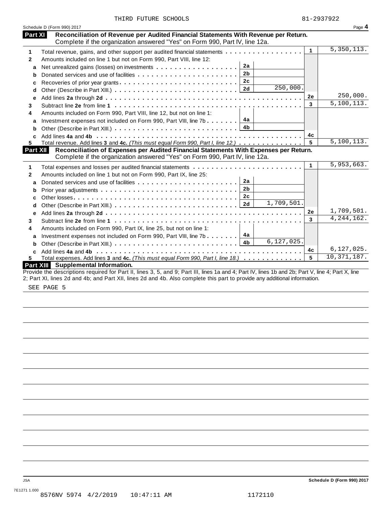|  | THIRD FUTURE SCHOOLS |
|--|----------------------|
|  |                      |

|                 | Schedule D (Form 990) 2017                                                                                                                                           |              | Page 4        |
|-----------------|----------------------------------------------------------------------------------------------------------------------------------------------------------------------|--------------|---------------|
| Part XI         | Reconciliation of Revenue per Audited Financial Statements With Revenue per Return.<br>Complete if the organization answered "Yes" on Form 990, Part IV, line 12a.   |              |               |
| 1               | Total revenue, gains, and other support per audited financial statements                                                                                             | $\mathbf{1}$ | 5,350,113.    |
| $\overline{2}$  | Amounts included on line 1 but not on Form 990, Part VIII, line 12:                                                                                                  |              |               |
| a               | 2a<br>Net unrealized gains (losses) on investments                                                                                                                   |              |               |
| b               | 2 <sub>b</sub>                                                                                                                                                       |              |               |
| c               | 2 <sub>c</sub>                                                                                                                                                       |              |               |
| d               | 250,000.<br>2d                                                                                                                                                       |              |               |
| е               |                                                                                                                                                                      | 2e           | 250,000.      |
| 3               |                                                                                                                                                                      | 3            | 5, 100, 113.  |
| 4               | Amounts included on Form 990, Part VIII, line 12, but not on line 1:                                                                                                 |              |               |
| a               | 4a<br>Investment expenses not included on Form 990, Part VIII, line 7b                                                                                               |              |               |
| b               | 4b                                                                                                                                                                   |              |               |
| C.              |                                                                                                                                                                      | 4c           |               |
| 5.              | Total revenue. Add lines 3 and 4c. (This must equal Form 990, Part I, line 12.)                                                                                      | 5            | 5, 100, 113.  |
| <b>Part XII</b> | Reconciliation of Expenses per Audited Financial Statements With Expenses per Return.<br>Complete if the organization answered "Yes" on Form 990, Part IV, line 12a. |              | 5,953,663.    |
| 1               |                                                                                                                                                                      | 1            |               |
| 2               | Amounts included on line 1 but not on Form 990, Part IX, line 25:                                                                                                    |              |               |
| a               | 2a                                                                                                                                                                   |              |               |
| b               | 2 <sub>b</sub>                                                                                                                                                       |              |               |
| C               | 2 <sub>c</sub>                                                                                                                                                       |              |               |
| d               | 1,709,501.                                                                                                                                                           |              |               |
| е               |                                                                                                                                                                      | 2e           | 1,709,501.    |
| 3.              |                                                                                                                                                                      | 3            | 4, 244, 162.  |
| 4               | Amounts included on Form 990, Part IX, line 25, but not on line 1:                                                                                                   |              |               |
| a               | 4а<br>Investment expenses not included on Form 990, Part VIII, line 7b $\ldots \ldots$                                                                               |              |               |
| b               | 6, 127, 025.<br>4 <sub>b</sub>                                                                                                                                       |              |               |
| c               |                                                                                                                                                                      | 4c           | 6, 127, 025.  |
| 5.              | Total expenses. Add lines 3 and 4c. (This must equal Form 990, Part I, line 18.)                                                                                     | 5            | 10, 371, 187. |
|                 | Part XIII Supplemental Information.                                                                                                                                  |              |               |
|                 | Provide the descriptions required for Part II, lines 3, 5, and 9; Part III, lines 1a and 4; Part IV, lines 1b and 2b; Part V, line 4; Part X, line                   |              |               |

2; Part XI, lines 2d and 4b; and Part XII, lines 2d and 4b. Also complete this part to provide any additional information.

SEE PAGE 5

JSA **Schedule D (Form 990) 2017**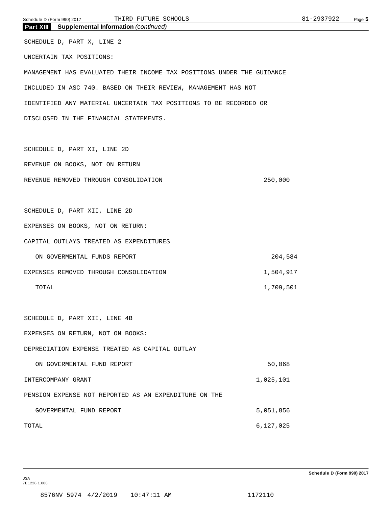| 81-2937922 | Page 5 |
|------------|--------|
|            |        |

| Schedule D (Form 990) 2017 | THIRD FUTURE SCHOOLS                                                   | 81-2937922 | Page 5 |
|----------------------------|------------------------------------------------------------------------|------------|--------|
|                            | <b>Part XIII</b> Supplemental Information (continued)                  |            |        |
|                            | SCHEDULE D, PART X, LINE 2                                             |            |        |
|                            |                                                                        |            |        |
|                            | UNCERTAIN TAX POSITIONS:                                               |            |        |
|                            | MANAGEMENT HAS EVALUATED THEIR INCOME TAX POSITIONS UNDER THE GUIDANCE |            |        |
|                            | INCLUDED IN ASC 740. BASED ON THEIR REVIEW, MANAGEMENT HAS NOT         |            |        |
|                            | IDENTIFIED ANY MATERIAL UNCERTAIN TAX POSITIONS TO BE RECORDED OR      |            |        |
|                            | DISCLOSED IN THE FINANCIAL STATEMENTS.                                 |            |        |
|                            |                                                                        |            |        |
|                            |                                                                        |            |        |
|                            | SCHEDULE D, PART XI, LINE 2D                                           |            |        |
|                            | REVENUE ON BOOKS, NOT ON RETURN                                        |            |        |
|                            | 250,000<br>REVENUE REMOVED THROUGH CONSOLIDATION                       |            |        |
|                            |                                                                        |            |        |
|                            | SCHEDULE D, PART XII, LINE 2D                                          |            |        |
|                            | EXPENSES ON BOOKS, NOT ON RETURN:                                      |            |        |
|                            | CAPITAL OUTLAYS TREATED AS EXPENDITURES                                |            |        |
|                            | 204,584<br>ON GOVERMENTAL FUNDS REPORT                                 |            |        |
|                            | 1,504,917<br>EXPENSES REMOVED THROUGH CONSOLIDATION                    |            |        |
| TOTAL                      | 1,709,501                                                              |            |        |
|                            |                                                                        |            |        |
|                            | SCHEDULE D, PART XII, LINE 4B                                          |            |        |
|                            | EXPENSES ON RETURN, NOT ON BOOKS:                                      |            |        |
|                            |                                                                        |            |        |
|                            | DEPRECIATION EXPENSE TREATED AS CAPITAL OUTLAY                         |            |        |
|                            | 50,068<br>ON GOVERMENTAL FUND REPORT                                   |            |        |
|                            | 1,025,101<br>INTERCOMPANY GRANT                                        |            |        |
|                            | PENSION EXPENSE NOT REPORTED AS AN EXPENDITURE ON THE                  |            |        |
|                            | 5,051,856<br>GOVERMENTAL FUND REPORT                                   |            |        |
| $_{\tt TOTAL}$             | 6,127,025                                                              |            |        |
|                            |                                                                        |            |        |

JSA 7E1226 1.000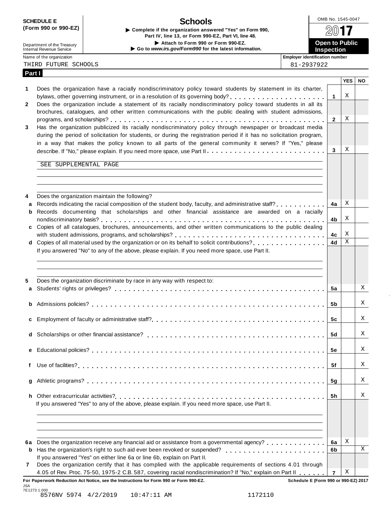**Part I**

## **Schools**

| <b>UVIILDULL L</b><br>(Form 990 or 990-EZ) | <b>JUNUUS</b><br>Complete if the organization answered "Yes" on Form 990,<br>Part IV, line 13, or Form 990-EZ, Part VI, line 48. | 2017                  |  |
|--------------------------------------------|----------------------------------------------------------------------------------------------------------------------------------|-----------------------|--|
| Department of the Treasury                 | Attach to Form 990 or Form 990-EZ.                                                                                               | <b>Open to Public</b> |  |
| Internal Revenue Service                   | Go to www.irs.gov/Form990 for the latest information.                                                                            | <b>Inspection</b>     |  |



Name of the organization **intervalse of the organization intervalse of the organization number intervalse of the organization intervalse of the organization intervalse of the organization intervalse of the organi** 

THIRD FUTURE SCHOOLS 81-2937922

|    |                                                                                                                      |                | <b>YES</b> | <b>NO</b> |
|----|----------------------------------------------------------------------------------------------------------------------|----------------|------------|-----------|
| 1  | Does the organization have a racially nondiscriminatory policy toward students by statement in its charter,          |                |            |           |
|    | bylaws, other governing instrument, or in a resolution of its governing body?                                        | $\mathbf{1}$   | Χ          |           |
|    | Does the organization include a statement of its racially nondiscriminatory policy toward students in all its        |                |            |           |
|    | brochures, catalogues, and other written communications with the public dealing with student admissions,             |                |            |           |
|    |                                                                                                                      | $\mathbf{2}$   | Χ          |           |
|    | Has the organization publicized its racially nondiscriminatory policy through newspaper or broadcast media           |                |            |           |
|    | during the period of solicitation for students, or during the registration period if it has no solicitation program, |                |            |           |
|    | in a way that makes the policy known to all parts of the general community it serves? If "Yes," please               |                |            |           |
|    |                                                                                                                      | 3              | Χ          |           |
|    | SEE SUPPLEMENTAL PAGE                                                                                                |                |            |           |
|    |                                                                                                                      |                |            |           |
|    |                                                                                                                      |                |            |           |
|    | Does the organization maintain the following?                                                                        |                | Χ          |           |
|    | Records indicating the racial composition of the student body, faculty, and administrative staff?                    | 4a             |            |           |
| b  | Records documenting that scholarships and other financial assistance are awarded on a racially                       |                | Χ          |           |
|    |                                                                                                                      | 4b             |            |           |
|    | c Copies of all catalogues, brochures, announcements, and other written communications to the public dealing         |                |            |           |
|    |                                                                                                                      | 4с             | Χ<br>X     |           |
|    |                                                                                                                      | 4 <sub>d</sub> |            |           |
|    | If you answered "No" to any of the above, please explain. If you need more space, use Part II.                       |                |            |           |
|    |                                                                                                                      |                |            |           |
|    |                                                                                                                      |                |            |           |
|    |                                                                                                                      |                |            |           |
|    | Does the organization discriminate by race in any way with respect to:                                               |                |            | Χ         |
| a  |                                                                                                                      | 5a             |            |           |
|    |                                                                                                                      |                |            | Χ         |
|    |                                                                                                                      | 5b             |            |           |
| c  |                                                                                                                      | 5с             |            | Χ         |
|    |                                                                                                                      | 5d             |            | Χ         |
|    |                                                                                                                      |                |            |           |
|    |                                                                                                                      | 5e             |            | Χ         |
|    |                                                                                                                      |                |            |           |
|    |                                                                                                                      | 5f             |            | Χ         |
|    |                                                                                                                      |                |            |           |
| g  |                                                                                                                      | 5g             |            | Χ         |
|    |                                                                                                                      |                |            |           |
|    |                                                                                                                      | 5h             |            | Χ         |
|    | If you answered "Yes" to any of the above, please explain. If you need more space, use Part II.                      |                |            |           |
|    |                                                                                                                      |                |            |           |
|    |                                                                                                                      |                |            |           |
|    |                                                                                                                      |                |            |           |
|    |                                                                                                                      |                |            |           |
| 6а | Does the organization receive any financial aid or assistance from a governmental agency?                            | 6a             | Χ          |           |
|    | <b>b</b> Has the organization's right to such aid ever been revoked or suspended?                                    | 6b             |            | X         |
|    | If you answered "Yes" on either line 6a or line 6b, explain on Part II.                                              |                |            |           |
|    | Does the organization certify that it has complied with the applicable requirements of sections 4.01 through         |                |            |           |
|    | 4.05 of Rev. Proc. 75-50, 1975-2 C.B. 587, covering racial nondiscrimination? If "No," explain on Part II            |                | Χ          |           |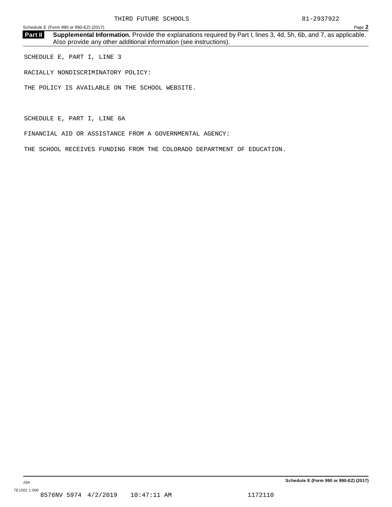**Supplemental Information.** Provide the explanations required by Part I, lines 3, 4d, 5h, 6b, and 7, as applicable. **Part II** Supplemental Information. Provide the explanations required Maso provide any other additional information (see instructions).

SCHEDULE E, PART I, LINE 3

RACIALLY NONDISCRIMINATORY POLICY:

THE POLICY IS AVAILABLE ON THE SCHOOL WEBSITE.

SCHEDULE E, PART I, LINE 6A

FINANCIAL AID OR ASSISTANCE FROM A GOVERNMENTAL AGENCY:

THE SCHOOL RECEIVES FUNDING FROM THE COLORADO DEPARTMENT OF EDUCATION.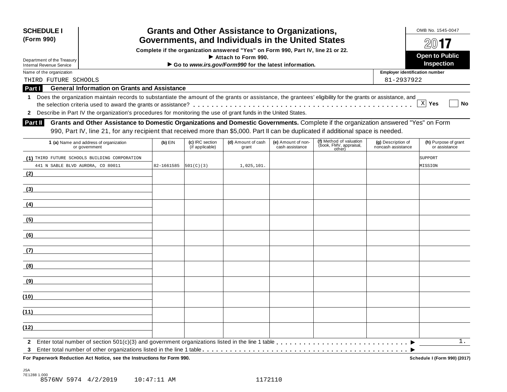| <b>SCHEDULE I</b><br>(Form 990)                                                                                                                                                                                                                                                      |            |                                    | <b>Grants and Other Assistance to Organizations,</b><br>Governments, and Individuals in the United States |                                       |                                                             |                                          | OMB No. 1545-0047                     |
|--------------------------------------------------------------------------------------------------------------------------------------------------------------------------------------------------------------------------------------------------------------------------------------|------------|------------------------------------|-----------------------------------------------------------------------------------------------------------|---------------------------------------|-------------------------------------------------------------|------------------------------------------|---------------------------------------|
|                                                                                                                                                                                                                                                                                      |            |                                    | Complete if the organization answered "Yes" on Form 990, Part IV, line 21 or 22.                          |                                       |                                                             |                                          | $201$ <b>7</b>                        |
| Department of the Treasury                                                                                                                                                                                                                                                           |            |                                    | Attach to Form 990.                                                                                       |                                       |                                                             |                                          | <b>Open to Public</b>                 |
| <b>Internal Revenue Service</b>                                                                                                                                                                                                                                                      |            |                                    | Go to www.irs.gov/Form990 for the latest information.                                                     |                                       |                                                             |                                          | Inspection                            |
| Name of the organization                                                                                                                                                                                                                                                             |            |                                    |                                                                                                           |                                       |                                                             | <b>Employer identification number</b>    |                                       |
| THIRD FUTURE SCHOOLS<br><b>General Information on Grants and Assistance</b>                                                                                                                                                                                                          |            |                                    |                                                                                                           |                                       |                                                             | 81-2937922                               |                                       |
| Part I                                                                                                                                                                                                                                                                               |            |                                    |                                                                                                           |                                       |                                                             |                                          |                                       |
| Does the organization maintain records to substantiate the amount of the grants or assistance, the grantees' eligibility for the grants or assistance, and<br>1.                                                                                                                     |            |                                    |                                                                                                           |                                       |                                                             |                                          | $X$ Yes<br>No                         |
| Describe in Part IV the organization's procedures for monitoring the use of grant funds in the United States.<br>2                                                                                                                                                                   |            |                                    |                                                                                                           |                                       |                                                             |                                          |                                       |
| Grants and Other Assistance to Domestic Organizations and Domestic Governments. Complete if the organization answered "Yes" on Form<br>Part II<br>990, Part IV, line 21, for any recipient that received more than \$5,000. Part II can be duplicated if additional space is needed. |            |                                    |                                                                                                           |                                       |                                                             |                                          |                                       |
| 1 (a) Name and address of organization<br>or government                                                                                                                                                                                                                              | $(b)$ EIN  | (c) IRC section<br>(if applicable) | (d) Amount of cash<br>grant                                                                               | (e) Amount of non-<br>cash assistance | (f) Method of valuation<br>(book, FMV, appraisal,<br>other) | (g) Description of<br>noncash assistance | (h) Purpose of grant<br>or assistance |
| (1) THIRD FUTURE SCHOOLS BUILDING CORPORATION                                                                                                                                                                                                                                        |            |                                    |                                                                                                           |                                       |                                                             |                                          | SUPPORT                               |
| 441 N SABLE BLVD AURORA, CO 80011                                                                                                                                                                                                                                                    | 82-1661585 | 501(C)(3)                          | 1,025,101.                                                                                                |                                       |                                                             |                                          | MISSION                               |
| (2)                                                                                                                                                                                                                                                                                  |            |                                    |                                                                                                           |                                       |                                                             |                                          |                                       |
| (3)                                                                                                                                                                                                                                                                                  |            |                                    |                                                                                                           |                                       |                                                             |                                          |                                       |
| (4)                                                                                                                                                                                                                                                                                  |            |                                    |                                                                                                           |                                       |                                                             |                                          |                                       |
| (5)                                                                                                                                                                                                                                                                                  |            |                                    |                                                                                                           |                                       |                                                             |                                          |                                       |
| (6)                                                                                                                                                                                                                                                                                  |            |                                    |                                                                                                           |                                       |                                                             |                                          |                                       |
| (7)                                                                                                                                                                                                                                                                                  |            |                                    |                                                                                                           |                                       |                                                             |                                          |                                       |
| (8)                                                                                                                                                                                                                                                                                  |            |                                    |                                                                                                           |                                       |                                                             |                                          |                                       |
| (9)                                                                                                                                                                                                                                                                                  |            |                                    |                                                                                                           |                                       |                                                             |                                          |                                       |
| (10)                                                                                                                                                                                                                                                                                 |            |                                    |                                                                                                           |                                       |                                                             |                                          |                                       |
| (11)                                                                                                                                                                                                                                                                                 |            |                                    |                                                                                                           |                                       |                                                             |                                          |                                       |
| (12)                                                                                                                                                                                                                                                                                 |            |                                    |                                                                                                           |                                       |                                                             |                                          |                                       |
| $\mathbf{2}$<br>3<br>For Paperwork Reduction Act Notice, see the Instructions for Form 990.                                                                                                                                                                                          |            |                                    |                                                                                                           |                                       |                                                             |                                          | 1.<br>Schedule I (Form 990) (2017)    |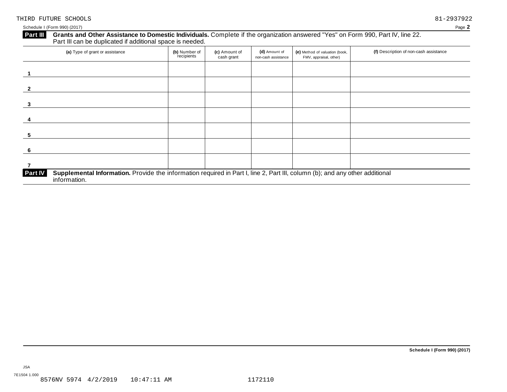# **Part III** Grants and Other Assistance to Domestic Individuals. Complete if the organization answered "Yes" on Form 990, Part IV, line 22.<br>Part III can be duplicated if additional space is needed.

| (a) Type of grant or assistance                                                                                                                                | (b) Number of<br>recipients | (c) Amount of<br>cash grant | (d) Amount of<br>non-cash assistance | (e) Method of valuation (book,<br>FMV, appraisal, other) | (f) Description of non-cash assistance |
|----------------------------------------------------------------------------------------------------------------------------------------------------------------|-----------------------------|-----------------------------|--------------------------------------|----------------------------------------------------------|----------------------------------------|
|                                                                                                                                                                |                             |                             |                                      |                                                          |                                        |
|                                                                                                                                                                |                             |                             |                                      |                                                          |                                        |
|                                                                                                                                                                |                             |                             |                                      |                                                          |                                        |
|                                                                                                                                                                |                             |                             |                                      |                                                          |                                        |
| 5                                                                                                                                                              |                             |                             |                                      |                                                          |                                        |
|                                                                                                                                                                |                             |                             |                                      |                                                          |                                        |
|                                                                                                                                                                |                             |                             |                                      |                                                          |                                        |
| Supplemental Information. Provide the information required in Part I, line 2, Part III, column (b); and any other additional<br><b>Part IV</b><br>information. |                             |                             |                                      |                                                          |                                        |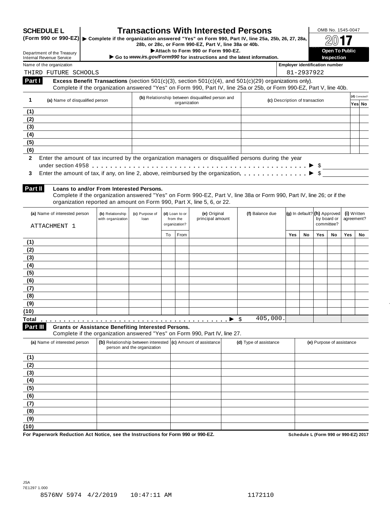| <b>SCHEDULE L</b><br>(Form 990 or 990-EZ) > Complete if the organization answered "Yes" on Form 990, Part IV, line 25a, 25b, 26, 27, 28a, |                                                                                                                                              |                                                                  |    |                            | <b>Transactions With Interested Persons</b>                                                                  |         |                        |                                       |            |                              | OMB No. 1545-0047     |            |                |
|-------------------------------------------------------------------------------------------------------------------------------------------|----------------------------------------------------------------------------------------------------------------------------------------------|------------------------------------------------------------------|----|----------------------------|--------------------------------------------------------------------------------------------------------------|---------|------------------------|---------------------------------------|------------|------------------------------|-----------------------|------------|----------------|
|                                                                                                                                           |                                                                                                                                              |                                                                  |    |                            | 28b, or 28c, or Form 990-EZ, Part V, line 38a or 40b.                                                        |         |                        |                                       |            |                              |                       |            |                |
| Department of the Treasury                                                                                                                |                                                                                                                                              |                                                                  |    |                            | Attach to Form 990 or Form 990-EZ.<br>Go to www.irs.gov/Form990 for instructions and the latest information. |         |                        |                                       |            |                              | <b>Open To Public</b> |            |                |
| <b>Internal Revenue Service</b><br>Name of the organization                                                                               |                                                                                                                                              |                                                                  |    |                            |                                                                                                              |         |                        | <b>Employer identification number</b> |            |                              | <b>Inspection</b>     |            |                |
| THIRD FUTURE SCHOOLS                                                                                                                      |                                                                                                                                              |                                                                  |    |                            |                                                                                                              |         |                        |                                       | 81-2937922 |                              |                       |            |                |
| Part I                                                                                                                                    | Excess Benefit Transactions (section $501(c)(3)$ , section $501(c)(4)$ , and $501(c)(29)$ organizations only).                               |                                                                  |    |                            |                                                                                                              |         |                        |                                       |            |                              |                       |            |                |
|                                                                                                                                           | Complete if the organization answered "Yes" on Form 990, Part IV, line 25a or 25b, or Form 990-EZ, Part V, line 40b.                         |                                                                  |    |                            |                                                                                                              |         |                        |                                       |            |                              |                       |            |                |
|                                                                                                                                           |                                                                                                                                              |                                                                  |    |                            | (b) Relationship between disqualified person and                                                             |         |                        |                                       |            |                              |                       |            | (d) Corrected? |
| 1<br>(a) Name of disqualified person                                                                                                      |                                                                                                                                              |                                                                  |    | organization               |                                                                                                              |         |                        | (c) Description of transaction        |            |                              |                       |            | Yesİ No        |
| (1)                                                                                                                                       |                                                                                                                                              |                                                                  |    |                            |                                                                                                              |         |                        |                                       |            |                              |                       |            |                |
| (2)                                                                                                                                       |                                                                                                                                              |                                                                  |    |                            |                                                                                                              |         |                        |                                       |            |                              |                       |            |                |
| (3)                                                                                                                                       |                                                                                                                                              |                                                                  |    |                            |                                                                                                              |         |                        |                                       |            |                              |                       |            |                |
| (4)<br>(5)                                                                                                                                |                                                                                                                                              |                                                                  |    |                            |                                                                                                              |         |                        |                                       |            |                              |                       |            |                |
| (6)                                                                                                                                       |                                                                                                                                              |                                                                  |    |                            |                                                                                                              |         |                        |                                       |            |                              |                       |            |                |
| $\mathbf{2}$                                                                                                                              | Enter the amount of tax incurred by the organization managers or disqualified persons during the year                                        |                                                                  |    |                            |                                                                                                              |         |                        |                                       |            |                              |                       |            |                |
|                                                                                                                                           |                                                                                                                                              |                                                                  |    |                            |                                                                                                              |         |                        |                                       |            |                              |                       |            |                |
| 3                                                                                                                                         | Enter the amount of tax, if any, on line 2, above, reimbursed by the organization. $\ldots$ , $\ldots$ , $\ldots$ , $\blacktriangleright$ \$ |                                                                  |    |                            |                                                                                                              |         |                        |                                       |            |                              |                       |            |                |
|                                                                                                                                           |                                                                                                                                              |                                                                  |    |                            |                                                                                                              |         |                        |                                       |            |                              |                       |            |                |
| Part II                                                                                                                                   | Loans to and/or From Interested Persons.                                                                                                     |                                                                  |    |                            |                                                                                                              |         |                        |                                       |            |                              |                       |            |                |
|                                                                                                                                           | Complete if the organization answered "Yes" on Form 990-EZ, Part V, line 38a or Form 990, Part IV, line 26; or if the                        |                                                                  |    |                            |                                                                                                              |         |                        |                                       |            |                              |                       |            |                |
|                                                                                                                                           | organization reported an amount on Form 990, Part X, line 5, 6, or 22.                                                                       |                                                                  |    |                            |                                                                                                              |         |                        |                                       |            |                              |                       |            |                |
|                                                                                                                                           |                                                                                                                                              |                                                                  |    |                            |                                                                                                              |         |                        |                                       |            |                              |                       |            |                |
| (a) Name of interested person                                                                                                             | (b) Relationship<br>with organization                                                                                                        | (c) Purpose of<br>loan                                           |    | (d) Loan to or<br>from the | (e) Original<br>principal amount                                                                             |         | (f) Balance due        |                                       |            | (g) In default? (h) Approved | by board or           | agreement? | (i) Written    |
| ATTACHMENT 1                                                                                                                              |                                                                                                                                              |                                                                  |    | organization?              |                                                                                                              |         |                        |                                       |            |                              | committee?            |            |                |
|                                                                                                                                           |                                                                                                                                              |                                                                  | To | From                       |                                                                                                              |         |                        | <b>Yes</b>                            | No         | Yes                          | No                    | Yes        | No             |
| (1)                                                                                                                                       |                                                                                                                                              |                                                                  |    |                            |                                                                                                              |         |                        |                                       |            |                              |                       |            |                |
| (2)                                                                                                                                       |                                                                                                                                              |                                                                  |    |                            |                                                                                                              |         |                        |                                       |            |                              |                       |            |                |
| (3)                                                                                                                                       |                                                                                                                                              |                                                                  |    |                            |                                                                                                              |         |                        |                                       |            |                              |                       |            |                |
| (4)                                                                                                                                       |                                                                                                                                              |                                                                  |    |                            |                                                                                                              |         |                        |                                       |            |                              |                       |            |                |
| (5)                                                                                                                                       |                                                                                                                                              |                                                                  |    |                            |                                                                                                              |         |                        |                                       |            |                              |                       |            |                |
| (6)                                                                                                                                       |                                                                                                                                              |                                                                  |    |                            |                                                                                                              |         |                        |                                       |            |                              |                       |            |                |
| (7)                                                                                                                                       |                                                                                                                                              |                                                                  |    |                            |                                                                                                              |         |                        |                                       |            |                              |                       |            |                |
| (8)<br>(9)                                                                                                                                |                                                                                                                                              |                                                                  |    |                            |                                                                                                              |         |                        |                                       |            |                              |                       |            |                |
| (10)                                                                                                                                      |                                                                                                                                              |                                                                  |    |                            |                                                                                                              |         |                        |                                       |            |                              |                       |            |                |
| Total                                                                                                                                     |                                                                                                                                              |                                                                  |    |                            |                                                                                                              | \$<br>▸ | 405,000                |                                       |            |                              |                       |            |                |
| Part III                                                                                                                                  | <b>Grants or Assistance Benefiting Interested Persons.</b>                                                                                   |                                                                  |    |                            |                                                                                                              |         |                        |                                       |            |                              |                       |            |                |
|                                                                                                                                           | Complete if the organization answered "Yes" on Form 990, Part IV, line 27.                                                                   |                                                                  |    |                            |                                                                                                              |         |                        |                                       |            |                              |                       |            |                |
| (a) Name of interested person                                                                                                             |                                                                                                                                              | (b) Relationship between interested $ $ (c) Amount of assistance |    |                            |                                                                                                              |         | (d) Type of assistance |                                       |            | (e) Purpose of assistance    |                       |            |                |
|                                                                                                                                           |                                                                                                                                              | person and the organization                                      |    |                            |                                                                                                              |         |                        |                                       |            |                              |                       |            |                |
| (1)                                                                                                                                       |                                                                                                                                              |                                                                  |    |                            |                                                                                                              |         |                        |                                       |            |                              |                       |            |                |
| (2)                                                                                                                                       |                                                                                                                                              |                                                                  |    |                            |                                                                                                              |         |                        |                                       |            |                              |                       |            |                |
| (3)                                                                                                                                       |                                                                                                                                              |                                                                  |    |                            |                                                                                                              |         |                        |                                       |            |                              |                       |            |                |
| (4)                                                                                                                                       |                                                                                                                                              |                                                                  |    |                            |                                                                                                              |         |                        |                                       |            |                              |                       |            |                |
| (5)                                                                                                                                       |                                                                                                                                              |                                                                  |    |                            |                                                                                                              |         |                        |                                       |            |                              |                       |            |                |
| (6)<br>(7)                                                                                                                                |                                                                                                                                              |                                                                  |    |                            |                                                                                                              |         |                        |                                       |            |                              |                       |            |                |
|                                                                                                                                           |                                                                                                                                              |                                                                  |    |                            |                                                                                                              |         |                        |                                       |            |                              |                       |            |                |
|                                                                                                                                           |                                                                                                                                              |                                                                  |    |                            |                                                                                                              |         |                        |                                       |            |                              |                       |            |                |
|                                                                                                                                           |                                                                                                                                              |                                                                  |    |                            |                                                                                                              |         |                        |                                       |            |                              |                       |            |                |
| (8)<br>(9)<br>(10)                                                                                                                        |                                                                                                                                              |                                                                  |    |                            |                                                                                                              |         |                        |                                       |            |                              |                       |            |                |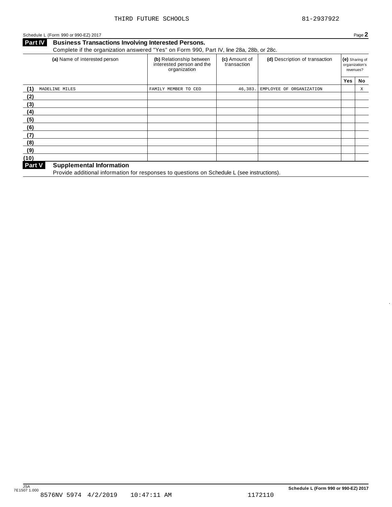Schedule <sup>L</sup> (Form <sup>990</sup> or 990-EZ) <sup>2017</sup> Page **2**

**Business Transactions Involving Interested Persons.**

**Part IV** Business Transactions Involving Interested Persons.<br>Complete if the organization answered "Yes" on Form 990, Part IV, line 28a, 28b, or 28c.

| (a) Name of interested person             | (b) Relationship between<br>interested person and the<br>organization | (c) Amount of<br>transaction | (d) Description of transaction |            | (e) Sharing of<br>organization's<br>revenues? |  |
|-------------------------------------------|-----------------------------------------------------------------------|------------------------------|--------------------------------|------------|-----------------------------------------------|--|
|                                           |                                                                       |                              |                                | <b>Yes</b> | No                                            |  |
| (1)<br>MADELINE MILES                     | FAMILY MEMBER TO CEO                                                  | 46,383.                      | EMPLOYEE OF ORGANIZATION       |            | X                                             |  |
| (2)                                       |                                                                       |                              |                                |            |                                               |  |
| (3)                                       |                                                                       |                              |                                |            |                                               |  |
| (4)                                       |                                                                       |                              |                                |            |                                               |  |
| (5)                                       |                                                                       |                              |                                |            |                                               |  |
| (6)                                       |                                                                       |                              |                                |            |                                               |  |
| (7)                                       |                                                                       |                              |                                |            |                                               |  |
| (8)                                       |                                                                       |                              |                                |            |                                               |  |
| (9)                                       |                                                                       |                              |                                |            |                                               |  |
| (10)                                      |                                                                       |                              |                                |            |                                               |  |
| Part V<br><b>Supplemental Information</b> |                                                                       |                              |                                |            |                                               |  |

**Part V** Supplemental information<br>Provide additional information for responses to questions on Schedule L (see instructions).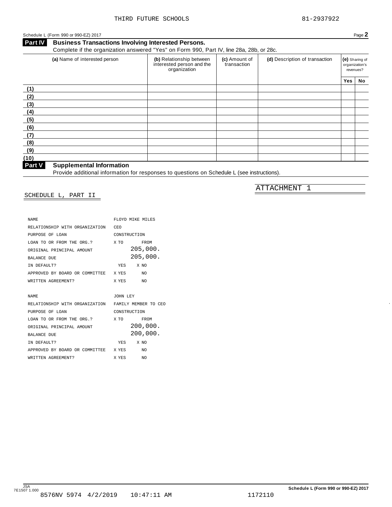<span id="page-36-0"></span>Schedule <sup>L</sup> (Form <sup>990</sup> or 990-EZ) <sup>2017</sup> Page **2**

**Business Transactions Involving Interested Persons.** Complete if the organization answered "Yes" on Form 990, Part IV, line 28a, 28b, or 28c.

| (a) Name of interested person | (b) Relationship between<br>interested person and the<br>organization | (c) Amount of<br>transaction | (d) Description of transaction |            | (e) Sharing of<br>organization's<br>revenues? |  |
|-------------------------------|-----------------------------------------------------------------------|------------------------------|--------------------------------|------------|-----------------------------------------------|--|
|                               |                                                                       |                              |                                | <b>Yes</b> | No                                            |  |
| (1)                           |                                                                       |                              |                                |            |                                               |  |
| (2)                           |                                                                       |                              |                                |            |                                               |  |
| (3)                           |                                                                       |                              |                                |            |                                               |  |
| (4)                           |                                                                       |                              |                                |            |                                               |  |
| (5)                           |                                                                       |                              |                                |            |                                               |  |
| (6)                           |                                                                       |                              |                                |            |                                               |  |
| (7)                           |                                                                       |                              |                                |            |                                               |  |
| (8)                           |                                                                       |                              |                                |            |                                               |  |
| (9)                           |                                                                       |                              |                                |            |                                               |  |
| (10)                          |                                                                       |                              |                                |            |                                               |  |

**Supplemental Information**

Provide additional information for responses to questions on Schedule L (see instructions).

#### SCHEDULE L, PART II

| <b>NAME</b>                                         |          | FLOYD MIKE MILES |
|-----------------------------------------------------|----------|------------------|
| RELATIONSHIP WITH ORGANIZATION CEO                  |          |                  |
| PURPOSE OF LOAN                                     |          | CONSTRUCTION     |
| LOAN TO OR FROM THE ORG.?                           |          | X TO FROM        |
| ORIGINAL PRINCIPAL AMOUNT                           |          | 205,000.         |
| <b>BALANCE DUE</b>                                  |          | 205,000.         |
| IN DEFAULT?                                         |          | YES X NO         |
| APPROVED BY BOARD OR COMMITTEE X YES                |          | NO.              |
| WRITTEN AGREEMENT?                                  | X YES    | NO.              |
|                                                     |          |                  |
| <b>NAME</b>                                         | JOHN LEY |                  |
| RELATIONSHIP WITH ORGANIZATION FAMILY MEMBER TO CEO |          |                  |
| PURPOSE OF LOAN                                     |          | CONSTRUCTION     |
| LOAN TO OR FROM THE ORG.?                           |          | X TO FROM        |
| ORIGINAL PRINCIPAL AMOUNT                           |          | 200,000.         |
| <b>BALANCE DUE</b>                                  |          | 200,000.         |
| IN DEFAULT?                                         |          | YES X NO         |
| APPROVED BY BOARD OR COMMITTEE X YES                |          | NO.              |
| WRITTEN AGREEMENT?                                  | X YES    | NO.              |

#### ATTACHMENT 1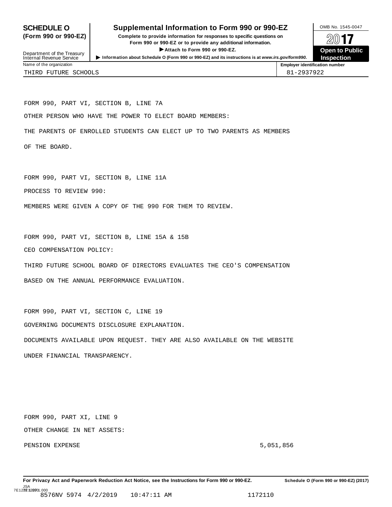## **SCHEDULE O** Supplemental Information to Form 990 or 990-EZ DMB No. 1545-0047

**(Form 990 or 990-EZ) Complete to provide information for responses to specific questions on** plete to provide information for responses to specific questions on  $\Box$   $\Box$   $\Box$ **EXECTED TO PUBLIC 2012 CONSIDER**<br> **EXECTED CONSIDER**<br> **EXECUTED CONSIDERATION CONSIDERATION CONSIDERATION CONSIDERATION CONSIDERATION CONSIDERATION CONSIDERATION CONSIDERATION CONSIDERATION CONS** Department of the Treasury <br>Depen to Public<br>Name of the organization<br>Name of the organization<br>Name of the organization<br>Name of the organization



Department of the Treasury<br>Internal Revenue Service

gov/form990. **Inspection**<br>**Employer identification number** 

FORM 990, PART VI, SECTION B, LINE 7A

OTHER PERSON WHO HAVE THE POWER TO ELECT BOARD MEMBERS:

THE PARENTS OF ENROLLED STUDENTS CAN ELECT UP TO TWO PARENTS AS MEMBERS

OF THE BOARD.

FORM 990, PART VI, SECTION B, LINE 11A

PROCESS TO REVIEW 990:

MEMBERS WERE GIVEN A COPY OF THE 990 FOR THEM TO REVIEW.

FORM 990, PART VI, SECTION B, LINE 15A & 15B

CEO COMPENSATION POLICY:

THIRD FUTURE SCHOOL BOARD OF DIRECTORS EVALUATES THE CEO'S COMPENSATION

BASED ON THE ANNUAL PERFORMANCE EVALUATION.

FORM 990, PART VI, SECTION C, LINE 19 GOVERNING DOCUMENTS DISCLOSURE EXPLANATION. DOCUMENTS AVAILABLE UPON REQUEST. THEY ARE ALSO AVAILABLE ON THE WEBSITE UNDER FINANCIAL TRANSPARENCY.

FORM 990, PART XI, LINE 9 OTHER CHANGE IN NET ASSETS:

PENSION EXPENSE 5,051,856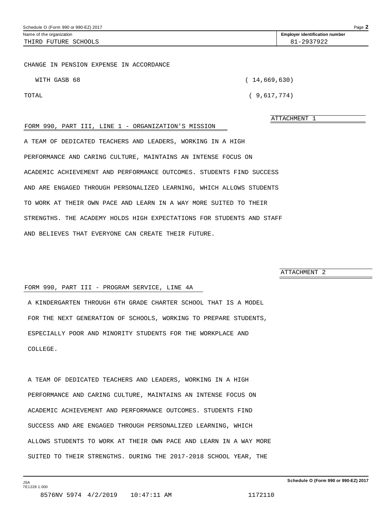<span id="page-38-0"></span>CHANGE IN PENSION EXPENSE IN ACCORDANCE

WITH GASB 68 ( 14,669,630)

 $( 9, 617, 774)$ 

#### FORM 990, PART III, LINE 1 - ORGANIZATION'S MISSION

A TEAM OF DEDICATED TEACHERS AND LEADERS, WORKING IN A HIGH PERFORMANCE AND CARING CULTURE, MAINTAINS AN INTENSE FOCUS ON ACADEMIC ACHIEVEMENT AND PERFORMANCE OUTCOMES. STUDENTS FIND SUCCESS AND ARE ENGAGED THROUGH PERSONALIZED LEARNING, WHICH ALLOWS STUDENTS TO WORK AT THEIR OWN PACE AND LEARN IN A WAY MORE SUITED TO THEIR STRENGTHS. THE ACADEMY HOLDS HIGH EXPECTATIONS FOR STUDENTS AND STAFF AND BELIEVES THAT EVERYONE CAN CREATE THEIR FUTURE.

ATTACHMENT 2

#### FORM 990, PART III - PROGRAM SERVICE, LINE 4A

A KINDERGARTEN THROUGH 6TH GRADE CHARTER SCHOOL THAT IS A MODEL FOR THE NEXT GENERATION OF SCHOOLS, WORKING TO PREPARE STUDENTS, ESPECIALLY POOR AND MINORITY STUDENTS FOR THE WORKPLACE AND COLLEGE.

A TEAM OF DEDICATED TEACHERS AND LEADERS, WORKING IN A HIGH PERFORMANCE AND CARING CULTURE, MAINTAINS AN INTENSE FOCUS ON ACADEMIC ACHIEVEMENT AND PERFORMANCE OUTCOMES. STUDENTS FIND SUCCESS AND ARE ENGAGED THROUGH PERSONALIZED LEARNING, WHICH ALLOWS STUDENTS TO WORK AT THEIR OWN PACE AND LEARN IN A WAY MORE SUITED TO THEIR STRENGTHS. DURING THE 2017-2018 SCHOOL YEAR, THE

ATTACHMENT 1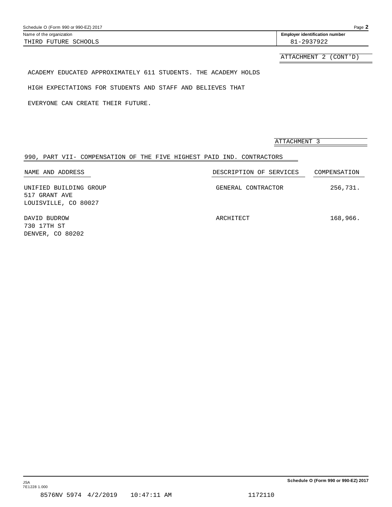<span id="page-39-0"></span>

| Schedule O (Form 990 or 990-EZ) 2017<br>Page $\blacktriangle$ |                                       |  |  |  |
|---------------------------------------------------------------|---------------------------------------|--|--|--|
| Name of the organization                                      | <b>Employer identification number</b> |  |  |  |
| SCHOOLS<br>THIRD FUTURE                                       | 81-2937922                            |  |  |  |

ATTACHMENT 2 (CONT'D)

#### ACADEMY EDUCATED APPROXIMATELY 611 STUDENTS. THE ACADEMY HOLDS

HIGH EXPECTATIONS FOR STUDENTS AND STAFF AND BELIEVES THAT

EVERYONE CAN CREATE THEIR FUTURE.

ATTACHMENT 3

## 990, PART VII- COMPENSATION OF THE FIVE HIGHEST PAID IND. CONTRACTORS

| NAME AND ADDRESS                                | DESCRIPTION OF SERVICES | COMPENSATION |
|-------------------------------------------------|-------------------------|--------------|
| UNIFIED BUILDING GROUP<br>517 GRANT AVE         | GENERAL CONTRACTOR      | 256,731.     |
| LOUISVILLE, CO 80027                            |                         |              |
| DAVID BUDROW<br>730 17TH ST<br>DENVER, CO 80202 | ARCHITECT               | 168,966.     |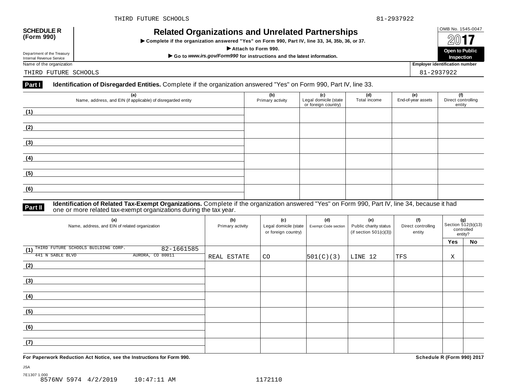## OMB No. 1545-0047 **SCHEDULE R (Form 990) Related Organizations and Unrelated Partnerships**

 $\triangleright$  Complete if the organization answered "Yes" on Form 990, Part IV, line 33, 34, 35b, 36, or 37.



Department of the Treasury<br>Internal Revenue Service

THIRD FUTURE SCHOOLS 81-2937922

#### **Part I Identification of Disregarded Entities.** Complete if the organization answered "Yes" on Form 990, Part IV, line 33.

| (a)<br>Name, address, and EIN (if applicable) of disregarded entity | (b)<br>Primary activity | (c)<br>Legal domicile (state<br>or foreign country) | (d)<br>Total income | (e)<br>End-of-year assets | (f)<br>Direct controlling<br>entity |
|---------------------------------------------------------------------|-------------------------|-----------------------------------------------------|---------------------|---------------------------|-------------------------------------|
| (1)                                                                 |                         |                                                     |                     |                           |                                     |
| (2)                                                                 |                         |                                                     |                     |                           |                                     |
| (3)                                                                 |                         |                                                     |                     |                           |                                     |
| (4)                                                                 |                         |                                                     |                     |                           |                                     |
| (5)                                                                 |                         |                                                     |                     |                           |                                     |
| (6)                                                                 |                         |                                                     |                     |                           |                                     |

**Identification of Related Tax-Exempt Organizations.** Complete if the organization answered "Yes" on Form 990, Part IV, line 34, because it had **Part II** dentitivation of Neiated Tax-Exempt organizations during the tax year.

| (a)<br>Name, address, and EIN of related organization    | (b)<br>Primary activity | (c)<br>Legal domicile (state<br>or foreign country) | (d)<br>Exempt Code section | (e)<br>Public charity status<br>(if section $501(c)(3)$ ) | (f)<br>Direct controlling<br>entity | (g)<br>Section 512(b)(13)<br>controlled<br>entity? |    |
|----------------------------------------------------------|-------------------------|-----------------------------------------------------|----------------------------|-----------------------------------------------------------|-------------------------------------|----------------------------------------------------|----|
|                                                          |                         |                                                     |                            |                                                           |                                     | Yes                                                | No |
| THIRD FUTURE SCHOOLS BUILDING CORP.<br>82-1661585<br>(1) |                         |                                                     |                            |                                                           |                                     |                                                    |    |
| 441 N SABLE BLVD<br>AURORA, CO 80011                     | REAL ESTATE             | <b>CO</b>                                           | 501(C)(3)                  | LINE 12                                                   | TFS                                 | Χ                                                  |    |
| (2)                                                      |                         |                                                     |                            |                                                           |                                     |                                                    |    |
|                                                          |                         |                                                     |                            |                                                           |                                     |                                                    |    |
| (3)                                                      |                         |                                                     |                            |                                                           |                                     |                                                    |    |
|                                                          |                         |                                                     |                            |                                                           |                                     |                                                    |    |
| (4)                                                      |                         |                                                     |                            |                                                           |                                     |                                                    |    |
|                                                          |                         |                                                     |                            |                                                           |                                     |                                                    |    |
| (5)                                                      |                         |                                                     |                            |                                                           |                                     |                                                    |    |
|                                                          |                         |                                                     |                            |                                                           |                                     |                                                    |    |
| (6)                                                      |                         |                                                     |                            |                                                           |                                     |                                                    |    |
|                                                          |                         |                                                     |                            |                                                           |                                     |                                                    |    |
| (7)                                                      |                         |                                                     |                            |                                                           |                                     |                                                    |    |
|                                                          |                         |                                                     |                            |                                                           |                                     |                                                    |    |

**For Paperwork Reduction Act Notice, see the Instructions for Form 990. Schedule R (Form 990) 2017**

JSA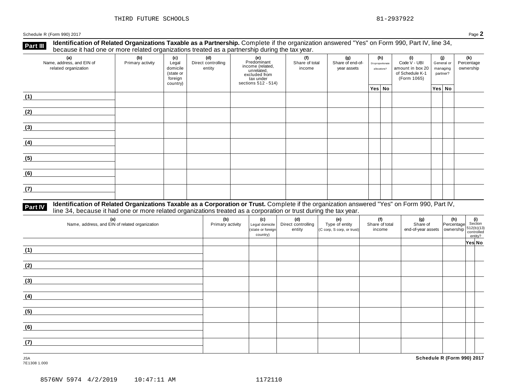**Identification of Related Organizations Taxable as a Partnership.** Complete if the organization answered "Yes" on Form 990, Part IV, line 34, **because it had one or more related organizations Taxable as a Partnership.** Complete if the organization of Related organizations treated as a partnership during the tax year.

| (a)<br>Name, address, and EIN of<br>related organization | (b)<br>Primary activity | (c)<br>Legal<br>domicile<br>(state or<br>foreign<br>country) | (d)<br>Direct controlling<br>entity | (e)<br>Predominant<br>Frecomman<br>income (related,<br>unrelated,<br>excluded from<br>sections 512 - 514) | (f)<br>Share of total<br>income | (g)<br>Share of end-of-<br>year assets | (h)<br>Disproportionate<br>allocations? |  | (i)<br>Code V - UBI<br>amount in box 20<br>of Schedule K-1<br>(Form 1065) | (j)<br>General or<br>managing<br>partner? |  | (k)<br>Percentage<br>ownership |
|----------------------------------------------------------|-------------------------|--------------------------------------------------------------|-------------------------------------|-----------------------------------------------------------------------------------------------------------|---------------------------------|----------------------------------------|-----------------------------------------|--|---------------------------------------------------------------------------|-------------------------------------------|--|--------------------------------|
|                                                          |                         |                                                              |                                     |                                                                                                           |                                 |                                        | Yes No                                  |  |                                                                           | Yes No                                    |  |                                |
| (1)                                                      |                         |                                                              |                                     |                                                                                                           |                                 |                                        |                                         |  |                                                                           |                                           |  |                                |
| (2)                                                      |                         |                                                              |                                     |                                                                                                           |                                 |                                        |                                         |  |                                                                           |                                           |  |                                |
| (3)                                                      |                         |                                                              |                                     |                                                                                                           |                                 |                                        |                                         |  |                                                                           |                                           |  |                                |
| (4)                                                      |                         |                                                              |                                     |                                                                                                           |                                 |                                        |                                         |  |                                                                           |                                           |  |                                |
| (5)                                                      |                         |                                                              |                                     |                                                                                                           |                                 |                                        |                                         |  |                                                                           |                                           |  |                                |
| (6)                                                      |                         |                                                              |                                     |                                                                                                           |                                 |                                        |                                         |  |                                                                           |                                           |  |                                |
| (7)                                                      |                         |                                                              |                                     |                                                                                                           |                                 |                                        |                                         |  |                                                                           |                                           |  |                                |

# **Part IV** Identification of Related Organizations Taxable as a Corporation or Trust. Complete if the organization answered "Yes" on Form 990, Part IV,<br>line 34, because it had one or more related organizations treated as a

| (a)<br>Name, address, and EIN of related organization | (b)<br>Primary activity | (c)<br>Legal domicile<br>(state or foreign<br>country) | (d)<br>Direct controlling<br>entity | (e)<br>Type of entity<br>(C corp, S corp, or trust) | (f)<br>Share of total<br>income | (g)<br>Share of<br>Share of Percentage $\begin{bmatrix} 512(b)(13) \\ 512(b)(13) \\ 61(c)(13) \\ 121(c)(13) \\ 131(c)(13) \\ 141(d) \\ 151d) \end{bmatrix}$ | $\begin{vmatrix} \n\textbf{(h)} \\ \n\text{Percentage} \n\end{vmatrix}$ Section | entity? |  |
|-------------------------------------------------------|-------------------------|--------------------------------------------------------|-------------------------------------|-----------------------------------------------------|---------------------------------|-------------------------------------------------------------------------------------------------------------------------------------------------------------|---------------------------------------------------------------------------------|---------|--|
|                                                       |                         |                                                        |                                     |                                                     |                                 |                                                                                                                                                             |                                                                                 | Yes No  |  |
| (1)                                                   |                         |                                                        |                                     |                                                     |                                 |                                                                                                                                                             |                                                                                 |         |  |
| (2)                                                   |                         |                                                        |                                     |                                                     |                                 |                                                                                                                                                             |                                                                                 |         |  |
| (3)                                                   |                         |                                                        |                                     |                                                     |                                 |                                                                                                                                                             |                                                                                 |         |  |
| (4)                                                   |                         |                                                        |                                     |                                                     |                                 |                                                                                                                                                             |                                                                                 |         |  |
| (5)                                                   |                         |                                                        |                                     |                                                     |                                 |                                                                                                                                                             |                                                                                 |         |  |
| (6)                                                   |                         |                                                        |                                     |                                                     |                                 |                                                                                                                                                             |                                                                                 |         |  |
| (7)                                                   |                         |                                                        |                                     |                                                     |                                 |                                                                                                                                                             |                                                                                 |         |  |

JSA **Schedule R (Form 990) 2017**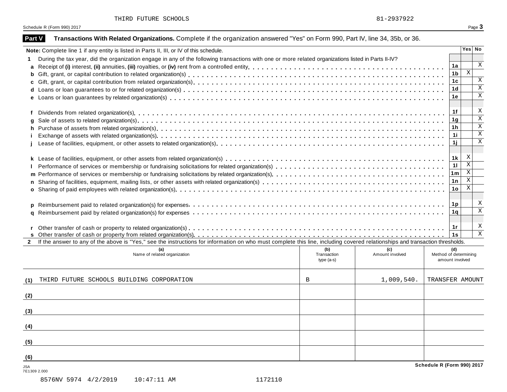| Part V       | Transactions With Related Organizations. Complete if the organization answered "Yes" on Form 990, Part IV, line 34, 35b, or 36.                                                       |                            |                 |                                          |                |                         |                              |
|--------------|---------------------------------------------------------------------------------------------------------------------------------------------------------------------------------------|----------------------------|-----------------|------------------------------------------|----------------|-------------------------|------------------------------|
|              | Note: Complete line 1 if any entity is listed in Parts II, III, or IV of this schedule.                                                                                               |                            |                 |                                          |                | Yes No                  |                              |
|              | During the tax year, did the organization engage in any of the following transactions with one or more related organizations listed in Parts II-IV?                                   |                            |                 |                                          |                |                         |                              |
| a            |                                                                                                                                                                                       |                            |                 |                                          | 1a             |                         | Χ                            |
|              |                                                                                                                                                                                       |                            |                 |                                          | 1 <sub>b</sub> | $\mathbf X$             |                              |
|              |                                                                                                                                                                                       |                            |                 |                                          | 1 <sub>c</sub> |                         | Χ                            |
|              |                                                                                                                                                                                       |                            |                 |                                          | 1 <sub>d</sub> |                         | $\mathbf X$                  |
|              |                                                                                                                                                                                       |                            |                 |                                          | 1e             |                         | X                            |
|              |                                                                                                                                                                                       |                            |                 |                                          | 1f             |                         | Χ                            |
|              |                                                                                                                                                                                       |                            |                 |                                          | 1 <sub>g</sub> |                         | $\mathbf X$                  |
| g            |                                                                                                                                                                                       |                            |                 |                                          | 1h             |                         | Χ                            |
|              |                                                                                                                                                                                       |                            |                 |                                          | 1i             |                         | X                            |
|              |                                                                                                                                                                                       |                            |                 |                                          | 1j             |                         | $\mathbf x$                  |
|              |                                                                                                                                                                                       |                            |                 |                                          |                |                         |                              |
|              |                                                                                                                                                                                       |                            |                 |                                          | 1k             | X                       |                              |
|              |                                                                                                                                                                                       |                            |                 |                                          | 11             | $\overline{\mathbf{x}}$ |                              |
|              |                                                                                                                                                                                       |                            |                 |                                          | 1m             | $\overline{\mathbf{x}}$ |                              |
|              |                                                                                                                                                                                       |                            |                 |                                          | 1n             | $\overline{\mathbf{x}}$ |                              |
|              |                                                                                                                                                                                       |                            |                 |                                          | 1 <sub>o</sub> | $\overline{\mathbf{x}}$ |                              |
|              |                                                                                                                                                                                       |                            |                 |                                          |                |                         |                              |
|              |                                                                                                                                                                                       |                            |                 |                                          | 1p             |                         | Х                            |
|              |                                                                                                                                                                                       |                            |                 |                                          | 1q             |                         | $\mathbf X$                  |
|              |                                                                                                                                                                                       |                            |                 |                                          |                |                         |                              |
|              |                                                                                                                                                                                       |                            |                 |                                          | 1r             |                         | Х<br>$\overline{\mathbf{x}}$ |
|              |                                                                                                                                                                                       |                            |                 |                                          | 1s             |                         |                              |
|              | 2 If the answer to any of the above is "Yes," see the instructions for information on who must complete this line, including covered relationships and transaction thresholds.<br>(a) | (b)                        | (c)             |                                          | (d)            |                         |                              |
|              | Name of related organization                                                                                                                                                          | Transaction<br>$type(a-s)$ | Amount involved | Method of determining<br>amount involved |                |                         |                              |
| (1)          | THIRD FUTURE SCHOOLS BUILDING CORPORATION                                                                                                                                             | В                          | 1,009,540.      | TRANSFER AMOUNT                          |                |                         |                              |
| (2)          |                                                                                                                                                                                       |                            |                 |                                          |                |                         |                              |
| (3)          |                                                                                                                                                                                       |                            |                 |                                          |                |                         |                              |
|              |                                                                                                                                                                                       |                            |                 |                                          |                |                         |                              |
| (4)          |                                                                                                                                                                                       |                            |                 |                                          |                |                         |                              |
| (5)          |                                                                                                                                                                                       |                            |                 |                                          |                |                         |                              |
| (6)          |                                                                                                                                                                                       |                            |                 |                                          |                |                         |                              |
| JSA          |                                                                                                                                                                                       |                            |                 | Schedule R (Form 990) 2017               |                |                         |                              |
| 7E1309 2.000 |                                                                                                                                                                                       |                            |                 |                                          |                |                         |                              |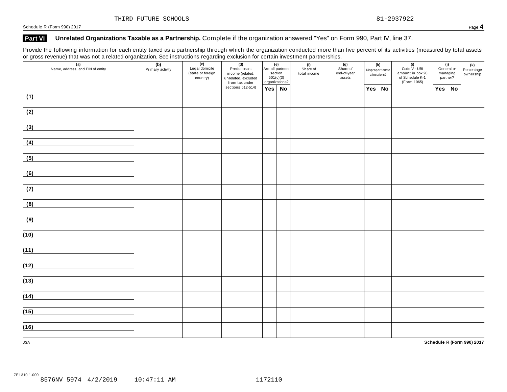## **Part VI Unrelated Organizations Taxable as a Partnership.** Complete if the organization answered "Yes" on Form 990, Part IV, line 37.

Provide the following information for each entity taxed as a partnership through which the organization conducted more than five percent of its activities (measured by total assets or gross revenue) that was not a related organization. See instructions regarding exclusion for certain investment partnerships.

| $\mathbf{v}$<br>$\sim$ $\sim$ $\sim$<br>(a)<br>Name, address, and EIN of entity | ໍ້<br>(b)<br>Primary activity<br>$\overline{(c)}$<br>(d)<br>Legal domicile<br>(state or foreign<br>Predominant<br>income (related,<br>country)<br>unrelated, excluded<br>from tax under |  | (e)<br>Are all partners<br>section<br>501(c)(3)<br>organizations? |  | (f)<br>Share of<br>total income | (g)<br>Share of<br>end-of-year<br>assets | (h)<br>Disproportionate<br>allocations? |        | $(i)$<br>Code $\vee$ - UBI<br>amount in box 20<br>of Schedule K-1<br>(Form 1065) | (j)<br>General or<br>managing<br>partner? |     | (k)<br>Percentage<br>ownership |                            |
|---------------------------------------------------------------------------------|-----------------------------------------------------------------------------------------------------------------------------------------------------------------------------------------|--|-------------------------------------------------------------------|--|---------------------------------|------------------------------------------|-----------------------------------------|--------|----------------------------------------------------------------------------------|-------------------------------------------|-----|--------------------------------|----------------------------|
|                                                                                 |                                                                                                                                                                                         |  | sections 512-514)                                                 |  | Yes No                          |                                          |                                         | Yes No |                                                                                  |                                           | Yes | No                             |                            |
| (1)                                                                             |                                                                                                                                                                                         |  |                                                                   |  |                                 |                                          |                                         |        |                                                                                  |                                           |     |                                |                            |
| (2)                                                                             |                                                                                                                                                                                         |  |                                                                   |  |                                 |                                          |                                         |        |                                                                                  |                                           |     |                                |                            |
| (3)                                                                             |                                                                                                                                                                                         |  |                                                                   |  |                                 |                                          |                                         |        |                                                                                  |                                           |     |                                |                            |
| (4)                                                                             |                                                                                                                                                                                         |  |                                                                   |  |                                 |                                          |                                         |        |                                                                                  |                                           |     |                                |                            |
| (5)                                                                             |                                                                                                                                                                                         |  |                                                                   |  |                                 |                                          |                                         |        |                                                                                  |                                           |     |                                |                            |
| (6)                                                                             |                                                                                                                                                                                         |  |                                                                   |  |                                 |                                          |                                         |        |                                                                                  |                                           |     |                                |                            |
| (7)                                                                             |                                                                                                                                                                                         |  |                                                                   |  |                                 |                                          |                                         |        |                                                                                  |                                           |     |                                |                            |
| (8)                                                                             |                                                                                                                                                                                         |  |                                                                   |  |                                 |                                          |                                         |        |                                                                                  |                                           |     |                                |                            |
| (9)                                                                             |                                                                                                                                                                                         |  |                                                                   |  |                                 |                                          |                                         |        |                                                                                  |                                           |     |                                |                            |
| (10)                                                                            |                                                                                                                                                                                         |  |                                                                   |  |                                 |                                          |                                         |        |                                                                                  |                                           |     |                                |                            |
| (11)                                                                            |                                                                                                                                                                                         |  |                                                                   |  |                                 |                                          |                                         |        |                                                                                  |                                           |     |                                |                            |
| (12)                                                                            |                                                                                                                                                                                         |  |                                                                   |  |                                 |                                          |                                         |        |                                                                                  |                                           |     |                                |                            |
| (13)                                                                            |                                                                                                                                                                                         |  |                                                                   |  |                                 |                                          |                                         |        |                                                                                  |                                           |     |                                |                            |
| (14)                                                                            |                                                                                                                                                                                         |  |                                                                   |  |                                 |                                          |                                         |        |                                                                                  |                                           |     |                                |                            |
| (15)                                                                            |                                                                                                                                                                                         |  |                                                                   |  |                                 |                                          |                                         |        |                                                                                  |                                           |     |                                |                            |
| (16)                                                                            |                                                                                                                                                                                         |  |                                                                   |  |                                 |                                          |                                         |        |                                                                                  |                                           |     |                                |                            |
| <b>JSA</b>                                                                      |                                                                                                                                                                                         |  |                                                                   |  |                                 |                                          |                                         |        |                                                                                  |                                           |     |                                | Schedule R (Form 990) 2017 |